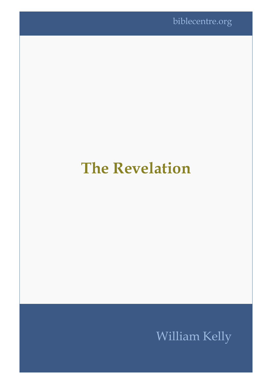# **The Revelation**

## William Kelly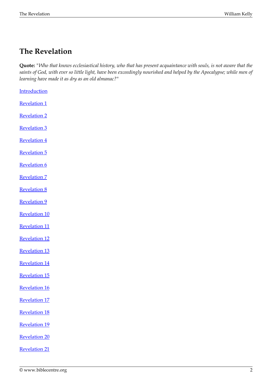### **The Revelation**

**Quote:** *"Who that knows ecclesiastical history, who that has present acquaintance with souls, is not aware that the saints of God, with ever so little light, have been exceedingly nourished and helped by the Apocalypse; while men of learning have made it as dry as an old almanac?"*

**[Introduction](#page-2-0)** [Revelation 1](#page-2-1) [Revelation 2](#page-10-0) [Revelation 3](#page-15-0) [Revelation 4](#page-19-0) [Revelation 5](#page-24-0) [Revelation 6](#page-25-0) [Revelation 7](#page-28-0) [Revelation 8](#page-30-0) [Revelation 9](#page-31-0) [Revelation 10](#page-32-0) [Revelation 11](#page-33-0) [Revelation 12](#page-35-0) [Revelation 13](#page-39-0) [Revelation 14](#page-44-0) [Revelation 15](#page-48-0) [Revelation 16](#page-50-0) [Revelation 17](#page-51-0) [Revelation 18](#page-58-0) [Revelation 19](#page-59-0) [Revelation 20](#page-62-0) [Revelation 21](#page-67-0)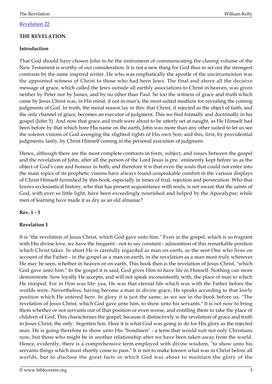#### [Revelation 22](#page-70-0)

#### **THE REVELATION**

#### <span id="page-2-0"></span>**Introduction**

That God should have chosen John to be the instrument of communicating the closing volume of the New Testament is worthy of our consideration. It is not a new thing for God thus to set out the strongest contrasts by the same inspired writer. He who was emphatically the apostle of the uncircumcision was the appointed witness of Christ to those who had been Jews. The final and above all the decisive message of grace, which called the Jews outside all earthly associations to Christ in heaven, was given neither by Peter nor by James, and by no other than Paul. So too the witness of grace and truth which came by Jesus Christ was, in His mind, if not in man's, the most suited medium for revealing the coming judgments of God. In truth, the moral reason lay in this: that Christ, if rejected as the object of faith, and the only channel of grace, becomes an executor of judgment. This we find formally and doctrinally in his gospel (John 5). And now that grace and truth were about to be utterly set at naught, as He Himself had been before by that which bore His name on the earth, John was more than any other suited to let us see the solemn visions of God avenging the slighted rights of His own Son; and this, first, by providential judgments; lastly, by Christ Himself coming in the personal execution of judgment.

Hence, although there are the most complete contrasts in form, subject, and issues between the gospel and the revelation of John, after all the person of the Lord Jesus is pre $\Box$ eminently kept before us as the object of God's care and honour in both; and therefore it is that even the souls that could not enter into the main topics of its prophetic visions have always found unspeakable comfort in the various displays of Christ Himself furnished by this book, especially in times of trial, rejection and persecution. Who that knows ecclesiastical history, who that has present acquaintance with souls, is not aware that the saints of God, with ever so little light, have been exceedingly nourished and helped by the Apocalypse; while men of learning have made it as dry as an old almanac?

#### **Rev. 1 - 3**

#### <span id="page-2-1"></span>**Revelation 1**

It is "the revelation of Jesus Christ, which God gave unto him." Even in the gospel, which is so fragrant with His divine love, we have the frequent - not to say constant - admonition of this remarkable position which Christ takes. In short He is carefully regarded as man on earth, as the sent One who lives on account of the Father - in the gospel as a man on earth, in the revelation as a man most truly wherever He may be seen, whether in heaven or on earth. This book then is the revelation of Jesus Christ, "which God gave unto him." In the gospel it is said, God gives Him to have life in Himself. Nothing can more demonstrate. how loyally He accepts, and will not speak inconsistently with, the place of man to which He stooped. For in Him was life: yea, He was that eternal life which was with the Father before the worlds were. Nevertheless, having become a man in divine grace, He speaks according to that lowly position which He entered here. In glory it is just the same, as we see in the book before us. "The revelation of Jesus Christ, which God gave unto him, to show unto his servants." It is not now to bring them whether or not servants out of that position or even worse, and entitling them to take the place of children of God. This characterises the gospel, because it distinctively is the revelation of grace and truth in Jesus Christ, the only□begotten Son. Here it is what God was going to do for His glory as the rejected man. He is going therefore to show unto His "bondmen" - a term that would suit not only Christians now, but those who might be in another relationship after we have been taken away from the world. Hence, evidently, there is a comprehensive term employed with divine wisdom, "to show unto his servants things which must shortly come to pass." It is not to make known what was in Christ before all worlds, but to disclose the great facts in which God was about to maintain the glory of the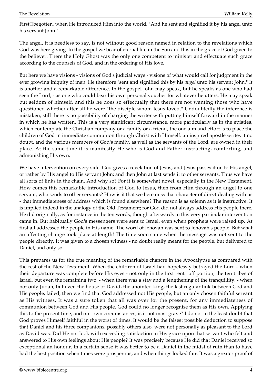First□begotten, when He introduced Him into the world. "And he sent and signified it by his angel unto his servant John."

The angel, it is needless to say, is not without good reason named in relation to the revelations which God was here giving. In the gospel we bear of eternal life in the Son and this in the grace of God given to the believer. There the Holy Ghost was the only one competent to minister and effectuate such grace according to the counsels of God, and in the ordering of His love.

But here we have visions - visions of God's judicial ways - visions of what would call for judgment in the ever growing iniquity of man. He therefore "sent and signified this by his *angel* unto his servant John." It is another and a remarkable difference. In the gospel John may speak, but he speaks as one who had seen the Lord, - as one who could bear his own personal voucher for whatever he utters. He may speak but seldom of himself, and this he does so effectually that there are not wanting those who have questioned whether after all he were "the disciple whom Jesus loved." Undoubtedly the inference is mistaken; still there is no possibility of charging the writer with putting himself forward in the manner in which he has written. This is a very significant circumstance, more particularly as in the epistles, which contemplate the Christian company or a family or a friend, the one aim and effort is to place the children of God in immediate communion through Christ with Himself: an inspired apostle writes it no doubt, and the various members of God's family, as well as the servants of the Lord, are owned in their place. At the same time it is manifestly He who is God and Father instructing, comforting, and admonishing His own.

We have intervention on every side. God gives a revelation of Jesus; and Jesus passes it on to His angel, or rather by His angel to His servant John; and then John at last sends it to other servants. Thus we have all sorts of links in the chain. And why so? For it is somewhat novel, especially in the New Testament. How comes this remarkable introduction of God to Jesus, then from Him through an angel to one servant, who sends to other servants? How is it that we here miss that character of direct dealing with us - that immediateness of address which is found elsewhere? The reason is as solemn as it is instructive. It is implied indeed in the analogy of the Old Testament; for God did not always address His people there. He did originally, as for instance in the ten words, though afterwards in this very particular intervention came in. But habitually God's messengers were sent to Israel, even when prophets were raised up. At first all addressed the people in His name. The word of Jehovah was sent to Jehovah's people. But what an affecting change took place at length! The time soon came when the message was not sent to the people directly. It was given to a chosen witness - no doubt really meant for the people, but delivered to Daniel, and only so.

This prepares us for the true meaning of the remarkable chancre in the Apocalypse as compared with the rest of the New Testament. When the children of Israel had hopelessly betrayed the Lord - when their departure was complete before His eyes - not only in the first rent□off portion, the ten tribes of Israel, but even the remaining two, - when there was a stay and a lengthening of the tranquillity, - when not only Judah, but even the house of David, the anointed king, the last regular link between God and His people, failed, then we find that God addressed not His people, but an only chosen faithful servant as His witness. It was a sure token that all was over for the present, for any immediateness of communion between God and His people. God could no longer recognise them as His own. Applying this to the present time, and our own circumstances, is it not most grave? I do not in the least doubt that God proves Himself faithful in the worst of times. It would be the falsest possible deduction to suppose that Daniel and his three companions, possibly others also, were not personally as pleasant to the Lord as David was. Did He not look with exceeding satisfaction in His grace upon that servant who felt and answered to His own feelings about His people? It was precisely because He did that Daniel received so exceptional an honour. In a certain sense it was better to be a Daniel in the midst of ruin than to have had the best position when times were prosperous, and when things looked fair. It was a greater proof of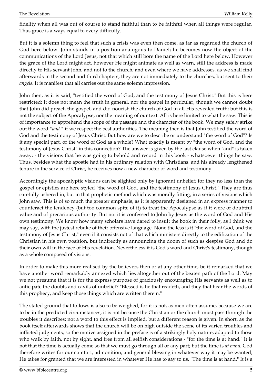fidelity when all was out of course to stand faithful than to be faithful when all things were regular. Thus grace is always equal to every difficulty.

But it is a solemn thing to feel that such a crisis was even then come, as far as regarded the church of God here below. John stands in a position analogous to Daniel; he becomes now the object of the communications of the Lord Jesus, not that which still bore the name of the Lord here below. However the grace of the Lord might act, however He might animate as well as warn, still the address is made directly to His servant John, and not to the church; and even where we have addresses, as we shall find afterwards in the second and third chapters, they are not immediately to the churches, but sent to their *angels.* It is manifest that all carries out the same solemn impression.

John then, as it is said, "testified the word of God, and the testimony of Jesus Christ." But this is here restricted: it does not mean the truth in general, nor the gospel in particular, though we cannot doubt that John did preach the gospel, and did nourish the church of God in all His revealed truth; but this is not the subject of the Apocalypse, nor the meaning of our text. All is here limited to what he saw. This is of importance to apprehend the scope of the passage and the character of the book. We may safely strike out the word *"and,"* if we respect the best authorities. The meaning then is that John testified the word of God and the testimony of Jesus Christ. But how are we to describe or understand "the word of God"? Is it any special part, or the word of God as a whole? What exactly is meant by "the word of God, and the testimony of Jesus Christ" in this connection? The answer is given by the last clause when "and" is taken away: - the visions that he was going to behold and record in this book - whatsoever things he saw. Thus, besides what the apostle had in his ordinary relation with Christians, and his already lengthened tenure in the service of Christ, he receives now a new character of word and testimony.

Accordingly the apocalyptic visions can be slighted only by ignorant unbelief; for they no less than the gospel or epistles are here styled "the word of God, and the testimony of Jesus Christ." They are thus carefully ushered in, but in that prophetic method which was morally fitting, in a series of visions which John saw. This is of so much the greater emphasis, as it is apparently designed in an express manner to counteract the tendency (but too common spite of it) to treat the Apocalypse as if it were of doubtful value and of precarious authority. But no: it is confessed to John by Jesus as the word of God and His own testimony. We know how many scholars have dared to insult the book in their folly, as I think we may say, with the justest rebuke of their offensive language. None the less is it "the word of God, and the testimony of Jesus Christ," even if it consists not of that which ministers directly to the edification of the Christian in his own position, but indirectly as announcing the doom of such as despise God and do their own will in the face of His revelation. Nevertheless it is God's word and Christ's testimony, though as a whole composed of visions.

In order to make this more realised by the believers then or at any other time, be it remarked that we have another word remarkably annexed which lies altogether out of the beaten path of the Lord. May we not presume that it is for the express purpose of graciously encouraging His servants as well as to anticipate the doubts and cavils of unbelief? "Blessed is he that readeth, and they that hear the words of this prophecy, and keep those things which are written therein."

The stated ground that follows is also to be weighed; for it is not, as men often assume, because we are to be in the predicted circumstances, it is not because the Christian or the church must pass through the troubles it describes: not a word to this effect is implied, but a different reason is given. In short, as the book itself afterwards shows that the church will be on high outside the scene of its varied troubles and inflicted judgments, so the motive assigned in the preface is of a strikingly holy nature, adapted to those who walk by faith, not by sight, and free from all selfish considerations - "for the time is at hand." It is not that the time is actually come so that we must go through all or any part; but the time is *at hand.* God therefore writes for our comfort, admonition, and general blessing in whatever way it may be wanted; He takes for granted that we are interested in whatever He has to say to us. "The time is at hand." It is a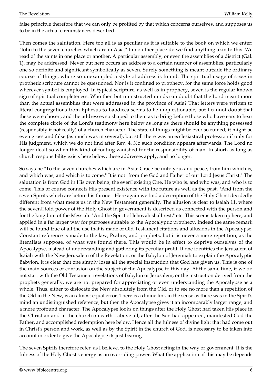false principle therefore that we can only be profited by that which concerns ourselves, and supposes us to be in the actual circumstances described.

Then comes the salutation. Here too all is as peculiar as it is suitable to the book on which we enter: "John to the seven churches which are in Asia." In no other place do we find anything akin to this. We read of the saints in one place or another. A particular assembly, or even the assemblies of a district (Gal. 1), may be addressed. Never but here occurs an address to a certain number of assemblies, particularly one so definite and significant symbolically as seven. Surely something is meant outside the ordinary course of things, where so unexampled a style of address is found. The spiritual usage of *seven* in prophetic scripture cannot be questioned. Nor is it confined to prophecy, for the same force holds good wherever symbol is employed. In typical scripture, as well as in prophecy, seven is the regular known sign of spiritual completeness. Who then but uninstructed minds can doubt that the Lord meant more than the actual assemblies that were addressed in the province of Asia? That letters were written to literal congregations from Ephesus to Laodicea seems to be unquestionable; but I cannot doubt that these were chosen, and the addresses so shaped to them as to bring before those who have ears to hear the complete circle of the Lord's testimony here below as long as there should be anything possessed (responsibly if not really) of a church character. The state of things might be ever so ruined; it might be even gross and false (as much was in several); but still there was an ecclesiastical profession if only for His judgment, which we do not find after Rev. 4. No such condition appears afterwards. The Lord no longer dealt so when this kind of footing vanished for the responsibility of man. In short, as long as church responsibility exists here below, these addresses apply, and no longer.

So says he "To the seven churches which are in Asia: Grace be unto you, and peace, from him which is, and which was, and which is to come." It is not "from the God and Father of our Lord Jesus Christ." The salutation is from God in His own being, the ever $\square$ existing One, He who is, and who was, and who is to come. This of course connects His present existence with the future as well as the past. "And from the seven Spirits which are before his throne." Here again we find a description of the Holy Ghost decidedly different from what meets us in the New Testament generally. The allusion is clear to Isaiah 11, where the seven□fold power of the Holy Ghost in government is described as connected with the person and for the kingdom of the Messiah. "And the Spirit of Jehovah shall rest," etc. This seems taken up here, and applied in a far larger way for purposes suitable to the Apocalyptic prophecy. Indeed the same remark will be found true of all the use that is made of Old Testament citations and allusions in the Apocalypse. Constant reference is made to the law, Psalms, and prophets, but it is never a mere repetition, as the literalists suppose, of what was found there. This would be in effect to deprive ourselves of the Apocalypse, instead of understanding and gathering its peculiar profit. If one identifies the Jerusalem of Isaiah with the New Jerusalem of the Revelation, or the Babylon of Jeremiah to explain the Apocalyptic Babylon, it is clear that one simply loses all the special instruction that God has given us. This is one of the main sources of confusion on the subject of the Apocalypse to this day. At the same time, if we do not start with the Old Testament revelations of Babylon or Jerusalem, or the instruction derived from the prophets generally, we are not prepared for appreciating or even understanding the Apocalypse as a whole. Thus, either to dislocate the New absolutely from the Old, or to see no more than a repetition of the Old in the New, is an almost equal error. There is a divine link in the sense as there was in the Spirit's mind an undistinguished reference; but then the Apocalypse gives it an incomparably larger range, and a more profound character. The Apocalypse looks on things after the Holy Ghost had taken His place in the Christian and in the church on earth - above all, after the Son had appeared, manifested God the Father, and accomplished redemption here below. Hence all the fulness of divine light that had come out in Christ's person and work, as well as by the Spirit in the church of God, is necessary to be taken into account in order to give the Apocalypse its just bearing.

The seven Spirits therefore refer, as I believe, to the Holy Ghost acting in the way of government. It is the fulness of the Holy Ghost's energy as an overruling power. What the application of this may be depends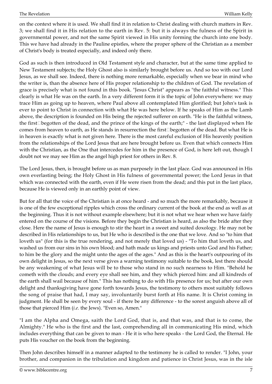on the context where it is used. We shall find it in relation to Christ dealing with church matters in Rev. 3; we shall find it in His relation to the earth in Rev. 5: but it is always the fulness of the Spirit in governmental power, and not the same Spirit viewed in His unity forming the church into one body. This we have had already in the Pauline epistles, where the proper sphere of the Christian as a member of Christ's body is treated especially, and indeed only there.

God as such is then introduced in Old Testament style and character, but at the same time applied to New Testament subjects; the Holy Ghost also is similarly brought before us. And so too with our Lord Jesus, as we shall see. Indeed, there is nothing more remarkable, especially when we bear in mind who the writer is, than the absence here of His proper relationship to the children of God. The revelation of grace is precisely what is not found in this book. "Jesus Christ" appears as "the faithful witness." This clearly is what He was on the earth. In a very different form it is the topic of John everywhere: we may trace Him as going up to heaven, where Paul above all contemplated Him glorified; but John's task is ever to point to Christ in connection with what He was here below. If he speaks of Him as the Lamb above, the description is founded on His being the rejected sufferer on earth. "He is the faithful witness, the first□begotten of the dead, and the prince of the kings of the earth;" - the last displayed when He comes from heaven to earth, as He stands in resurrection the first $\Box$ begotten of the dead. But what He is in heaven is exactly what is not given here. There is the most careful exclusion of His heavenly position from the relationships of the Lord Jesus that are here brought before us. Even that which connects Him with the Christian, as the One that intercedes for him in the presence of God, is here left out, though I doubt not we may see Him as the angel high priest for others in Rev. 8.

The Lord Jesus, then, is brought before us as man purposely in the last place. God was announced in His own everlasting being; the Holy Ghost in His fulness of governmental power; the Lord Jesus in that which was connected with the earth, even if He were risen from the dead; and this put in the last place, because He is viewed only in an earthly point of view.

But for all that the voice of the Christian is at once heard - and so much the more remarkably, because it is one of the few exceptional ripples which cross the ordinary current of the book at the end as well as at the beginning. Thus it is not without example elsewhere; but it is not what we hear when we have fairly entered on the course of the visions. Before they begin the Christian is heard, as also the bride after they close. Here the name of Jesus is enough to stir the heart in a sweet and suited doxology. He may not be described in His relationships to us, but He who is described is the one that we love. And so "to him that loveth us" (for this is the true rendering, and not merely that loved us) - "To him that loveth us, and washed us from our sins in his own blood; and hath made us kings and priests unto God and his Father; to him be the glory and the might unto the ages of the ages." And as this is the heart's outpouring of its own delight in Jesus, so the next verse gives a warning testimony suitable to the book, lest there should be any weakening of what Jesus will be to those who stand in no such nearness to Him. "Behold he cometh with the clouds; and every eye shall see him, and they which pierced him: and all kindreds of the earth shall wail because of him." This has nothing to do with His presence for us; but after our own delight and thanksgiving have gone forth towards Jesus, the testimony to others most suitably follows the song of praise that had, I may say, involuntarily burst forth at His name. It is Christ coming in judgment. He shall be seen by every soul - if there be any difference - to the sorest anguish above all of those that pierced Him (*i.e.* the Jews). "Even so, Amen."

"I am the Alpha and Omega, saith the Lord God, that is, and that was, and that is to come, the Almighty." He who is the first and the last, comprehending all in communicating His mind, which includes everything that can be given to man - He it is who here speaks - the Lord God, the Eternal. He puts His voucher on the book from the beginning.

Then John describes himself in a manner adapted to the testimony he is called to render. "I John, your brother, and companion in the tribulation and kingdom and patience in Christ Jesus, was in the isle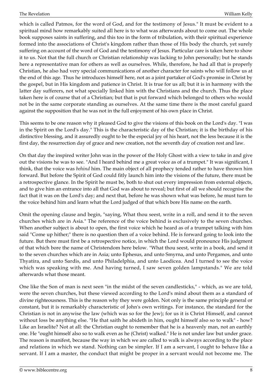which is called Patmos, for the word of God, and for the testimony of Jesus." It must be evident to a spiritual mind how remarkably suited all here is to what was afterwards about to come out. The whole book supposes saints in suffering, and this too in the form of tribulation, with their spiritual experience formed into the associations of Christ's kingdom rather than those of His body the church, yet surely suffering on account of the word of God and the testimony of Jesus. Particular care is taken here to show it to us. Not that the full church or Christian relationship was lacking to John personally; but he stands here a representative man for others as well as ourselves. While, therefore, he had all that is properly Christian, he also had very special communications of another character for saints who will follow us at the end of this age. Thus he introduces himself here, not as a joint partaker of God's promise in Christ by the gospel, but in His kingdom and patience in Christ. It is true for us all; but it is in harmony with the latter day sufferers, not what specially linked him with the Christians and the church. Thus the place taken here is of course that of a Christian; but that is put forward which belonged to others who would not be in the same corporate standing as ourselves. At the same time there is the most careful guard against the supposition that he was not in the full enjoyment of his own place in Christ.

This seems to be one reason why it pleased God to give the visions of this book on the Lord's day. "I was in the Spirit on the Lord's day." This is the characteristic day of the Christian; it is the birthday of his distinctive blessing, and it assuredly ought to be the especial joy of his heart, not the less because it is the first day, the resurrection day of grace and new creation, not the seventh day of creation rest and law.

On that day the inspired writer John was in the power of the Holy Ghost with a view to take in and give out the visions he was to see. "And I heard behind me a great voice as of a trumpet." It was significant, I think, that the voice was *behind* him. The main object of all prophecy tended rather to have thrown him forward. But before the Spirit of God could fitly launch him into the visions of the future, there must be a retrospective glance. In the Spirit he must be, both to shut out every impression from external objects, and to give him an entrance into all that God was about to reveal; but first of all we should recognise the fact that it was on the Lord's day; and next that, before he was shown what was before, he must turn to the voice behind him and learn what the Lord judged of that which bore His name on the earth.

Omit the opening clause and begin, "saying, What thou seest, write in a roll, and send it to the seven churches which are in Asia." The reference of the voice behind is exclusively to the seven churches. When another subject is about to open, the first voice which he heard as of a trumpet talking with him said "Come up hither;" there is no question then of a voice behind. He is forward going to look into the future. But there must first be a retrospective notice, in which the Lord would pronounce His judgment of that which bore the name of Christendom here below. "What thou seest, write in a book, and send it to the seven churches which are in Asia; unto Ephesus, and unto Smyrna, and unto Pergamos, and unto Thyatira, and unto Sardis, and unto Philadelphia, and unto Laodicea. And I turned to see the voice which was speaking with me. And having turned, I saw seven golden lampstands." We are told afterwards what those meant.

One like the Son of man is next seen "in the midst of the seven candlesticks," - which, as we are told, were the seven churches, but these viewed according to the Lord's mind about them as a standard of divine righteousness. This is the reason why they were golden. Not only is the same principle general or constant, but it is remarkably characteristic of John's own writings. For instance, the standard for the Christian is not in anywise the law (which was so for the Jew); for us it is Christ Himself, and cannot without loss be anything else. "He that saith he abideth in him, ought himself also so to walk" - how? Like an Israelite? Not at all: the Christian ought to remember that he is a heavenly man, not an earthly one. He "ought himself also so to walk even as he (Christ) walked." He is not under law but under grace. The reason is manifest, because the way in which we are called to walk is always according to the place and relations in which we stand. Nothing can be simpler. If I am a servant, I ought to behave like a servant. If I am a master, the conduct that might be proper in a servant would not become me. The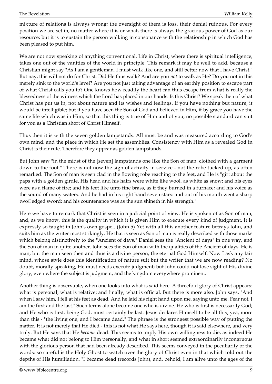mixture of relations is always wrong; the oversight of them is loss, their denial ruinous. For every position we are set in, no matter where it is or what, there is always the gracious power of God as our resource; but it is to sustain the person walking in consonance with the relationship in which God has been pleased to put him.

We are not now speaking of anything conventional. Life in Christ, where there is spiritual intelligence, takes one out of the vanities of the world in principle. This remark it may be well to add, because a Christian might say "As I am a gentleman, I must walk like one, and still better now that I have Christ." But nay, this will not do for Christ. Did He thus walk? And are you *not* to walk as He? Do you not in this merely sink to the world's level? Are you not just taking advantage of an earthly position to escape part of what Christ calls you to? One knows how readily the heart can thus escape from what is really the blessedness of the witness which the Lord has placed in our hands. Is this Christ? We speak then of what Christ has put us in, not about nature and its wishes and feelings. If you have nothing but nature, it would be intelligible; but if you have seen the Son of God and believed in Him, if by grace you have the same life which was in Him, so that this thing is true of Him and of you, no possible standard can suit for you as a Christian short of Christ Himself.

Thus then it is with the seven golden lampstands. All must be and was measured according to God's own mind, and the place in which He set the assemblies. Consistency with Him as a revealed God in Christ is their rule. Therefore they appear as golden lampstands.

But John saw "in the midst of the [seven] lampstands one like the Son of man, clothed with a garment down to the foot." There is not now the sign of activity in service - not the robe tucked up, as often remarked. The Son of man is seen clad in the flowing robe reaching to the feet, and He is "girt about the paps with a golden girdle. His head and his hairs were white like wool, as white as snow; and his eyes were as a flame of fire; and his feet like unto fine brass, as if they burned in a furnace; and his voice as the sound of many waters. And he had in his right hand seven stars: and out of his mouth went a sharp two□edged sword: and his countenance was as the sun shineth in his strength."

Here we have to remark that Christ is seen in a judicial point of view. He is spoken of as Son of man; and, as we know, this is the quality in which it is given Him to execute every kind of judgment. It is expressly so taught in John's own gospel. (John 5) Yet with all this another feature betrays John, and suits him as the writer most strikingly. He that is seen as Son of man is really described with those marks which belong distinctively to the "Ancient of days." Daniel sees the "Ancient of days" in one way, and the Son of man in quite another. John sees the Son of man with the qualities of the Ancient of days. He is man; but the man seen then and thus is a divine person, the eternal God Himself. Now I ask any fair mind, whose style does this identification of nature suit but the writer that we are now reading? No doubt, morally speaking, He must needs execute judgment; but John could not lose sight of His divine glory, even where the subject is judgment, and the kingdom everywhere prominent.

Another thing is observable, when one looks into what is said here. A threefold glory of Christ appears: what is personal; what is relative; and finally, what is official. But there is more also. John says, "And when I saw him, I fell at his feet as dead. And he laid his right hand upon me, saying unto me, Fear not; I am the first and the last." Such terms alone become one who is divine. He who is first is necessarily God; and He who is first, being God, must certainly be last. Jesus declares Himself to be all this; yea, more than this - "the living one, and I became dead." The phrase is the strongest possible way of putting the matter. It is not merely that He died - this is not what He says here, though it is said elsewhere, and very truly. But He says that He *became* dead. This seems to imply His own willingness to die, as indeed He became what did not belong to Him personally, and what in short seemed extraordinarily incongruous with the glorious person that had been already described. This seems conveyed in the peculiarity of the words: so careful is the Holy Ghost to watch over the glory of Christ even in that which told out the depths of His humiliation. "I became dead (records John), and, behold, I am alive unto the ages of the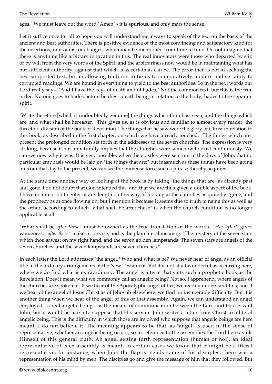ages." We must leave out the word "Amen" - it is spurious, and only mars the sense.

Let it suffice once for all to hope you will understand me always to speak of the text on the basis of the ancient and best authorities. There is positive evidence of the most convincing and satisfactory kind for the insertions, omissions, or changes, which may be mentioned from time to time. Do not imagine that there is anything like arbitrary innovation in this. The real innovators were those who departed by slip or by will from the very words of the Spirit; and the arbitrariness now would be in maintaining what has not sufficient authority, against that which is as certain as can be. The error then is not in seeking the best supported text, but in allowing tradition to tie us to comparatively modern and certainly to corrupted readings. We are bound in everything to yield to the best authorities. So in the next words our Lord really says, "And I have the keys of death and of hades." Not the common text, but this is the true order. No one goes to hades before he dies - death being in relation to the body, hades to the separate spirit.

"Write therefore [which is undoubtedly genuine] the things which thou hast seen, and the things which are, and what shall be hereafter." This gives us, as is obvious and familiar to almost every reader, the threefold division of the book of Revelation. The things that he saw were the glory of Christ in relation to this book, as described in the first chapter, on which we have already touched. "The things which are" present the prolonged condition set forth in the addresses to the seven churches. The expression is very striking, because it not unnaturally implies that the churches were somehow to exist continuously. We can see now why it was. It is very possible, when the epistles were sent out in the days of John, that no particular emphasis would be laid on "the things that are;" but inasmuch as these things have been going on from that day to the present, we can see the immense force such a phrase thereby acquires.

At the same time another way of looking at the book is by taking "the things that are" as already past and gone. I do not doubt that God intended this, and that we are thus given a double aspect of the book. I have no intention to enter at any length on this way of looking at the churches as quite by $\Box$ gone, and the prophecy as at once flowing on; but I mention it because it seems due to truth to name this as well as the other, according to which "what shall be after these" is when the church condition is no longer applicable at all.

"What shall be *after these"* must be owned as the true translation of the words. *"Hereafter"* gives vagueness: *"after these"* makes it precise, and is the plain literal meaning. "The mystery of the seven stars which thou sawest on my right hand, and the seven golden lampstands. The seven stars are angels of the seven churches: and the seven lampstands are seven churches."

In each letter the Lord addresses "the angel." Who and what is he? We never hear of angel as an official title in the ordinary arrangements of the New Testament. But it is not at all wonderful as occurring here, where we do find what is extraordinary. The angel is a term that suits such a prophetic book as the Revelation. Does it mean what we commonly call an angelic being? Not so, I apprehend, where angels of the churches are spoken of. If we hear of the Apocalyptic angel of fire, we readily understand this; and if we hear of the angel of Jesus Christ as of Jehovah elsewhere, we find no insuperable difficulty. But it is another thing when we hear of the angel of this or that assembly. Again, we can understand an angel employed - a real angelic being - as the means of communication between the Lord and His servant John; but it would be harsh to suppose that His servant John writes a letter from Christ to a literal angelic being. This is the difficulty in which those are involved who suppose that angelic beings are here meant. I do not believe it. The meaning appears to be that, as "angel" is used in the sense of representative, whether an angelic being or not, so in reference to the assemblies the Lord here avails Himself of this general truth. An angel setting forth representation (human or not), an ideal representative of each assembly is meant. In certain cases we know that it might be a literal representative; for instance, when John the Baptist sends some of his disciples, there was a representation of his mind by men. The disciples go and give the message of him that they followed. But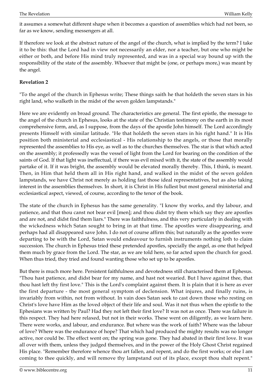it assumes a somewhat different shape when it becomes a question of assemblies which had not been, so far as we know, sending messengers at all.

If therefore we look at the abstract nature of the angel of the church, what is implied by the term? I take it to be this: that the Lord had in view not necessarily an elder, nor a teacher, but one who might be either or both, and before His mind truly represented, and was in a special way bound up with the responsibility of the state of the assembly. Whoever that might be (one, or perhaps more,) was meant by the angel.

#### <span id="page-10-0"></span>**Revelation 2**

"To the angel of the church in Ephesus write; These things saith he that holdeth the seven stars in his right land, who walketh in the midst of the seven golden lampstands."

Here we are evidently on broad ground. The characteristics are general. The first epistle, the message to the angel of the church in Ephesus, looks at the state of the Christian testimony on the earth in its most comprehensive form, and, as I suppose, from the days of the apostle John himself. The Lord accordingly presents Himself with similar latitude. "He that holdeth the seven stars in his right hand." It is His position both ministerial and ecclesiastical - His relationship to the angels, or those that morally represented the assemblies to His eye, as well as to the churches themselves. The star is that which acted on the assembly; it professedly was the vessel of light from the Lord for bearing on the condition of the saints of God. If that light was ineffectual, if there was evil mixed with it, the state of the assembly would partake of it. If it was bright, the assembly would be elevated morally thereby. This, I think, is meant. Then, in Him that held them all in His right hand, and walked in the midst of the seven golden lampstands, we have Christ not merely as holding fast those ideal representatives, but as also taking interest in the assemblies themselves. In short, it is Christ in His fullest but most general ministerial and ecclesiastical aspect, viewed, of course, according to the tenor of the book.

The state of the church in Ephesus has the same generality. "I know thy works, and thy labour, and patience, and that thou canst not bear evil [men]; and thou didst try them which say they are apostles and are not, and didst find them liars." There was faithfulness, and this very particularly in dealing with the wickedness which Satan sought to bring in at that time. The apostles were disappearing, and perhaps had all disappeared save John. I do not of course affirm this; but naturally as the apostles were departing to be with the Lord, Satan would endeavour to furnish instruments nothing loth to claim succession. The church in Ephesus tried these pretended apostles, specially the angel, as one that helped them much by grace from the Lord. The star, as we are told here, so far acted upon the church for good. When thus tried, they tried and found wanting those who set up to be apostles.

But there is much more here. Persistent faithfulness and devotedness still characterised them at Ephesus. "Thou hast patience, and didst bear for my name, and hast not wearied. But I have against thee, that thou hast left thy first love." This is the Lord's complaint against them. It is plain that it is here as ever the first departure - the most general symptom of declension. What injures, and finally ruins, is invariably from within, not from without. In vain does Satan seek to cast down those who resting on Christ's love have Him as the loved object of their life and soul. Was it not thus when the epistle to the Ephesians was written by Paul? Had they not left their first love? It was not as once. There was failure in this respect. They had here relaxed, but not in their works. These went on diligently, as we learn here. There were works, and labour, and endurance. But where was the work of faith? Where was the labour of love? Where was the endurance of hope? That which had produced the mighty results was no longer active, nor could be. The effect went on; the spring was gone. They had abated in their first love. It was all over with them, unless they judged themselves, and in the power of the Holy Ghost Christ regained His place. "Remember therefore whence thou art fallen, and repent, and do the first works; or else I am coming to thee quickly, and will remove thy lampstand out of its place, except thou shalt repent."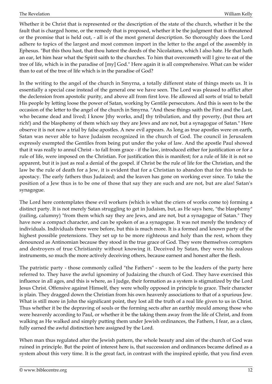Whether it be Christ that is represented or the description of the state of the church, whether it be the fault that is charged home, or the remedy that is proposed, whether it be the judgment that is threatened or the promise that is held out, - all is of the most general description. So thoroughly does the Lord adhere to topics of the largest and most common import in the letter to the angel of the assembly in Ephesus. "But this thou hast, that thou hatest the deeds of the Nicolaitans, which I also hate. He that hath an ear, let him hear what the Spirit saith to the churches. To him that overcometh will I give to eat of the tree of life, which is in the paradise of [my] God." Here again it is all comprehensive. What can be wider than to eat of the tree of life which is in the paradise of God?

In the writing to the angel of the church in Smyrna, a totally different state of things meets us. It is essentially a special case instead of the general one we have seen. The Lord was pleased to afflict after the declension from apostolic purity, and above all from first love. He allowed all sorts of trial to befall His people by letting loose the power of Satan, working by Gentile persecutors. And this is seen to be the occasion of the letter to the angel of the church in Smyrna. "And these things saith the First and the Last, who became dead and lived; I know [thy works, and] thy tribulation, and thy poverty, (but thou art rich!) and the blasphemy of them which say they are Jews and are not, but a synagogue of Satan." Here observe it is not now a trial by false apostles. A new evil appears. As long as true apostles were on earth, Satan was never able to have Judaism recognized in the church of God. The council in Jerusalem expressly exempted the Gentiles from being put under the yoke of law. And the apostle Paul showed that it was really to annul Christ - to fall from grace - if the law, introduced either for justification or for a rule of life, were imposed on the Christian. For justification this is manifest; for a rule of life it is not so apparent, but it is just as real a denial of the gospel. if Christ be the rule of life for the Christian, and the law be the rule of death for a Jew, it is evident that for a Christian to abandon that for this tends to apostacy. The early fathers thus Judaized; and the leaven has gone on working ever since. To take the position of a Jew thus is to be one of those that say they are such and are not, but are alas! Satan's synagogue.

The Lord here contemplates these evil workers (which is what the criers of works come to) forming a distinct party. It is not merely Satan struggling to get in Judaism, but, as He says here, "the blasphemy" (railing, calumny) "from them which say they are Jews, and are not, but a synagogue of Satan." They have now a compact character, and can be spoken of as a synagogue. It was not merely the tendency of individuals. Individuals there were before, but this is much more. It is a formed and known party of the highest possible pretensions. They set up to be more righteous and holy than the rest, whom they denounced as Antinomian because they stood in the true grace of God. They were themselves corrupters and destroyers of true Christianity without knowing it. Deceived by Satan, they were his zealous instruments, so much the more actively deceiving others, because earnest and honest after the flesh.

The patristic party - those commonly called "the Fathers" - seem to be the leaders of the party here referred to. They have the awful ignominy of Judaizing the church of God. They have exercised this influence in all ages, and this is where, as I judge, their formation as a system is stigmatized by the Lord Jesus Christ. Offensive against Himself, they were wholly opposed in principle to grace. Their character is plain. They dragged down the Christian from his own heavenly associations to that of a spurious Jew. What is still more in John the significant point, they lost all the truth of a real life given to us in Christ. Thus whether it be the depraving of souls or the forming sects after an earthly mould among those who were heavenly according to Paul, or whether it be the taking them away from the life of Christ, and from walking as He walked and simply putting them under Jewish ordinances, the Fathers, I fear, as a class, fully earned the awful distinction here assigned by the Lord.

When man thus regulated after the Jewish pattern, the whole beauty and aim of the church of God was ruined in principle. But the point of interest here is, that succession and ordinances became defined as a system about this very time. It is the great fact, in contrast with the inspired epistle, that you find even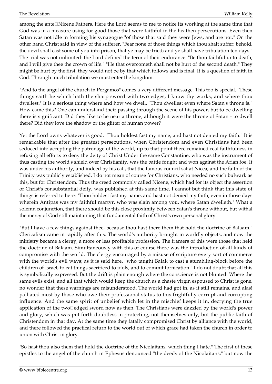among the ante⊡Nicene Fathers. Here the Lord seems to me to notice its working at the same time that God was in a measure using for good those that were faithful in the heathen persecutions. Even then Satan was not idle in forming his synagogue "of those that said they were Jews, and are not." On the other hand Christ said in view of the sufferer, "Fear none of those things which thou shalt suffer: behold, the devil shall cast some of you into prison, that ye may be tried; and ye shall have tribulation ten days." The trial was not unlimited: the Lord defined the term of their endurance. "Be thou faithful unto death, and I will give thee the crown of life." "He that overcometh shall not be hurt of the second death." They might be hurt by the first, they would not be by that which follows and is final. It is a question of faith in God. Through much tribulation we must enter the kingdom.

"And to the angel of the church in Pergamos" comes a very different message. This too is special. "These things saith he which hath the sharp sword with two edges; I know thy works, and where thou dwellest." It is a serious thing where and how we dwell. "Thou dwellest even where Satan's throne is." How came this? One can understand their passing through the scene of his power, but to be dwelling there is significant. Did they like to be near a throne, although it were the throne of Satan - to dwell there? Did they love the shadow or the glitter of human power?

Yet the Lord owns whatever is good. "Thou holdest fast my name, and hast not denied my faith." It is remarkable that after the greatest persecutions, when Christendom and even Christians had been seduced into accepting the patronage of the world, up to that point there remained real faithfulness in refusing all efforts to deny the deity of Christ Under the same Constantine, who was the instrument of thus casting the world's shield over Christianity, was the battle fought and won against the Arian foe. It was under his authority, and indeed by his call, that the famous council sat at Nicea, and the faith of the Trinity was publicly established. I do not mean of course for Christians, who needed no such bulwark as this, but for Christendom. Thus the creed commonly called Nicene, which had for its object the assertion of Christ's consubstantial deity, was published at this same time. I cannot but think that this state of things is referred to here: "Thou holdest fast my name, and hast not denied my faith, even in those days wherein Antipas was my faithful martyr, who was slain among you, where Satan dwelleth." What a solemn conjunction, that there should be this close proximity between Satan's throne without, but withal the mercy of God still maintaining that fundamental faith of Christ's own personal glory!

"But I have a few things against thee, because thou hast there them that hold the doctrine of Balaam." Clericalism came in rapidly after this. The world's authority brought in worldly objects, and now the ministry became a clergy, a more or less profitable profession. The framers of this were those that held the doctrine of Balaam. Simultaneously with this of course there was the introduction of all kinds of compromise with the world. The clergy encouraged by a misuse of scripture every sort of commerce with the world's evil ways; as it is said here, "who taught Balak to cast a stumbling-block before the children of Israel, to eat things sacrificed to idols, and to commit fornication." I do not doubt that all this is symbolically expressed. But the drift is plain enough where the conscience is not blunted. Where the same evils exist, and all that which would keep the church as a chaste virgin espoused to Christ is gone, no wonder that these warnings are misunderstood. The world had got in, as it still remains, and alas! palliated most by those who owe their professional status to this frightfully corrupt and corrupting influence. And the same spirit of unbelief which let in the mischief keeps it in, decrying the true application of the two $\square$ edged sword now as then. The Christians were dazzled by the world's power and glory, which was put forth doubtless in protecting, not themselves only, but the public faith of Christendom in that day. At the same time they fatally compromised Christ by alliance with the world, and there followed the practical return to the world out of which grace had taken the church in order to union with Christ in glory.

"So hast thou also them that hold the doctrine of the Nicolaitans, which thing I hate." The first of these epistles to the angel of the church in Ephesus denounced "the deeds of the Nicolaitans;" but now the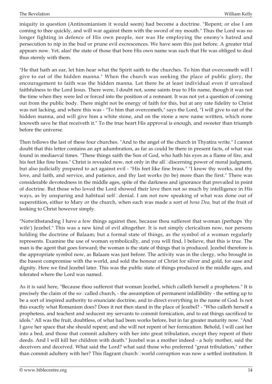iniquity in question (Antinomianism it would seem) had become a doctrine. "Repent; or else I am coming to thee quickly, and will war against them with the sword of my mouth." Thus the Lord was no longer fighting in defence of His own people, nor was He employing the enemy's hatred and persecution to nip in the bud or prune evil excrescences. We have seen this just before. A greater trial appears now. Yet, alas! the state of those that bore His own name was such that He was obliged to deal thus sternly with them.

"He that hath an ear, let him hear what the Spirit saith to the churches. To him that overcometh will I give to eat of the hidden manna." When the church was seeking the place of public glory, the encouragement to faith was the hidden manna. Let there be at least individual even if unvalued faithfulness to the Lord Jesus. There were, I doubt not, some saints true to His name, though it was not the time when they were led or forced into the position of a remnant. It was not yet a question of coming out from the public body. There might not be energy of faith for this, but at any rate fidelity to Christ was not lacking, and where this was - "To him that overcometh," says the Lord, "I will give to eat of the hidden manna, and will give him a white stone, and on the stone a new name written, which none knoweth save he that receiveth it." To the true heart His approval is enough, and sweeter than triumph before the universe.

Then follows the last of these four churches. "And to the angel of the church in Thyatira write." I cannot doubt that this letter contains an apt adumbration, as far as could be there in present facts, of what was found in mediaeval times. "These things saith the Son of God, who hath his eyes as a flame of fire, and his feet like fine brass." Christ is revealed now, not only in the all□discerning power of moral judgment, but also judicially prepared to act against evil - "His feet like fine brass." "I know thy works, and thy love, and faith, and service, and patience, and thy last works (to be) more than the first." There was considerable devotedness in the middle ages, spite of the darkness and ignorance that prevailed in point of doctrine. But those who loved the Lord showed their love then not so much by intelligence in His ways, as by unsparing and habitual self□denial. I am not now speaking of what was done out of superstition, either to Mary or the church, when each was made a sort of *bona Dea,* but of the fruit of looking to Christ however simply.

"Notwithstanding I have a few things against thee, because thou sufferest that woman (perhaps 'thy wife') Jezebel." This was a new kind of evil altogether. It is not simply clericalism now, nor persons holding the doctrine of Balaam; but a formal state of things, as the symbol of a woman regularly represents. Examine the use of woman symbolically, and you will find, I believe, that this is true. The man is the agent that goes forward; the woman is the state of things that is produced. Jezebel therefore is the appropriate symbol now, as Balaam was just before. The activity was in the clergy, who brought in the basest compromise with the world, and sold the honour of Christ for silver and gold, for ease and dignity. Here we find Jezebel later. This was the public state of things produced in the middle ages, and tolerated where the Lord was named.

As it is said here, "Because thou sufferest that woman Jezebel, which calleth herself a prophetess." It is precisely the claim of the so $\Box$ called church, - the assumption of permanent infallibility - the setting up to be a sort of inspired authority to enunciate doctrine, and to direct everything in the name of God. Is not this exactly what Romanism does? Does it not then stand in the place of Jezebel? - "Who calleth herself a prophetess, and teachest and seducest my servants to commit fornication, and to eat things sacrificed to idols." All was the fruit, doubtless, of what had been works before, but in far greater maturity now. "And I gave her space that she should repent; and she will not repent of her fornication. Behold, I will cast her into a bed, and those that commit adultery with her into great tribulation, except they repent of their deeds. And I will kill her children with death." Jezebel was a mother indeed - a holy mother, said the deceivers and deceived. What said the Lord? what said those who preferred "great tribulation," rather than commit adultery with her? This flagrant church□world corruption was now a settled institution. It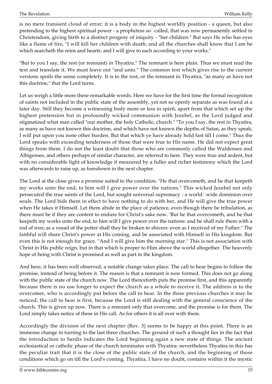is no mere transient cloud of error; it is a body in the highest worldly position - a queen, but also pretending to the highest spiritual power - a prophetess so<sup>[1]</sup>called, that was now permanently settled in Christendom, giving birth to a distinct progeny of iniquity - "her children." But says He who has eyes like a flame of fire, "I will kill her children with death; and all the churches shall know that I am he which searcheth the reins and hearts: and I will give to each according to your works."

"But to you I say, the rest (or remnant) in Thyatira." The remnant is here plain. Thus we must read the text and translate it. We must leave out "and unto." The common text which gives rise to the current versions spoils the sense completely. It is to the rest, or the remnant in Thyatira, "as many as have not this doctrine," that the Lord turns.

Let us weigh a little more these remarkable words. Here we have for the first time the formal recognition of saints not included in the public state of the assembly, yet not so openly separate as was found at a later day. Still they become a witnessing body more or less in spirit, apart from that which set up the highest pretension but in profoundly wicked communion with Jezebel, as the Lord judged and stigmatized what man called "our mother, the holy Catholic, church." "To you I say, the rest in Thyatira, as many as have not known this doctrine, and which have not known the depths of Satan, as they speak; I will put upon you none other burden. But that which ye have already hold fast till I come." Thus the Lord speaks with exceeding tenderness of those that were true to His name. He did not expect great things from them. I do not the least doubt that those who are commonly called the Waldenses and Albigenses, and others perhaps of similar character, are referred to here. They were true and ardent, but with no considerable light of knowledge if measured by a fuller and richer testimony which the Lord was afterwards to raise up, as foreshown in the next chapter.

The Lord at the close gives a promise suited to the condition. "He that overcometh, and he that keepeth my works unto the end, to him will I give power over the nations." This wicked Jezebel not only persecuted the true saints of the Lord, but sought universal supremacy - a world□wide dominion over souls. The Lord bids them in effect to have nothing to do with her, and He will give the true power when He takes it Himself. Let them abide in the place of patience, even though there be tribulation, as there must be if they are content to endure for Christ's sake now. 'But he that overcometh, and he that keepeth my works unto the end, to him will I give power over the nations: and he shall rule them with a rod of iron; as a vessel of the potter shall they be broken to shivers: even as I received of my Father." The faithful will share Christ's power at His coming, and be associated with Himself in His kingdom. But even this is not enough for grace. "And I will give him the morning star." This is not association with Christ in His public reign, but in that which is proper to Him above the world altogether. The heavenly hope of being with Christ is promised as well as part in the kingdom.

And here, it has been well observed, a notable change takes place. The call to hear begins to follow the promise, instead of being before it. The reason is that a remnant is now formed. This does not go along with the public state of the church now. The Lord thenceforth puts the promise first, and this apparently because there is no use longer to expect the church as a whole to receive it. The address is to the overcomer, who is accordingly put before the call to hear. In the three previous churches it may be noticed, the call to hear is first, because the Lord is still dealing with the general conscience of the church. This is given up now. There is a remnant only that overcome, and the promise is for them. The Lord simply takes notice of these in His call. As for others it is all over with them.

Accordingly the division of the next chapter (Rev. 3) seems to be happy at this point. There is an immense change in turning to the last three churches. The ground of such a thought lies in the fact that the introduction to Sardis indicates the Lord beginning again a new state of things. The ancient ecclesiastical or catholic phase of the church terminates with Thyatira: nevertheless Thyatira in this has the peculiar trait that it is the close of the public state of the church, and the beginning of those conditions which go on till the Lord's coming. Thyatira, I have no doubt, contains within it the mystic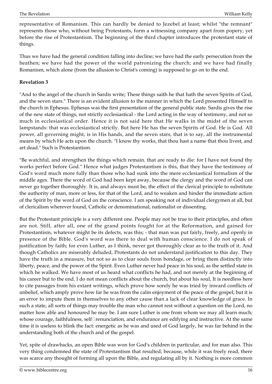representative of Romanism. This can hardly be denied to Jezebel at least; whilst "the remnant" represents those who, without being Protestants, form a witnessing company apart from popery, yet before the rise of Protestantism. The beginning of the third chapter introduces the protestant state of things.

Thus we have had the general condition falling into decline; we have had the early persecution from the heathen; we have had the power of the world patronizing the church; and we have had finally Romanism, which alone (from the allusion to Christ's coming) is supposed to go on to the end.

#### <span id="page-15-0"></span>**Revelation 3**

"And to the angel of the church in Sardis write; These things saith he that hath the seven Spirits of God, and the seven stars." There is an evident allusion to the manner in which the Lord presented Himself to the church in Ephesus. Ephesus was the first presentation of the general public state. Sardis gives the rise of the new state of things, not strictly ecclesiastical - the Lord acting in the way of testimony, and not so much in ecclesiastical order. Hence it is not said here that He walks in the midst of the seven lampstands: that was ecclesiastical strictly. But here He has the seven Spirits of God. He is God. All power, all governing might, is in His hands, and the seven stars, that is to say, all the instrumental means by which He acts upon the church. "I know thy works, that thou hast a name that thou livest, and art dead." Such is Protestantism.

"Be watchful, and strengthen the things which remain. that are ready to die: for I have not found thy works perfect before God." Hence what judges Protestantism is this, that they have the testimony of God's word much more fully than those who had sunk into the mere ecclesiastical formalism of the middle ages. There the word of God had been kept away, because the clergy and the word of God can never go together thoroughly. It is, and always must be, the effect of the clerical principle to substitute the authority of man, more or less, for that of the Lord, and to weaken and hinder the immediate action of the Spirit by the word of God on the conscience. I am speaking not of individual clergymen at all, but of clericalism wherever found, Catholic or denominational, nationalist or dissenting.

But the Protestant principle is a very different one. People may not be true to their principles, and often are not. Still, after all, one of the grand points fought for at the Reformation, and gained for Protestantism, whatever might be its defects, was this; - that man was put fairly, freely, and openly in presence of the Bible. God's word was there to deal with human conscience. I do not speak of justification by faith; for even Luther, as I think, never got thoroughly clear as to the truth of it. And though Catholics are miserably deluded, Protestants do not understand justification to this day. They have the truth in a measure, but not so as to clear souls from bondage, or bring them distinctly into liberty, peace, and the power of the Spirit. Even Luther never had peace in his soul, as the settled state in which he walked. We have most of us heard what conflicts he had, and not merely at the beginning of his career but to the end. I do not mean conflicts about the church, but about his soul, It is needless here to cite passages from his extant writings, which prove how sorely he was tried by inward conflicts of unbelief, which amply prove how far he was from the calm enjoyment of the peace of the gospel; but it is an error to impute them in themselves to any other cause than a lack of clear knowledge of grace. In such a state, all sorts of things may trouble the man who cannot rest without a question on the Lord, no matter how able and honoured he may be. I am sure Luther is one from whom we may all learn much; whose courage, faithfulness, self<sup>[</sup>renunciation, and endurance are edifying and instructive. At the same time it is useless to blink the fact: energetic as he was and used of God largely, he was far behind in the understanding both of the church and of the gospel.

Yet, spite of drawbacks, an open Bible was won for God's children in particular, and for man also. This very thing condemned the state of Protestantism that resulted; because, while it was freely read, there was scarce any thought of forming all upon the Bible, and regulating all by it. Nothing is more common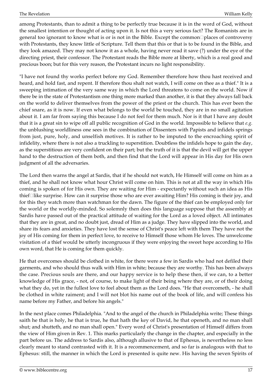among Protestants, than to admit a thing to be perfectly true because it is in the word of God, without the smallest intention or thought of acting upon it. Is not this a very serious fact? The Romanists are in general too ignorant to know what is or is not in the Bible. Except the common  $\Box$  places of controversy with Protestants, they know little of Scripture. Tell them that this or that is to be found in the Bible, and they look amazed. They may not know it as a whole, having never read it save (?) under the eye of the directing priest, their confessor. The Protestant reads the Bible more at liberty, which is a real good and precious boon; but for this very reason, the Protestant incurs no light responsibility.

"I have not found thy works perfect before my God. Remember therefore how thou hast received and heard, and hold fast, and repent. If therefore thou shalt not watch, I will come on thee as a thief." It is a sweeping intimation of the very same way in which the Lord threatens to come on the world. Now if there be in the state of Protestantism one thing more marked than another, it is that they always fall back on the world to deliver themselves from the power of the priest or the church. This has ever been the chief snare, as it is now. If even what belongs to the world be touched, they are in no small agitation about it. I am far from saying this because I do not feel for them much. Nor is it that I have any doubt that it is a great sin to wipe off all public recognition of God in the world. Impossible to believe that *e.g.* the unblushing worldliness one sees in the combination of Dissenters with Papists and infidels springs from just, pure, holy, and unselfish motives. It is rather to be imputed to the encroaching spirit of infidelity, where there is not also a truckling to superstition. Doubtless the infidels hope to gain the day, as the superstitious are very confident on their part; but the truth of it is that the devil will get the upper hand to the destruction of them both, and then find that the Lord will appear in His day for His own judgment of all the adversaries.

The Lord then warns the angel at Sardis, that if he should not watch, He Himself will come on him as a thief, and he shall not know what hour Christ will come on him. This is not at all the way in which His coming is spoken of for His own. They are waiting for Him - expectantly without such an idea as His thief $\Box$ like surprise. How can it surprise those who are ever awaiting Him? His coming is their joy, and for this they watch more than watchman for the dawn. The figure of the thief can be employed only for the world or the worldly-minded. So solemnly then does this language suppose that the assembly at Sardis have passed out of the practical attitude of waiting for the Lord as a loved object. All intimates that they are in great, and no doubt just, dread of Him as a judge. They have slipped into the world, and share its fears and anxieties. They have lost the sense of Christ's peace left with them They have not the joy of His coming for them in perfect love, to receive to Himself those whom He loves. The unwelcome visitation of a thief would be utterly incongruous if they were enjoying the sweet hope according to His own word, that He is coming for them quickly.

He that overcomes should be clothed in white, for there were a few in Sardis who had not defiled their garments, and who should thus walk with Him in white; because they are worthy. This has been always the case. Precious souls are there, and our happy service is to help these then, if we can, to a better knowledge of His grace, - not, of course, to make light of their being where they are, or of their doing what they do, yet in the fullest love to feel about them as the Lord does. "He that overcometh, - he shall be clothed in white raiment; and I will not blot his name out of the book of life, and will confess his name before my Father, and before his angels."

In the next place comes Philadelphia. "And to the angel of the church in Philadelphia write; These things saith he that is holy, he that is true, he that hath the key of David, he that openeth, and no man shall shut; and shutteth, and no man shall open." Every word of Christ's presentation of Himself differs from the view of Him given in Rev. 1. This marks particularly the change in the chapter, and especially in the part before us. The address to Sardis also, although allusive to that of Ephesus, is nevertheless no less clearly meant to stand contrasted with it. It is a recommencement, and so far is analogous with that to Ephesus: still, the manner in which the Lord is presented is quite new. His having the seven Spirits of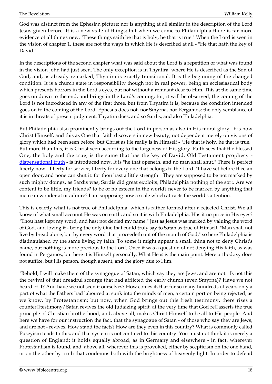God was distinct from the Ephesian picture; nor is anything at all similar in the description of the Lord Jesus given before. It is a new state of things; but when we come to Philadelphia there is far more evidence of all things new. "These things saith he that is holy, he that is true." When the Lord is seen in the vision of chapter 1, these are not the ways in which He is described at all - "He that hath the key of David."

In the descriptions of the second chapter what was said about the Lord is a repetition of what was found in the vision John had just seen. The only exception is in Thyatira, where He is described as the Son of God; and, as already remarked, Thyatira is exactly transitional. It is the beginning of the changed condition. It is a church state in responsibility though not in real power, being an ecclesiastical body which presents horrors in the Lord's eyes, but not without a remnant dear to Him. This at the same time goes on down to the end, and brings in the Lord's coming; for, it will be observed, the coming of the Lord is not introduced in any of the first three, but from Thyatira it is, because the condition intended goes on to the coming of the Lord. Ephesus does not, nor Smyrna, nor Pergamos: the only semblance of it is in threats of present judgment. Thyatira does, and so Sardis, and also Philadelphia.

But Philadelphia also prominently brings out the Lord in person as also in His moral glory. It is now Christ Himself, and this as One that faith discovers in new beauty, not dependent merely on visions of glory which had been seen before, but Christ as He really is in Himself - "He that is holy, he that is true." But more than this, it is Christ seen according to the largeness of His glory. Faith sees that the blessed One, the holy and the true, is the same that has the key of David. Old Testament prophecy [dispensational truth](http://biblecentre.org/content.php?mode=7&item=613) - is introduced now. It is "he that openeth, and no man shall shut." There is perfect liberty now - liberty for service, liberty for every one that belongs to the Lord. "I have set before thee an open door, and none can shut it: for thou hast a little strength." They are supposed to be not marked by such mighty doings, as Sardis was, Sardis did great exploits, Philadelphia nothing of the sort. Are we content to be little, my friends? to be of no esteem in the world? never to be marked by anything that men can wonder at or admire? I am supposing now a scale which attracts the world's attention.

This is exactly what is not true of Philadelphia, which is rather formed after a rejected Christ. We all know of what small account He was on earth; and so it is with Philadelphia. Has it no price in His eyes? "Thou hast kept my word, and hast not denied my name." Just as Jesus was marked by valuing the word of God, and loving it - being the only One that could truly say to Satan as true of Himself, "Man shall not live by bread alone, but by every word that proceedeth out of the mouth of God," so here Philadelphia is distinguished by the same living by faith. To some it might appear a small thing not to deny Christ's name, but nothing is more precious to the Lord. Once it was a question of not denying His faith, as was found in Pergamos; but here it is Himself personally. What He *is* is the main point. Mere orthodoxy does not suffice, but His person, though absent, and the glory due to Him.

"Behold, I will make them of the synagogue of Satan, which say they are Jews, and are not." Is not this the revival of that dreadful scourge that had afflicted the early church (even Smyrna)? Have we not heard of it? And have we not seen it ourselves? How comes it, that for so many hundreds of years only a part of what the Fathers had laboured at sunk into the minds of men, a certain portion being rejected, as we know, by Protestantism; but now, when God brings out this fresh testimony, there rises a counter□testimony? Satan revives the old Judaizing spirit, at the very time that God re□asserts the true principle of Christian brotherhood, and, above all, makes Christ Himself to be all to His people. And here we have for our instruction the fact, that the synagogue of Satan - of those who say they are Jews, and are not - revives. How stand the facts? How are they even in this country? What is commonly called Puseyism tends to this; and that system is not confined to this country. You must not think it is merely a question of England; it holds equally abroad, as in Germany and elsewhere - in fact, wherever Protestantism is found, and, above all, wherever this is provoked, either by scepticism on the one hand, or on the other by truth that condemns both with the brightness of heavenly light. In order to defend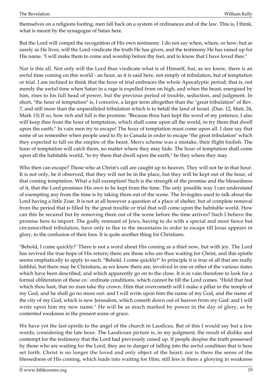themselves on a religions footing, men fall back on a system of ordinances and of the law. This is, I think, what is meant by the synagogue of Satan here.

But the Lord will compel the recognition of His own testimony. I do not say when, where, or how; but as surely as He lives, will the Lord vindicate the truth He has given, and the testimony He has raised up for His name. "I will make them to come and worship before thy feet, and to know that I have loved thee."

Nor is this all. Not only will the Lord thus vindicate what is of Himself, but, as we know, there is an awful time coming on this world - an hour, as it is said here, not simply of tribulation, but of temptation or trial. I am inclined to think that the hour of trial embraces the whole Apocalyptic period; that is, not merely the awful time when Satan in a rage is expelled from on high, and when the beast, energised by him, rises to his full head of power, but the previous period of trouble, seduction, and judgment. In short, "the hour of temptation" is, I conceive, a larger term altogether than the "great tribulation" of Rev. 7, and still more than the unparalleled tribulation which is to befall the land of Israel. (Dan. 12, Matt, 24, Mark 13) If so, how rich and full is the promise: "Because thou hast kept the word of my patience, I also will keep thee from the hour of temptation, which shall come upon all the world, to try them that dwell upon the earth." In vain men try to escape! The hour of temptation must come upon all. I dare say that some of us remember when people used to fly to Canada in order to escape "the great tribulation" which they expected to fall on the empire of the beast. Men's scheme was a mistake, their flight foolish. The hour of temptation will catch them, no matter where they may hide. The hour of temptation shall come upon all the habitable world, "to try them that dwell upon the earth," be they where they may.

Who then can escape? Those who at Christ's call are caught up to heaven. They will not be in that hour. It is not only, be it observed, that they will not be in the place, but they will be kept out of the hour, of that coming temptation. What a full exemption! Such is the strength of the promise and the blessedness of it, that the Lord promises His own to be kept from the time. The only possible way I can understand of exempting any from the time is by taking them out of the scene. The Irvingites used to talk about the Lord having a little Zoar. It is not at all however a question of a place of shelter, but of complete removal from the period that is filled by the great trouble or trial that will come upon the habitable world. How can this be secured but by removing them out of the scene before the time arrives? Such I believe the promise here to import. The godly remnant of Jews, having to do with a special and most fierce but circumscribed tribulation, have only to flee to the mountains in order to escape till Jesus appears in glory, to the confusion of their foes. It is quite another thing for Christians.

"Behold, I come quickly!" There is not a word about His coming as a thief now, but with joy. The Lord has revived the true hope of His return; there are those who are thus waiting for Christ, and this epistle seems emphatically to apply to such. "Behold, I come quickly!" In principle it is true of all that are really faithful, but there may be Christians, as we know there are, involved in one or other of the various states which have been described, and which apparently go on to the close. It is in vain therefore to look for a formal obliteration of these co $\Box$ ordinate conditions, which cannot be till the Lord comes. "Hold that fast which thou hast, that no man take thy crown. Him that overcometh will I make a pillar in the temple of my God, and he shall go no more out: and I will write upon him the name of my God, and the name of the city of my God, which is new Jerusalem, which cometh down out of heaven from my God: and I will write upon him my new name." He will be as much marked by power in the day of glory, as by contented weakness in the present scene of grace.

We have yet the last epistle to the angel of the church in Laodicea. But of this I would say but a few words, considering the late hour. The Laodicean picture is, in my judgment, the result of dislike and contempt for the testimony that the Lord had previously raised up. If people despise the truth possessed by those who are waiting for the Lord, they are in danger of falling into the awful condition that is here set forth. Christ is no longer the loved and only object of the heart; nor is there the sense of the blessedness of His coming, which leads into waiting for Him; still less is there a glorying in weakness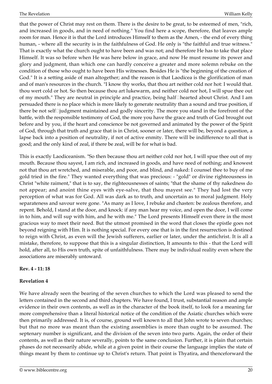that the power of Christ may rest on them. There is the desire to be great, to be esteemed of men, "rich, and increased in goods, and in need of nothing." You find here a scope, therefore, that leaves ample room for man. Hence it is that the Lord introduces Himself to them as the Amen, - the end of every thing human, - where all the security is in the faithfulness of God. He only is "the faithful and true witness." That is exactly what the church ought to have been and was not; and therefore He has to take that place Himself. It was so before when He was here below in grace, and now He must resume its power and glory and judgment, than which one can hardly conceive a greater and more solemn rebuke on the condition of those who ought to have been His witnesses. Besides He is "the beginning of the creation of God." It is a setting aside of man altogether; and the reason is that Laodicea is the glorification of man and of man's resources in the church. "I know thy works, that thou art neither cold nor hot: I would that. thou wert cold or hot. So then because thou art lukewarm, and neither cold nor hot, I will spue thee out of my mouth." They are neutral in principle and practice, being half□hearted about Christ. And I am persuaded there is no place which is more likely to generate neutrality than a sound and true position, if there be not self $\Box$ judgment maintained and godly sincerity. The more you stand in the forefront of the battle, with the responsible testimony of God, the more you have the grace and truth of God brought out before and by you, if the heart and conscience be not governed and animated by the power of the Spirit of God, through that truth and grace that is in Christ, sooner or later, there will be, beyond a question, a lapse back into a position of neutrality, if not of active enmity. There will be indifference to all that is good; and the only kind of zeal, if there be zeal, will be for what is bad.

This is exactly Laodiceanism. "So then because thou art neither cold nor hot, I will spue thee out of my mouth. Because thou sayest, I am rich, and increased in goods, and have need of nothing; and knowest not that thou art wretched, and miserable, and poor, and blind, and naked: I counsel thee to buy of me gold tried in the fire." They wanted everything that was precious: - "gold" or divine righteousness in Christ "white raiment," that is to say, the righteousnesses of saints; "that the shame of thy nakedness do not appear; and anoint thine eyes with eye-salve, that thou mayest see." They had lost the very perception of what was for God. All was dark as to truth, and uncertain as to moral judgment. Holy separateness and savour were gone. "As many as I love, I rebuke and chasten: be zealous therefore, and repent. Behold, I stand at the door, and knock: if any man hear my voice, and open the door, I will come in to him, and will sup with him, and he with me." The Lord presents Himself even there in the most gracious way to meet their need. But the utmost promised in the word that closes the epistle goes not beyond reigning with Him. It is nothing special. For every one that is in the first resurrection is destined to reign with Christ, as even will the Jewish sufferers, earlier or later, under the antichrist. It is all a mistake, therefore, to suppose that this is a singular distinction, It amounts to this - that the Lord will hold, after all, to His own truth, spite of unfaithfulness. There may be individual reality even where the associations are miserably untoward.

#### **Rev. 4 - 11: 18**

#### <span id="page-19-0"></span>**Revelation 4**

We have already seen the bearing of the seven churches to which the Lord was pleased to send the letters contained in the second and third chapters. We have found, I trust, substantial reason and ample evidence in their own contents, as well as in the character of the book itself, to look for a meaning far more comprehensive than a literal historical notice of the condition of the Asiatic churches which were then primarily addressed. It is, of course, ground well known to all that John wrote to seven churches; but that no more was meant than the existing assemblies is more than ought to be assumed. The septenary number is significant, and the division of the seven into two parts. Again, the order of their contents, as well as their nature severally, points to the same conclusion. Further, it is plain that certain phases do not necessarily abide, while at a given point in their course the language implies the state of things meant by them to continue up to Christ's return. That point is Thyatira, and thenceforward the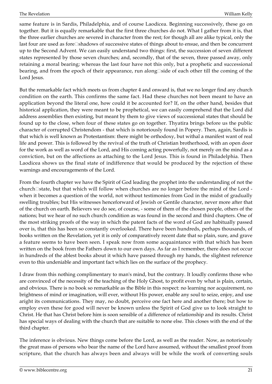same feature is in Sardis, Philadelphia, and of course Laodicea. Beginning successively, these go on together. But it is equally remarkable that the first three churches do not. What I gather from it is, that the three earlier churches are severed in character from the rest; for though all are alike typical, only the last four are used as fore $\Box$ shadows of successive states of things about to ensue, and then be concurrent up to the Second Advent. We can easily understand two things: first, the succession of seven different states represented by those seven churches; and, secondly, that of the seven, three passed away, only retaining a moral bearing; whereas the last four have not this only, but a prophetic and successional bearing, and from the epoch of their appearance, run along side of each other till the coming of the Lord Jesus.

But the remarkable fact which meets us from chapter 4 and onward is, that we no longer find any church condition on the earth. This confirms the same fact. Had these churches not been meant to have an application beyond the literal one, how could it be accounted for? If, on the other hand, besides that historical application, they were meant to be prophetical, we can easily comprehend that the Lord did address assemblies then existing, but meant by them to give views of successional states that should be found up to the close, when four of these states go on together. Thyatira brings before us the public character of corrupted Christendom - that which is notoriously found in Popery. Then, again, Sardis is that which is well known as Protestantism: there might be orthodoxy, but withal a manifest want of real life and power. This is followed by the revival of the truth of Christian brotherhood, with an open door for the work as well as word of the Lord, and His coming acting powerfully, not merely on the mind as a conviction, but on the affections as attaching to the Lord Jesus. This is found in Philadelphia. Then Laodicea shows us the final state of indifference that would be produced by the rejection of these warnings and encouragements of the Lord.

From the fourth chapter we have the Spirit of God leading the prophet into the understanding of not the church□state, but that which will follow when churches are no longer before the mind of the Lord when it becomes a question of the world, not without testimonies from God in the midst of gradually swelling troubles; but His witnesses henceforward of Jewish or Gentile character, never more after that of the church on earth. Believers we do see, of course, - some of them of the chosen people, others of the nations; but we hear of no such church condition as was found in the second and third chapters. One of the most striking proofs of the way in which the patent facts of the word of God are habitually passed over is, that this has been so constantly overlooked. There have been hundreds, perhaps thousands, of books written on the Revelation, yet it is only of comparatively recent date that so plain, sure, and grave a feature seems to have been seen. I speak now from some acquaintance with that which has been written on the book from the Fathers down to our own days. As far as I remember, there does not occur in hundreds of the ablest books about it which have passed through my hands, the slightest reference even to this undeniable and important fact which lies on the surface of the prophecy.

I draw from this nothing complimentary to man's mind, but the contrary. It loudly confirms those who are convinced of the necessity of the teaching of the Holy Ghost, to profit even by what is plain, certain, and obvious. There is no book so remarkable as the Bible in this respect: no learning nor acquirement, no brightness of mind or imagination, will ever, without His power, enable any soul to seize, enjoy, and use aright its communications. They may, no doubt, perceive one fact here and another there; but how to employ even these for good will never be known unless the Spirit of God give us to look straight to Christ. He that has Christ before him is soon sensible of a difference of relationship and its results. Christ has special ways of dealing with the church that are suitable to none else. This closes with the end of the third chapter.

The inference is obvious. New things come before the Lord, as well as the reader. Now, as notoriously the great mass of persons who bear the name of the Lord have assumed, without the smallest proof from scripture, that the church has always been and always will be while the work of converting souls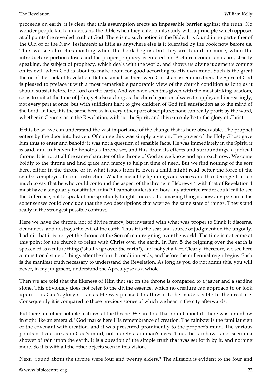proceeds on earth, it is clear that this assumption erects an impassable barrier against the truth. No wonder people fail to understand the Bible when they enter on its study with a principle which opposes at all points the revealed truth of God. There is no such notion in the Bible. It is found in no part either of the Old or of the New Testament; as little as anywhere else is it tolerated by the book now before us. Thus we see churches existing when the book begins; but they are found no more, when the introductory portion closes and the proper prophecy is entered on. A church condition is not, strictly speaking, the subject of prophecy, which deals with the world, and shows us divine judgments coming on its evil, when God is about to make room for good according to His own mind. Such is the great theme of the book of Revelation. But inasmuch as there were Christian assemblies then, the Spirit of God is pleased to preface it with a most remarkable panoramic view of the church condition as long as it should subsist before the Lord on the earth. And we have seen this given with the most striking wisdom, so as to suit at the time of John, yet also as long as the church goes on always to apply, and increasingly, not every part at once, but with sufficient light to give children of God full satisfaction as to the mind of the Lord. In fact, it is the same here as in every other part of scripture: none can really profit by the word, whether in Genesis or in the Revelation, without the Spirit, and this can only be to the glory of Christ.

If this be so, we can understand the vast importance of the change that is here observable. The prophet enters by the door into heaven. Of course this was simply a vision. The power of the Holy Ghost gave him thus to enter and behold; it was not a question of sensible facts. He was immediately in the Spirit, it is said; and in heaven he beholds a throne set, and this, from its effects and surroundings, a judicial throne. It is not at all the same character of the throne of God as we know and approach now. We come boldly to the throne and find grace and mercy to help in time of need. But we find nothing of the sort here, either in the throne or in what issues from it. Even a child might read better the force of the symbols employed for our instruction. What is meant by lightnings and voices and thunderings? Is it too much to say that he who could confound the aspect of the throne in Hebrews 4 with that of Revelation 4 must have a singularly constituted mind? I cannot understand how any attentive reader could fail to see the difference, not to speak of one spiritually taught. Indeed, the amazing thing is, how any person in his sober senses could conclude that the two descriptions characterize the same state of things. They stand really in the strongest possible contrast.

Here we have the throne, not of divine mercy, but invested with what was proper to Sinai: it discerns, denounces, and destroys the evil of the earth. Thus it is the seat and source of judgment on the ungodly. I admit that it is not yet the throne of the Son of man reigning over the world. The time is not come at this point for the church to reign with Christ over the earth. In Rev. 5 the reigning over the earth is spoken of as a future thing ("shall *reign* over the earth"), and not yet a fact. Clearly, therefore, we see here a transitional state of things after the church condition ends, and before the millennial reign begins. Such is the manifest truth necessary to understand the Revelation. As long as you do not admit this, you will never, in my judgment, understand the Apocalypse as a whole

Then we are told that the likeness of Him that sat on the throne is compared to a jasper and a sardine stone. This obviously does not refer to the divine essence, which no creature can approach to or look upon. It is God's glory so far as He was pleased to allow it to be made visible to the creature. Consequently it is compared to those precious stones of which we hear in the city afterwards.

But there are other notable features of the throne. We are told that round about it "there was a rainbow in sight like an emerald." God marks here His remembrance of creation. The rainbow is the familiar sign of the covenant with creation, and it was presented prominently to the prophet's mind. The various points noticed are as in God's mind, not merely as in man's eyes. Thus the rainbow is not seen in a shower of rain upon the earth. It is a question of the simple truth that was set forth by it, and nothing more. So it is with all the other objects seen in this vision.

Next, "round about the throne were four and twenty elders." The allusion is evident to the four and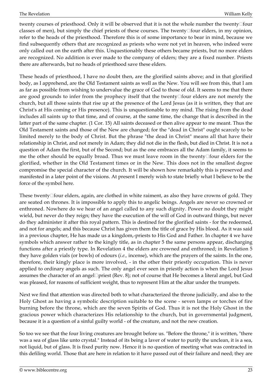twenty courses of priesthood. Only it will be observed that it is not the whole number the twenty□four classes of men), but simply the chief priests of these courses. The twenty□four elders, in my opinion, refer to the heads of the priesthood. Therefore this is of some importance to bear in mind, because we find subsequently others that are recognized as priests who were not yet in heaven, who indeed were only called out on the earth after this. Unquestionably these others became priests, but no more elders are recognized. No addition is ever made to the company of elders; they are a fixed number. Priests there are afterwards, but no heads of priesthood save these elders.

These heads of priesthood, I have no doubt then, are the glorified saints above; and in that glorified body, as I apprehend, are the Old Testament saints as well as the New. You will see from this, that I am as far as possible from wishing to undervalue the grace of God to those of old. It seems to me that there are good grounds to infer from the prophecy itself that the twenty□four elders are not merely the church, but all those saints that rise up at the presence of the Lord Jesus (as it is written, they that are Christ's at His coming or His presence). This is unquestionable to my mind. The rising from the dead includes all saints up to that time, and of course, at the same time, the change that is described in the latter part of the same chapter. (1 Cor. 15) All saints deceased or then alive appear to me meant. Thus the Old Testament saints and those of the New are changed; for the "dead in Christ" ought scarcely to be limited merely to the body of Christ. But the phrase "the dead in Christ" means all that have their relationship in Christ, and not merely in Adam; they did not die in the flesh, but died in Christ. It is not a question of Adam the first, but of the Second; but as the one embraces all the Adam family, it seems to me the other should be equally broad. Thus we must leave room in the twenty $\Box$  four elders for the glorified, whether in the Old Testament times or in the New. This does not in the smallest degree compromise the special character of the church. It will be shown how remarkably this is preserved and manifested in a later point of the visions. At present I merely wish to state briefly what I believe to be the force of the symbol here.

These twenty $\square$  four elders, again, are clothed in white raiment, as also they have crowns of gold. They are seated on thrones. It is impossible to apply this to angelic beings. Angels are never so crowned or enthroned. Nowhere do we hear of an angel called to any such dignity. Power no doubt they might wield, but never do they reign; they have the execution of the will of God in outward things, but never do they administer it after this royal pattern. This is destined for the glorified saints - for the redeemed, and not for angels; and this because Christ has given them the title of grace by His blood. As it was said in a previous chapter, He has made us a kingdom,-priests to His God and Father. In chapter 4 we have symbols which answer rather to the kingly title, as in chapter 5 the same persons appear, discharging functions after a priestly type. In Revelation 4 the elders are crowned and enthroned; in Revelation 5 they have golden vials (or bowls) of odours (*i.e.,* incense), which are the prayers of the saints. In the one, therefore, their kingly place is more involved, - in the other their priestly occupation. This is never applied to ordinary angels as such. The only angel ever seen in priestly action is when the Lord Jesus assumes the character of an angel $\Box$ priest (Rev. 8); not of course that He becomes a literal angel, but God was pleased, for reasons of sufficient weight, thus to represent Him at the altar under the trumpets.

Next we find that attention was directed both to what characterized the throne judicially, and also to the Holy Ghost as having a symbolic description suitable to the scene - seven lamps or torches of fire burning before the throne, which are the seven Spirits of God. Thus it is not the Holy Ghost in the gracious power which characterizes His relationship to the church, but in governmental judgment, because it is a question of a sinful guilty world - of the creature, and not the new creation.

So too we see that the four living creatures are brought before us. "Before the throne," it is written, "there was a sea of glass like unto crystal." Instead of its being a laver of water to purify the unclean, it is a sea, not liquid, but of glass. It is fixed purity now. Hence it is no question of meeting what was contracted in this defiling world. Those that are here in relation to it have passed out of their failure and need; they are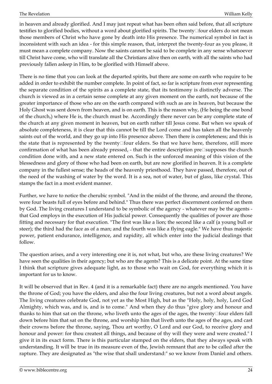in heaven and already glorified. And I may just repeat what has been often said before, that all scripture testifies to glorified bodies, without a word about glorified spirits. The twenty□four elders do not mean those members of Christ who have gone by death into His presence. The numerical symbol in fact is inconsistent with such an idea - for this simple reason, that, interpret the twenty-four as you please, it must mean a complete company. Now the saints cannot be said to be complete in any sense whatsoever till Christ have come, who will translate all the Christians alive then on earth, with all the saints who had previously fallen asleep in Him, to be glorified with Himself above.

There is no time that you can look at the departed spirits, but there are some on earth who require to be added in order to exhibit the number complete. In point of fact, so far is scripture from ever representing the separate condition of the spirits as a complete state, that its testimony is distinctly adverse. The church is viewed as in a certain sense complete at any given moment on the earth, not because of the greater importance of those who are on the earth compared with such as are in heaven, but because the Holy Ghost was sent down from heaven, and is on earth. This is the reason why, (He being the one bond of the church,) where He is, the church must be. Accordingly there never can be any complete state of the church at any given moment in heaven, but on earth rather till Jesus come. But when we speak of absolute completeness, it is clear that this cannot be till the Lord come and has taken all the heavenly saints out of the world, and they go up into His presence above. Then there is completeness; and this is the state that is represented by the twenty $\square$  four elders. So that we have here, therefore, still more confirmation of what has been already pressed,  $\overline{\ }$  that the entire description pre $\Box$ supposes the church condition done with, and a new state entered on. Such is the unforced meaning of this vision of the blessedness and glory of those who had been on earth, but are now glorified in heaven. It is a complete company in the fullest sense; the heads of the heavenly priesthood. They have passed, therefore, out of the need of the washing of water by the word. It is a sea, not of water, but of glass, like crystal. This stamps the fact in a most evident manner.

Further, we have to notice the cherubic symbol. "And in the midst of the throne, and around the throne, were four beasts full of eyes before and behind." Thus there was perfect discernment conferred on them by God. The living creatures I understand to be symbolic of the agency - whatever may be the agents that God employs in the execution of His judicial power. Consequently the qualities of power are those fitting and necessary for that execution. "The first was like a lion; the second like a calf (a young bull or steer); the third had the face as of a man; and the fourth was like a flying eagle." We have thus majestic power, patient endurance, intelligence, and rapidity, all which enter into the judicial dealings that follow.

The question arises, and a very interesting one it is, not what, but who, are these living creatures? We have seen the qualities in their agency; but who are the agents? This is a delicate point. At the same time I think that scripture gives adequate light, as to those who wait on God, for everything which it is important for us to know.

It will be observed that in Rev. 4 (and it is a remarkable fact) there are no angels mentioned. You have the throne of God; you have the elders, and also the four living creatures, but not a word about angels. The living creatures celebrate God, not yet as the Most High, but as the "Holy, holy, holy, Lord God Almighty, which was, and is, and is to come." And when they do thus "give glory and honour and thanks to him that sat on the throne, who liveth unto the ages of the ages, the twenty $\Box$  four elders fall down before him that sat on the throne, and worship him that liveth unto the ages of the ages, and cast their crowns before the throne, saying, Thou art worthy, O Lord and our God, to receive glory and honour and power: for thou createst all things, and because of thy will they were and were created." I give it in its exact form. There is this particular stamped on the elders, that they always speak with understanding. It will be true in its measure even of the, Jewish remnant that are to be called after the rapture. They are designated as "the wise that shall understand:" so we know from Daniel and others.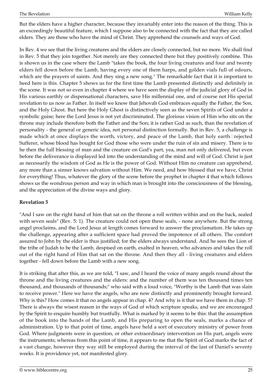But the elders have a higher character, because they invariably enter into the reason of the thing. This is an exceedingly beautiful feature, which I suppose also to be connected with the fact that they are called elders. They are those who have the mind of Christ. They apprehend the counsels and ways of God.

In Rev. 4 we see that the living creatures and the elders are closely connected, but no more. We shall find in Rev. 5 that they join together. Not merely are they connected there but they positively combine. This is shown us in the case where the Lamb "takes the book, the four living creatures and four and twenty elders fell down before the Lamb, having every one of them harps, and golden vials full of odours, which are the prayers of saints. And they sing a new song." The remarkable fact that it is important to heed here is this. Chapter 5 shows us for the first time the Lamb presented distinctly and definitely in the scene. It was not so even in chapter 4 where we have seen the display of the judicial glory of God in His various earthly or dispensational characters, save His millennial one, and of course not His special revelation to us now as Father. In itself we know that Jehovah God embraces equally the Father, the Son, and the Holy Ghost. But here the Holy Ghost is distinctively seen as the seven Spirits of God under a symbolic guise; here the Lord Jesus is not yet discriminated. The glorious vision of Him who sits on the throne may include therefore both the Father and the Son; it is rather God as such, than the revelation of personality - the general or generic idea, not personal distinction formally. But in Rev. 5, a challenge is made which at once displays the worth, victory, and peace of the Lamb, that holy earth $\Box$ rejected Sufferer, whose blood has bought for God those who were under the ruin of sin and misery. There is to he then the full blessing of man and the creature on God's part, yea, man not only delivered, but even before the deliverance is displayed led into the understanding of the mind and will of God. Christ is just as necessarily the wisdom of God as He is the power of God. Without Him no creature can apprehend, any more than a sinner knows salvation without Him. We need, and how blessed that we have, Christ for everything! Thus, whatever the glory of the scene before the prophet in chapter 4 that which follows shows us the wondrous person and way in which man is brought into the consciousness of the blessing, and the appreciation of the divine ways and glory.

#### <span id="page-24-0"></span>**Revelation 5**

"And I saw on the right hand of him that sat on the throne a roll written within and on the back, sealed with seven seals" (Rev. 5: 1). The creature could not open these seals, - none anywhere. But the strong angel proclaims, and the Lord Jesus at length comes forward to answer the proclamation. He takes up the challenge, appearing after a sufficient space had proved the impotence of all others. The comfort assured to John by the elder is thus justified; for the elders always understand. And he sees the Lion of the tribe of Judah to be the Lamb, despised on earth, exalted in heaven, who advances and takes the roll out of the right hand of Him that sat on the throne. And then they all - living creatures and elders together - fell down before the Lamb with a new song.

It is striking that after this, as we are told, "I saw, and I heard the voice of many angels round about the throne and the living creatures and the elders: and the number of them was ten thousand times ten thousand, and thousands of thousands;" who said with a loud voice, "Worthy is the Lamb that was slain to receive power." Here we have the angels, who are now distinctly and prominently brought forward. Why is this? How comes it that no angels appear in chap. 4? And why is it that we have them in chap. 5? There is always the wisest reason in the ways of God of which scripture speaks, and we are encouraged by the Spirit to enquire humbly but trustfully. What is marked by it seems to be this: that the assumption of the book into the hands of the Lamb, and His preparing to open the seals, marks a chance of administration. Up to that point of time, angels have held a sort of executory ministry of power from God. Where judgments were in question, or other extraordinary intervention on His part, angels were the instruments; whereas from this point of time, it appears to me that the Spirit of God marks the fact of a vast change, however they way still be employed during the interval of the last of Daniel's seventy weeks. It is providence yet, not manifested glory.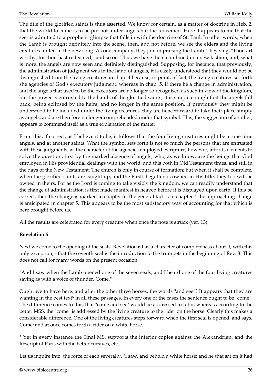The title of the glorified saints is thus asserted. We know for certain, as a matter of doctrine in Heb. 2, that the world to come is to be put not under angels but the redeemed. Here it appears to me that the seer is admitted to a prophetic glimpse that falls in with the doctrine of St. Paul. In other words, when the Lamb is brought definitely into the scene, then, and not before, we see the elders and the living creatures united in the new song. As one company, they join in praising the Lamb. They sing, "Thou art worthy, for thou hast redeemed," and so on. Thus we have them combined in a new fashion; and, what is more, the angels are now seen and definitely distinguished. Supposing, for instance, that previously, the administration of judgment was in the hand of angels, it is easily understood that they would not be distinguished from the living creatures in chap. 4 because, in point, of fact, the living creatures set forth she agencies of God's executory judgment; whereas in chap. 5, if there be a change in administration, and the angels that used to be the executors are no longer so recognised as such in view of the kingdom, but the power is entrusted to the hands of the glorified saints, it is simple enough that the angels fall back, being eclipsed by the heirs, and no longer in the same position. If previously they might be understood to be included under the living creatures, they are henceforward to take their place simply as angels, and are therefore no longer comprehended under that symbol. This, the suggestion of another, appears to commend itself as a true explanation of the matter.

From this, if correct, as I believe it to be, it follows that the four living creatures might be at one time angels, and at another saints. What the symbol sets forth is not so much the persons that are entrusted with these judgments, as the character of the agencies employed. Scripture, however, affords elements to solve the question, first by the marked absence of angels, who, as we know, are the beings that God employed in His providential dealings with the world, and this both in Old Testament times, and still in the days of the New Testament. The church is only in course of formation; but when it shall be complete, when the glorified saints are caught up, and the First<sup>n</sup>begotten is owned in His title, they too will be owned in theirs. For as the Lord is coming to take visibly the kingdom, we can readily understand that the change of administration is first made manifest in heaven before it is displayed upon earth. If this be correct, then the change is marked in chapter 5. The general fact is in chapter 4 the approaching change is anticipated in chapter 5. This appears to be the most satisfactory way of accounting for that which is here brought before us.

All the results are celebrated for every creature when once the note is struck (ver. 13).

#### <span id="page-25-0"></span>**Revelation 6**

Next we come to the opening of the seals. Revelation 6 has a character of completeness about it, with this only exception, - that the seventh seal is the introduction to the trumpets in the beginning of Rev. 8. This does not call for many words on the present occasion.

"And I saw when the Lamb opened one of the seven seals, and I heard one of the four living creatures saying as with a voice of thunder, Come."

Ought we to have here, and after the other three horses, the words "and see"? It appears that they are wanting in the best text\* in all these passages. In every one of the cases the sentence ought to be "come." The difference comes to this, that "come and see" would be addressed to John; whereas according to the better MSS. the "come" is addressed by the living creature to the rider on the horse. Clearly this makes a considerable difference. One of the living creatures steps forward when the first seal is opened, and says, Come; and at once comes forth a rider on a white horse.

\* Yet in every instance the Sinai MS. supports the inferior copies against the Alexandrian, and the Rescript of Paris with the better cursives, etc.

Let us inquire into, the force of each severally. "I saw, and behold a white horse: and he that sat on it had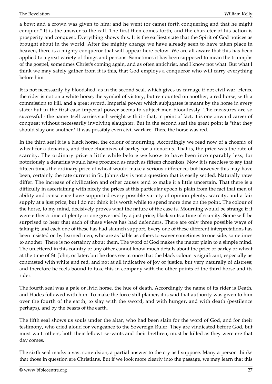a bow; and a crown was given to him: and he went (or came) forth conquering and that he might conquer." It is the answer to the call. The first then comes forth, and the character of his action is prosperity and conquest. Everything shows this. It is the earliest state that the Spirit of God notices as brought about in the world. After the mighty change we have already seen to have taken place in heaven, there is a mighty conqueror that will appear here below. We are all aware that this has been applied to a great variety of things and persons. Sometimes it has been supposed to mean the triumphs of the gospel, sometimes Christ's coming again, and as often antichrist, and I know not what. But what I think we may safely gather from it is this, that God employs a conqueror who will carry everything before him.

It is not necessarily by bloodshed, as in the second seal, which gives us carnage if not civil war. Hence the rider is not on a white horse, the symbol of victory; but remounted on another, a red horse, with a commission to kill, and a great sword. Imperial power which subjugates is meant by the horse in every state; but in the first case imperial power seems to subject men bloodlessly. The measures are so successful - the name itself carries such weight with it - that, in point of fact, it is one onward career of conquest without necessarily involving slaughter. But in the second seal the great point is "that they should slay one another." It was possibly even civil warfare. There the horse was red.

In the third seal it is a black horse, the colour of mourning. Accordingly we read now of a choenix of wheat for a denarius, and three choenixes of barley for a denarius. That is, the price was the rate of scarcity. The ordinary price a little while before we know to have been incomparably less; for notoriously a denarius would have procured as much as fifteen choenixes. Now it is needless to say that fifteen times the ordinary price of wheat would make a serious difference; but however this may have been, certainly the rate current in St. John's day is not a question that is easily settled. Naturally rates differ. The increase of civilization and other causes tend to make it a little uncertain. That there is a difficulty in ascertaining with nicety the prices at this particular epoch is plain from the fact that men of ability and conscience have supported every possible variety of opinion plenty, scarcity, and a fair supply at a just price; but I do not think it is worth while to spend more time on the point. The colour of the horse, to my mind, decisively proves what the nature of the case is. Mourning would be strange if it were either a time of plenty or one governed by a just price; black suits a time of scarcity. Some will be surprised to hear that each of these views has had defenders. There are only three possible ways of taking it; and each one of these has had staunch support. Every one of these different interpretations has been insisted on by learned men, who are as liable as others to waver sometimes to one side, sometimes to another. There is no certainty about them. The word of God makes the matter plain to a simple mind. The unlettered in this country or any other cannot know much details about the price of barley or wheat at the time of St. John, or later; but he does see at once that the black colour is significant, especially as contrasted with white and red, and not at all indicative of joy or justice, but very naturally of distress; and therefore he feels bound to take this in company with the other points of the third horse and its rider.

The fourth seal was a pale or livid horse, the hue of death. Accordingly the name of its rider is Death, and Hades followed with him. To make the force still plainer, it is said that authority was given to him over the fourth of the earth, to slay with the sword, and with hunger, and with death (pestilence perhaps), and by the beasts of the earth.

The fifth seal shows us souls under the altar, who had been slain for the word of God, and for their testimony, who cried aloud for vengeance to the Sovereign Ruler. They are vindicated before God, but must wait: others, both their fellow $\square$ servants and their brethren, must be killed as they were ere that day comes.

The sixth seal marks a vast convulsion, a partial answer to the cry as I suppose. Many a person thinks that those in question are Christians. But if we look more clearly into the passage, we may learn that this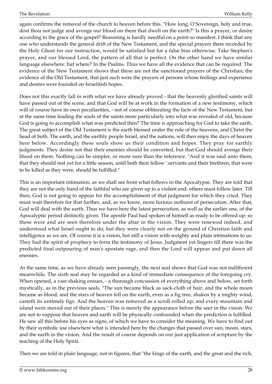again confirms the removal of the church to heaven before this. "How long, O Sovereign, holy and true, dost thou not judge and avenge our blood on them that dwell on the earth?" Is this a prayer, or desire according to the grace of the gospel? Reasoning is hardly needful on a point so manifest. I think that any one who understands the general drift of the New Testament, and the special prayers there recorded by the Holy Ghost for our instruction, would be satisfied but for a false bias otherwise. Take Stephen's prayer, and our blessed Lord, the pattern of all that is perfect. On the other hand we have similar language elsewhere: but where? In the Psalms. Thus we have all the evidence that can be required. The evidence of the New Testament shows that these are not the sanctioned prayers of the Christian; the evidence of the Old Testament, that just such were the prayers of persons whose feelings and experience and desires were founded on Israelitish hopes.

Does not this exactly fall in with what we have already proved - that the heavenly glorified saints will have passed out of the scene, and that God will be at work in the formation of a new testimony, which will of course have its own peculiarities, - not of course obliterating the facts of the New Testament, but at the same time leading the souls of the saints more particularly into what was revealed of old, because God is going to accomplish what was predicted then? The time is approaching for God to take the earth. The great subject of the Old Testament is the earth blessed under the rule of the heavens, and Christ the head of both. The earth, and the earthly people Israel, and the nations, will then enjoy the days of heaven here below. Accordingly these souls show us their condition and hopes. They pray for earthly judgments. They desire not that their enemies should be converted, but that God should avenge their blood on them. Nothing can be simpler, or more sure than the inference. "And it was said unto them, that they should rest yet for a little season, until both their fellow□servants and their brethren, that were to be killed as they were, should be fulfilled."

This is an important intimation, as we shall see from what follows in the Apocalypse. They are told that they are not the only band of the faithful who are given up to a violent end: others must follow later. Till then, God is not going to appear for the accomplishment of that judgment for which they cried. They must wait therefore for that further, and, as we know, more furious outburst of persecution. After that, God will deal with the earth. Thus we have here the latest persecution, as well as the earlier one, of the Apocalyptic period distinctly given. The apostle Paul had spoken of himself as ready to be offered up: so these were and are seen therefore under the altar in the vision. They were renewed indeed, and understood what Israel ought to do; but they were clearly not on the ground of Christian faith and intelligence as we are. Of course it is a vision, but still a vision with weighty and plain intimations to us. They had the spirit of prophecy to form the testimony of Jesus. Judgment yet lingers till there was the predicted final outpouring of man's apostate rage, and then the Lord will appear and put down all enemies.

At the same time, as we have already seen passingly, the next seal shows that God was not indifferent meanwhile. The sixth seal may be regarded as a kind of immediate consequence of the foregoing cry. When opened, a vast shaking ensues, - a thorough concussion of everything above and below, set forth mystically, as in the previous seals. "The sun became black as sack-cloth of hair, and the whole moon became as blood; and the stars of heaven fell on the earth, even as a fig tree, shaken by a mighty wind, casteth its untimely figs. And the heaven was removed as a scroll rolled up; and every mountain and island were moved out of their places." This is merely the appearance before the seer in the vision. We are not to suppose that heaven and earth will be physically confounded when the prediction is fulfilled. He saw all this before his eyes as signs, of which we have to consider the meaning. We have to find out by their symbolic use elsewhere what is intended here by the changes that passed over sun, moon, stars, and the earth in the vision. And the result of course depends on our just application of scripture by the teaching of the Holy Spirit.

Then we are told in plain language, not in figures, that "the kings of the earth, and the great and the rich,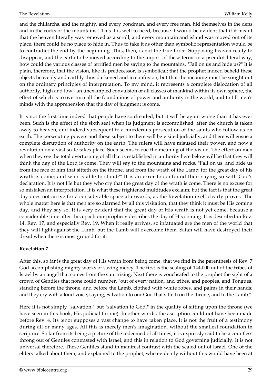and the chiliarchs, and the mighty, and every bondman, and every free man, hid themselves in the dens and in the rocks of the mountains." This it is well to heed, because it would be evident that if it meant that the heaven literally was removed as a scroll, and every mountain and island was moved out of its place, there could be no place to hide in. Thus to take it as other than symbolic representation would be to contradict the end by the beginning. This, then, is not the true force. Supposing heaven really to disappear, and the earth to be moved according to the import of these terms in a pseudo $\Box$ literal way, how could the various classes of terrified men be saying to the mountains, "Fall on us and hide us?" It is plain, therefore, that the vision, like its predecessor, is symbolical; that the prophet indeed beheld these objects heavenly and earthly thus darkened and in confusion; but that the meaning must be sought out on the ordinary principles of interpretation. To my mind, it represents a complete dislocation of all authority, high and low - an unexampled convulsion of all classes of mankind within its own sphere, the effect of which is to overturn all the foundations of power and authority in the world, and to fill men's minds with the apprehension that the day of judgment is come.

It is not the first time indeed that people have so dreaded, but it will be again worse than it has ever been. Such is the effect of the sixth seal when its judgment is accomplished, after the church is taken away to heaven, and indeed subsequent to a murderous persecution of the saints who follow us on earth. The persecuting powers and those subject to them will be visited judicially, and there will ensue a complete disruption of authority on the earth. The rulers will have misused their power, and now a revolution on a vast scale takes place. Such seems to rue the meaning of the vision. The effect on men when they see the total overturning of all that is established in authority here below will be that they will think the day of the Lord is come. They will say to the mountains and rocks, "Fall on us, and hide us from the face of him that sitteth on the throne, and from the wrath of the Lamb: for the great day of his wrath is come; and who is able to stand?" It is an error to confound their saying so with God's declaration. It is not He but they who cry that the great day of the wrath is come. There is no excuse for so mistaken an interpretation. It is what these frightened multitudes exclaim; but the fact is that the great day does not arrive for a considerable space afterwards, as the Revelation itself clearly proves. The whole matter here is that men are so alarmed by all this visitation, that they think it must be His coming day, and they say so. It is very evident that the great day of His wrath is not yet come, because a considerable time after this epoch our prophecy describes the day of His coming. It is described in Rev. 14, Rev. 17, and especially Rev. 19. When it really arrives, so infatuated are the men of the world that they will fight against the Lamb, but the Lamb will overcome them. Satan will have destroyed their dread when there is most ground for it.

#### <span id="page-28-0"></span>**Revelation 7**

After this, so far is the great day of His wrath from being come, that we find in the parenthesis of Rev. 7 God accomplishing mighty works of saving mercy. The first is the sealing of 144,000 out of the tribes of Israel by an angel that comes from the sun $\Box$ rising. Next there is vouchsafed to the prophet the sight of a crowd of Gentiles that none could number, "out of every nation, and tribes, and peoples, and Tongues, standing before the throne, and before the Lamb, clothed with white robes, and palms in their hands; and they cry with a loud voice, saying, Salvation to our God that sitteth on the throne, and to the Lamb."

Here it is not simply "salvation," but "salvation to God," in the quality of sitting upon the throne (we have seen in this book, His judicial throne). In other words, the ascription could not have been made before Rev. 4. Its tenor supposes a vast change to have taken place. It is not the fruit of a testimony during all or many ages. All this is merely men's imagination, without the smallest foundation in scripture. So far from its being a picture of the redeemed of all times, it is expressly said to be a countless throng out of Gentiles contrasted with Israel, and this in relation to God governing judicially. It is not universal therefore. These Gentiles stand in manifest contrast with the sealed out of Israel. One of the elders talked about them, and explained to the prophet, who evidently without this would have been at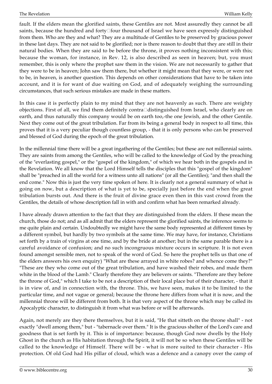fault. If the elders mean the glorified saints, these Gentiles are not. Most assuredly they cannot be all saints, because the hundred and forty□four thousand of Israel we have seen expressly distinguished from them. Who are they and what? They are a multitude of Gentiles to be preserved by gracious power in these last days. They are not said to be glorified; nor is there reason to doubt that they are still in their natural bodies. When they are said to be before the throne, it proves nothing inconsistent with this; because the woman, for instance, in Rev. 12, is also described as seen in heaven; but, you must remember, this is only where the prophet saw them in the vision. We are not necessarily to gather that they were to be in heaven; John saw them there, but whether it might mean that they were, or were not to be, in heaven, is another question. This depends on other considerations that have to be taken into account, and it is for want of due waiting on God, and of adequately weighing the surrounding circumstances, that such serious mistakes are made in these matters.

In this case it is perfectly plain to my mind that they are not heavenly as such. There are weighty objections. First of all, we find them definitely contra□distinguished from Israel, who clearly are on earth, and thus naturally this company would be on earth too,-the one Jewish, and the other Gentile. Next they come out of the great tribulation. Far from its being a general body in respect to all time, this proves that it is a very peculiar though countless group, - that it is only persons who can be preserved and blessed of God during the epoch of the great tribulation.

In the millennial time there will be a great ingathering of the Gentiles; but these are not millennial saints. They are saints from among the Gentiles, who will be called to the knowledge of God by the preaching of the "everlasting gospel," or the "gospel of the kingdom," of which we hear both in the gospels and in the Revelation. We all know that the Lord Himself tells the disciples that this "gospel of the kingdom" shall be "preached in all the world for a witness unto all nations" (or all the Gentiles); "and then shall the end come." Now this is just the very time spoken of here. It is clearly not a general summary of what is going on now, but a description of what is yet to be, specially just before the end when the great tribulation bursts out. And there is the fruit of divine grace even then in this vast crowd from the Gentiles, the details of whose description fall in with and confirm what has been remarked already.

I have already drawn attention to the fact that they are distinguished from the elders. If these mean the church, those do not; and as all admit that the elders represent the glorified saints, the inference seems to me quite plain and certain. Undoubtedly we might have the same body represented at different times by a different symbol, but hardly by two symbols at the same time. We may have, for instance, Christians set forth by a train of virgins at one time, and by the bride at another; but in the same parable there is a careful avoidance of confusion; and no such incongruous mixture occurs in scripture. It is not even found amongst sensible men, not to speak of the word of God. So here the prophet tells us that one of the elders answers his own enquiry) "What are these arrayed in white robes? and whence come they?" "These are they who come out of the great tribulation, and have washed their robes, and made them white in the blood of the Lamb." Clearly therefore they are believers or saints. "Therefore are they before the throne of God," which I take to be not a description of their local place but of their character, - that it is in view of, and in connection with, the throne. This, we have seen, makes it to be limited to the particular time, and not vague or general; because the throne here differs from what it is now, and the millennial throne will be different from both. It is that very aspect of the throne which may be called its Apocalyptic character, to distinguish it from what was before or will be afterwards.

Again, not merely are they there themselves, but it is said, "He that sitteth on the throne shall" - not exactly "dwell among them," but - "tabernacle over them." It is the gracious shelter of the Lord's care and goodness that is set forth by it. This is of importance: because, though God now dwells by the Holy Ghost in the church as His habitation through the Spirit, it will not be so when these Gentiles will be called to the knowledge of Himself. There will be - what is more suited to their character - His protection. Of old God had His pillar of cloud, which was a defence and a canopy over the camp of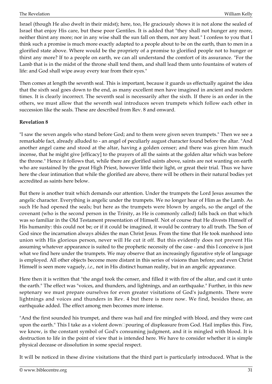Israel (though He also dwelt in their midst); here, too, He graciously shows it is not alone the sealed of Israel that enjoy His care, but these poor Gentiles. It is added that "they shall not hunger any more, neither thirst any more; nor in any wise shall the sun fall on them, nor any heat." I confess to you that I think such a promise is much more exactly adapted to a people about to be on the earth, than to men in a glorified state above. Where would be the propriety of a promise to glorified people not to hunger or thirst any more? If to a people on earth, we can all understand the comfort of its assurance. "For the Lamb that is in the midst of the throne shall tend them, and shall lead them unto fountains of waters of life: and God shall wipe away every tear from their eyes."

Then comes at length the seventh seal. This is important, because it guards us effectually against the idea that the sixth seal goes down to the end, as many excellent men have imagined in ancient and modern times. It is clearly incorrect. The seventh seal is necessarily after the sixth. If there is an order in the others, we must allow that the seventh seal introduces seven trumpets which follow each other in succession like the seals. These are described from Rev. 8 and onward.

#### <span id="page-30-0"></span>**Revelation 8**

"I saw the seven angels who stand before God; and to them were given seven trumpets." Then we see a remarkable fact, already alluded to - an angel of peculiarly august character found before the altar. "And another angel came and stood at the altar, having a golden censer; and there was given him much incense, that he might give [efficacy] to the prayers of all the saints at the golden altar which was before the throne." Hence it follows that, while there are glorified saints above, saints are not wanting on earth who are sustained by the great High Priest, however little their light, or great their trial. Thus we have here the clear intimation that while the glorified are above, there will be others in their natural bodies yet accredited as saints here below.

But there is another trait which demands our attention. Under the trumpets the Lord Jesus assumes the angelic character. Everything is angelic under the trumpets. We no longer hear of Him as the Lamb. As such He had opened the seals; but here as the trumpets were blown by angels, so the angel of the covenant (who is the second person in the Trinity, as He is commonly called) falls back on that which was so familiar in the Old Testament presentation of Himself. Not of course that He divests Himself of His humanity: this could not be; or if it could be imagined, it would be contrary to all truth. The Son of God since the incarnation always abides the man Christ Jesus. From the time that He took manhood into union with His glorious person, never will He cut it off. But this evidently does not prevent His assuming whatever appearance is suited to the prophetic necessity of the case - and this I conceive is just what we find here under the trumpets. We may observe that an increasingly figurative style of language is employed. All other objects become more distant in this series of visions than before; and even Christ Himself is seen more vaguely, *i.e.,* not in His distinct human reality, but in an angelic appearance.

Here then it is written that "the angel took the censer, and filled it with fire of the altar, and cast it unto the earth." The effect was "voices, and thunders, and lightnings, and an earthquake." Further, in this new septenary we must prepare ourselves for even greater visitations of God's judgments. There were lightnings and voices and thunders in Rev. 4 but there is more now. We find, besides these, an earthquake added. The effect among men becomes more intense.

"And the first sounded his trumpet, and there was hail and fire mingled with blood, and they were cast upon the earth." This I take as a violent down $\Box$ pouring of displeasure from God. Hail implies this. Fire, we know, is the constant symbol of God's consuming judgment, and it is mingled with blood. It is destruction to life in the point of view that is intended here. We have to consider whether it is simple physical decease or dissolution in some special respect.

It will be noticed in these divine visitations that the third part is particularly introduced. What is the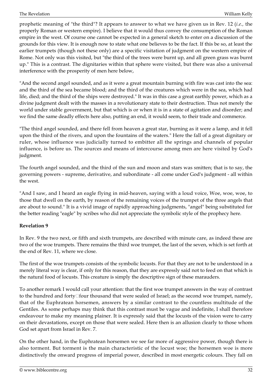prophetic meaning of "the third"? It appears to answer to what we have given us in Rev. 12 (*i.e.,* the properly Roman or western empire). I believe that it would thus convey the consumption of the Roman empire in the west. Of course one cannot be expected in a general sketch to enter on a discussion of the grounds for this view. It is enough now to state what one believes to be the fact. If this be so, at least the earlier trumpets (though not these only) are a specific visitation of judgment on the western empire of Rome. Not only was this visited, but "the third of the trees were burnt up, and all green grass was burnt up." This is a contrast. The dignitaries within that sphere were visited, but there was also a universal interference with the prosperity of men here below,

"And the second angel sounded, and as it were a great mountain burning with fire was cast into the sea: and the third of the sea became blood; and the third of the creatures which were in the sea, which had life, died; and the third of the ships were destroyed." It was in this case a great earthly power, which as a divine judgment dealt with the masses in a revolutionary state to their destruction. Thus not merely the world under stable government, but that which is or when it is in a state of agitation and disorder; and we find the same deadly effects here also, putting an end, it would seem, to their trade and commerce.

"The third angel sounded, and there fell from heaven a great star, burning as it were a lamp, and it fell upon the third of the rivers, and upon the fountains of the waters." Here the fall of a great dignitary or ruler, whose influence was judicially turned to embitter all the springs and channels of popular influence, is before us. The sources and means of intercourse among men are here visited by God's judgment.

The fourth angel sounded, and the third of the sun and moon and stars was smitten; that is to say, the governing powers - supreme, derivative, and subordinate - all come under God's judgment - all within the west.

"And I saw, and I heard an eagle flying in mid-heaven, saying with a loud voice, Woe, woe, woe, to those that dwell on the earth, by reason of the remaining voices of the trumpet of the three angels that are about to sound." It is a vivid image of rapidly approaching judgments, "angel" being substituted for the better reading "eagle" by scribes who did not appreciate the symbolic style of the prophecy here.

#### <span id="page-31-0"></span>**Revelation 9**

In Rev. 9 the two next, or fifth and sixth trumpets, are described with minute care, as indeed these are two of the woe trumpets. There remains the third woe trumpet, the last of the seven, which is set forth at the end of Rev. 11, where we close.

The first of the woe trumpets consists of the symbolic locusts. For that they are not to be understood in a merely literal way is clear, if only for this reason, that they are expressly said not to feed on that which is the natural food of locusts. This creature is simply the descriptive sign of these marauders.

To another remark I would call your attention: that the first woe trumpet answers in the way of contrast to the hundred and forty $\square$  four thousand that were sealed of Israel; as the second woe trumpet, namely, that of the Euphratean horsemen, answers by a similar contrast to the countless multitude of the Gentiles. As some perhaps may think that this contrast must be vague and indefinite, I shall therefore endeavour to make my meaning plainer. It is expressly said that the locusts of the vision were to carry on their devastations, except on those that were sealed. Here then is an allusion clearly to those whom God set apart from Israel in Rev. 7.

On the other hand, in the Euphratean horsemen we see far more of aggressive power, though there is also torment. But torment is the main characteristic of the locust woe; the horsemen woe is more distinctively the onward progress of imperial power, described in most energetic colours. They fall on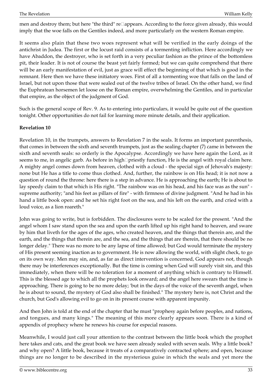men and destroy them; but here "the third" re□appears. According to the force given already, this would imply that the woe falls on the Gentiles indeed, and more particularly on the western Roman empire.

It seems also plain that these two woes represent what will be verified in the early doings of the antichrist in Judea. The first or the locust raid consists of a tormenting infliction. Here accordingly we have Abaddon, the destroyer, who is set forth in a very peculiar fashion as the prince of the bottomless pit, their leader. It is not of course the beast yet fairly formed; but we can quite comprehend that there will be an early manifestation of evil, just as grace will effect the beginning of that which is good in the remnant. Here then we have these initiatory woes. First of all a tormenting woe that falls on the land of Israel, but not upon those that were sealed out of the twelve tribes of Israel. On the other hand, we find the Euphratean horsemen let loose on the Roman empire, overwhelming the Gentiles, and in particular that empire, as the object of the judgment of God.

Such is the general scope of Rev. 9. As to entering into particulars, it would be quite out of the question tonight. Other opportunities do not fail for learning more minute details, and their application.

#### <span id="page-32-0"></span>**Revelation 10**

Revelation 10, in the trumpets, answers to Revelation 7 in the seals. It forms an important parenthesis, that comes in between the sixth and seventh trumpets, just as the sealing chapter (7) came in between the sixth and seventh seals: so orderly is the Apocalypse. Accordingly we have here again the Lord, as it seems to me, in angelic garb. As before in high $\Box$ priestly function, He is the angel with royal claim here. A mighty angel comes down from heaven, clothed with a cloud - the special sign of Jehovah's majesty: none but He has a title to come thus clothed. And, further, the rainbow is on His head; it is not now a question of round the throne: here there is a step in advance. He is approaching the earth; He is about to lay speedy claim to that which is His right. "The rainbow was on his head, and his face was as the sun" supreme authority; "and his feet as pillars of fire" - with firmness of divine judgment. "And he had in his hand a little book open: and he set his right foot on the sea, and his left on the earth, and cried with a loud voice, as a lion roareth."

John was going to write, but is forbidden. The disclosures were to be scaled for the present. "And the angel whom I saw stand upon the sea and upon the earth lifted up his right hand to heaven, and sware by him that liveth for the ages of the ages, who created heaven, and the things that therein are, and the earth, and the things that therein are, and the sea, and the things that are therein, that there should be no longer delay." There was no more to be any lapse of time allowed; but God would terminate the mystery of His present seeming inaction as to government. He is now allowing the world, with slight check, to go on its own way. Men may sin, and, as far as direct intervention is concerned, God appears not, though there may be interferences exceptionally. But the time is coming when God will surely visit sin, and this immediately, when there will be no toleration for a moment of anything which is contrary to Himself. This is the blessed age to which all the prophets look onward; and the angel here swears that the time is approaching. There is going to be no more delay; 'but in the days of the voice of the seventh angel, when he is about to sound, the mystery of God also shall be finished." The mystery here is, not Christ and the church, but God's allowing evil to go on in its present course with apparent impunity.

And then John is told at the end of the chapter that he must "prophesy again before peoples, and nations, and tongues, and many kings." The meaning of this more clearly appears soon. There is a kind of appendix of prophecy where he renews his course for especial reasons.

Meanwhile, I would just call your attention to the contrast between the little book which the prophet here takes and cats, and the great book we have seen already sealed with seven seals. Why a little book? and why open? A little book, because it treats of a comparatively contracted sphere; and open, because things are no longer to be described in the mysterious guise in which the seals and yet more the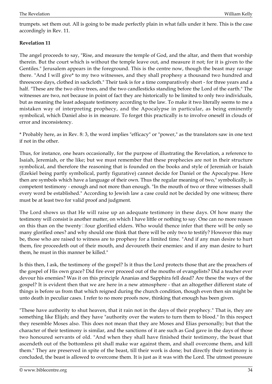trumpets. set them out. All is going to be made perfectly plain in what falls under it here. This is the case accordingly in Rev. 11.

#### <span id="page-33-0"></span>**Revelation 11**

The angel proceeds to say, "Rise, and measure the temple of God, and the altar, and them that worship therein. But the court which is without the temple leave out, and measure it not; for it is given to the Gentiles." Jerusalem appears in the foreground. This is the centre now, though the beast may ravage there. "And I will give\* to my two witnesses, and they shall prophesy a thousand two hundred and threescore days, clothed in sackcloth." Their task is for a time comparatively short - for three years and a half. "These are the two olive trees, and the two candlesticks standing before the Lord of the earth." The witnesses are two, not because in point of fact they are historically to be limited to only two individuals, but as meaning the least adequate testimony according to the law. To make it two literally seems to me a mistaken way of interpreting prophecy, and the Apocalypse in particular, as being eminently symbolical, which Daniel also is in measure. To forget this practically is to involve oneself in clouds of error and inconsistency.

\* Probably here, as in Rev. 8: 3, the word implies "efficacy" or "power," as the translators saw in one text if not in the other.

Thus, for instance, one hears occasionally, for the purpose of illustrating the Revelation, a reference to Isaiah, Jeremiah, or the like; but we must remember that these prophecies are not in their structure symbolical, and therefore the reasoning that is founded on the books and style of Jeremiah or Isaiah (Ezekiel being partly symbolical, partly figurative) cannot decide for Daniel or the Apocalypse. Here then are symbols which have a language of their own. Thus the regular meaning of two," symbolically, is competent testimony - enough and not more than enough. "In the mouth of two or three witnesses shall every word be established." According to Jewish law a case could not be decided by one witness; there must be at least two for valid proof and judgment.

The Lord shows us that He will raise up an adequate testimony in these days. Of how many the testimony will consist is another matter, on which I have little or nothing to say. One can no more reason on this than on the twenty $\square$  four glorified elders. Who would thence infer that there will be only so many glorified ones? and why should one think that there will be only two to testify? However this may be, those who are raised to witness are to prophesy for a limited time. "And if any man desire to hurt them, fire proceedeth out of their mouth, and devoureth their enemies: and if any man desire to hurt them, he must in this manner be killed."

Is this then, I ask, the testimony of the gospel? Is it thus the Lord protects those that are the preachers of the gospel of His own grace? Did fire ever proceed out of the mouths of evangelists? Did a teacher ever devour his enemies? Was it on this principle Ananias and Sapphira fell dead? Are these the ways of the gospel? It is evident then that we are here in a new atmosphere - that an altogether different state of things is before us from that which reigned during the church condition, though even then sin might be unto death in peculiar cases. I refer to no more proofs now, thinking that enough has been given.

"These have authority to shut heaven, that it rain not in the days of their prophecy." That is, they are something like Elijah; and they have "authority over the waters to turn them to blood." In this respect they resemble Moses also. This does not mean that they are Moses and Elias personally; but that the character of their testimony is similar, and the sanctions of it are such as God gave in the days of those two honoured servants of old. "And when they shall have finished their testimony, the beast that ascendeth out of the bottomless pit shall make war against them, and shall overcome them, and kill them." They are preserved in spite of the beast, till their work is done; but directly their testimony is concluded, the beast is allowed to overcome them. It is just as it was with the Lord. The utmost pressure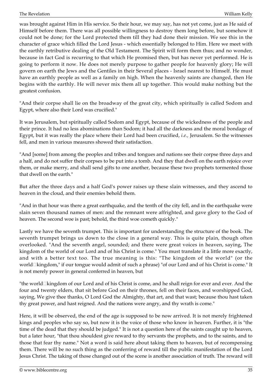was brought against Him in His service. So their hour, we may say, has not yet come, just as He said of Himself before them. There was all possible willingness to destroy them long before, but somehow it could not be done; for the Lord protected them till they had done their mission. We see this in the character of grace which filled the Lord Jesus - which essentially belonged to Him. Here we meet with the earthly retributive dealing of the Old Testament. The Spirit will form them thus; and no wonder, because in fact God is recurring to that which He promised then, but has never yet performed. He is going to perform it now. He does not merely purpose to gather people for heavenly glory; He will govern on earth the Jews and the Gentiles in their Several places - Israel nearest to Himself. He must have an earthly people as well as a family on high. When the heavenly saints are changed, then He begins with the earthly. He will never mix them all up together. This would make nothing but the greatest confusion.

"And their corpse shall lie on the broadway of the great city, which spiritually is called Sodom and Egypt, where also their Lord was crucified."

It was Jerusalem, but spiritually called Sodom and Egypt, because of the wickedness of the people and their prince. It had no less abominations than Sodom; it had all the darkness and the moral bondage of Egypt, but it was really the place where their Lord had been crucified, *i.e.,* Jerusalem. So the witnesses fell, and men in various measures showed their satisfaction.

"And [some] from among the peoples and tribes and tongues and nations see their corpse three days and a half, and do not suffer their corpses to be put into a tomb. And they that dwell on the earth rejoice over them, or make merry, and shall send gifts to one another, because these two prophets tormented those that dwell on the earth."

But after the three days and a half God's power raises up these slain witnesses, and they ascend to heaven in the cloud, and their enemies behold them.

"And in that hour was there a great earthquake, and the tenth of the city fell, and in the earthquake were slain seven thousand names of men: and the remnant were affrighted, and gave glory to the God of heaven. The second woe is past; behold, the third woe cometh quickly."

Lastly we have the seventh trumpet. This is important for understanding the structure of the book. The seventh trumpet brings us down to the close in a general way. This is quite plain, though often overlooked. "And the seventh angel, sounded; and there were great voices in heaven, saying, The kingdom of the world of our Lord and of his Christ is come." You must translate it a little more exactly, and with a better text too. The true meaning is this: "The kingdom of the world" (or the world□kingdom," if our tongue would admit of such a phrase) "of our Lord and of his Christ is come." It is not merely power in general conferred in heaven, but

"the world $\Box$ kingdom of our Lord and of his Christ is come, and he shall reign for ever and ever. And the four and twenty elders, that sit before God on their thrones, fell on their faces, and worshipped God, saying, We give thee thanks, O Lord God the Almighty, that art, and that wast; because thou hast taken thy great power, and hast reigned. And the nations were angry, and thy wrath is come."

Here, it will be observed, the end of the age is supposed to be now arrived. It is not merely frightened kings and peoples who say so, but now it is the voice of those who know in heaven. Further, it is "the time of the dead that they should be judged." It is not a question here of the saints caught up to heaven, but a later hour, "that thou shouldest give reward to thy servants the prophets, and to the saints, and to those that fear thy name." Not a word is said here about taking them to heaven, but of recompensing them. There will be no such thing as the conferring of reward till the public manifestation of the Lord Jesus Christ. The taking of those changed out of the scene is another association of truth. The reward will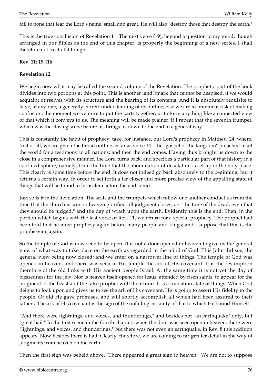fail to none that fear the Lord's name, small and great. He will also "destroy those that destroy the earth."

This is the true conclusion of Revelation 11. The next verse (19), beyond a question to my mind, though arranged in our Bibles as the end of this chapter, is properly the beginning of a new series. I shall therefore not treat of it tonight.

#### **Rev. 11: 19‑16**

#### <span id="page-35-0"></span>**Revelation 12**

We begin now what may be called the second volume of the Revelation. The prophetic part of the book divides into two portions at this point. This is another land□mark that cannot be despised, if we would acquaint ourselves with its structure and the bearing of its contents. And it is absolutely requisite to have, at any rate, a generally correct understanding of its outline; else we are in imminent risk of making confusion, the moment we venture to put the parts together, or to form anything like a connected view of that which it conveys to us. The meaning will be made plainer, if I repeat that the seventh trumpet, which was the closing scene before us, brings us down to the end in a general way.

This is constantly the habit of prophecy: take, for instance, our Lord's prophecy in Matthew 24, where, first of all, we are given the broad outline as far as verse 14 - the "gospel of the kingdom" preached in all the world for a testimony to all nations; and then the end comes. Having thus brought us down to the close in a comprehensive manner, the Lord turns back, and specifies a particular part of that history in a confined sphere, namely, from the time that the abomination of desolation is set up in the holy place. This clearly is some time before the end. It does not indeed go back absolutely to the beginning, but it returns a certain way, in order to set forth a far closer and more precise view of the appalling state of things that will be found in Jerusalem before the end comes.

Just so is it in the Revelation. The seals and the trumpets which follow one another conduct us from the time that the church is seen in heaven glorified till judgment closes, *i.e.* "the time of the dead, even that they should be judged," and the day of wrath upon the earth. Evidently this is the end. Then, in the portion which begins with the last verse of Rev. 11, we return for a special prophecy. The prophet had been told that he must prophesy again before many people and kings; and I suppose that this is the prophesying again.

So the temple of God is now seen to be open. It is not a door opened in heaven to give us the general view of what was to take place on the earth as regarded in the mind of God. This John did see, the general view being now closed; and we enter on a narrower line of things. The temple of God was opened in heaven, and there was seen in His temple the ark of His covenant. It is the resumption therefore of the old links with His ancient people Israel. At the same time it is not yet the day of blessedness for the Jew. Nor is heaven itself opened for Jesus, attended by risen saints, to appear for the judgment of the beast and the false prophet with their train. It is a transition state of things. When God deigns to look upon and gives us to see the ark of His covenant, He is going to assert His fidelity to the people. Of old He gave promises, and will shortly accomplish all which had been assured to their fathers. The ark of His covenant is the sign of the unfailing certainty of that to which He bound Himself.

"And there were lightnings, and voices, and thunderings," and besides not "an earthquake" only, but "great hail." In the first scene in the fourth chapter, when the door was seen open in heaven, there were "lightnings, and voices, and thunderings," but there was not even an earthquake. In Rev. 8 this addition appears. Now besides there is hail. Clearly, therefore, we are coming to far greater detail in the way of judgments from heaven on the earth.

Then the first sign was beheld above. "There appeared a great sign in heaven." We are not to suppose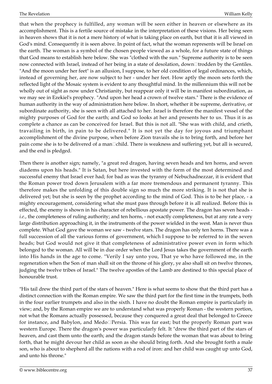that when the prophecy is fulfilled, any woman will be seen either in heaven or elsewhere as its accomplishment. This is a fertile source of mistake in the interpretation of these visions. Her being seen in heaven shows that it is not a mere history of what is taking place on earth, but that it is all viewed in God's mind. Consequently it is seen above. In point of fact, what the woman represents will be Israel on the earth. The woman is a symbol of the chosen people viewed as a whole, for a future state of things that God means to establish here below. She was "clothed with the sun." Supreme authority is to be seen now connected with Israel, instead of her being in a state of desolation, down□trodden by the Gentiles. "And the moon under her feet" is an allusion, I suppose, to her old condition of legal ordinances, which, instead of governing her, are now subject to her - under her feet. How aptly the moon sets forth the reflected light of the Mosaic system is evident to any thoughtful mind. In the millennium this will not be wholly out of sight as now under Christianity, but reappear only it will be in manifest subordination, as we may see in Ezekiel's prophecy. "And upon her head a crown of twelve stars." There is the evidence of human authority in the way of administration here below. In short, whether it be supreme, derivative, or subordinate authority, she is seen with all attached to her. Israel is therefore the manifest vessel of the mighty purposes of God for the earth; and God so looks at her and presents her to us. Thus it is as complete a chance as can be conceived for Israel. But this is not all. "She was with child, and crieth, travailing in birth, in pain to be delivered." It is not yet the day for joyous and triumphant accomplishment of the divine purpose, when before Zion travails she is to bring forth, and before her pain come she is to be delivered of a man□child. There is weakness and suffering yet, but all is secured, and the end is pledged.

Then there is another sign; namely, "a great red dragon, having seven heads and ten horns, and seven diadems upon his heads." It is Satan, but here invested with the form of the most determined and successful enemy that Israel ever had; for bad as was the tyranny of Nebuchadnezzar, it is evident that the Roman power trod down Jerusalem with a far more tremendous and permanent tyranny. This therefore makes the unfolding of this double sign so much the more striking. It is not that she is delivered yet; but she is seen by the prophet according to the mind of God. This is to be her place, - a mighty encouragement, considering what she must pass through before it is all realized. Before this is effected, the enemy is shown in his character of rebellious apostate power. The dragon has seven heads *i.e.*, the completeness of ruling authority; and ten horns, - not exactly completeness, but at any rate a very large distribution approaching it, in the instruments of the power wielded in the west. Man is never thus complete. What God gave the woman we saw - twelve stars. The dragon has only ten horns. There was a full succession of all the various forms of government, which I suppose to be referred to in the seven heads; but God would not give it that completeness of administrative power even in form which belonged to the woman. All will be in due order when the Lord Jesus takes the government of the earth into His hands in the age to come. "Verily I say unto you, That ye who have followed me, in the regeneration when the Son of man shall sit on the throne of his glory, ye also shall sit on twelve thrones, judging the twelve tribes of Israel." The twelve apostles of the Lamb are destined to this special place of honourable trust.

"His tail drew the third part of the stars of heaven." Here is what seems to show that the third part has a distinct connection with the Roman empire. We saw the third part for the first time in the trumpets, both in the four earlier trumpets and also in the sixth. I have no doubt the Roman empire is particularly in view; and, by the Roman empire we are to understand what was properly Roman - the western portion, not what the Romans actually possessed, because they conquered a great deal that belonged to Greece for instance, and Babylon, and Medo<sup>[]</sup>Persia. This was far east; but the properly Roman part was western Europe. There the dragon's power was particularly felt. It "drew the third part of the stars of heaven, and cast them unto the earth; and the dragon stands before the woman that was about to bring forth, that he might devour her child as soon as she should bring forth. And she brought forth a male son, who is about to shepherd all the nations with a rod of iron: and her child was caught up unto God, and unto his throne."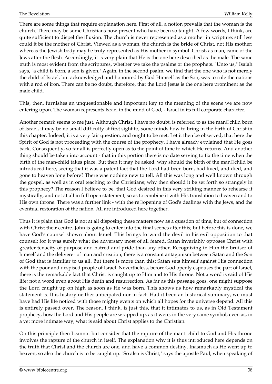There are some things that require explanation here. First of all, a notion prevails that the woman is the church. There may be some Christians now present who have been so taught. A few words, I think, are quite sufficient to dispel the illusion. The church is never represented as a mother in scripture: still less could it be the mother of Christ. Viewed as a woman, the church is the bride of Christ, not His mother; whereas the Jewish body may be truly represented as His mother in symbol. Christ, as man, came of the Jews after the flesh. Accordingly, it is very plain that He is the one here described as the male. The same truth is most evident from the scriptures, whether we take the psalms or the prophets. "Unto us," Isaiah says, "a child is born, a son is given." Again, in the second psalm, we find that the one who is not merely the child of Israel, but acknowledged and honoured by God Himself as the Son, was to rule the nations with a rod of iron. There can be no doubt, therefore, that the Lord Jesus is the one here prominent as the male child.

This, then, furnishes an unquestionable and important key to the meaning of the scene we are now entering upon. The woman represents Israel in the mind of God, - Israel in its full corporate character.

Another remark seems to me just. Although Christ, I have no doubt, is referred to as the man $\Box$ child born of Israel, it may be no small difficulty at first sight to, some minds how to bring in the birth of Christ in this chapter. Indeed, it is a very fair question, and ought to be met. Let it then be observed, that here the Spirit of God is not proceeding with the course of the prophecy. I have already explained that He goes back. Consequently, so far all is perfectly open as to the point of time to which He returns. And another thing should be taken into account - that in this portion there is no date serving to fix the time when the birth of the man-child takes place. But then it may be asked, why should the birth of the man $\Box$ child be introduced here, seeing that it was a patent fact that the Lord had been born, had lived, and died, and gone to heaven long before? There was nothing new to tell. All this was long and well known through the gospel, as well as in oral teaching to the Christians; why then should it be set forth so strangely in this prophecy? The reason I believe to be, that God desired in this very striking manner to rehearse it mystically, and not at all in full open statement, so as to combine it with His translation to heaven and to His own throne. There was a further link - with the re<sup>[1]</sup> opening of God's dealings with the Jews, and the eventual restoration of the nation. All are introduced here together.

Thus it is plain that God is not at all disposing these matters now as a question of time, but of connection with Christ their centre. John is going to enter into the final scenes after this; but before this is done, we have God's counsel shown about Israel. This brings forward the devil in his evil opposition to that counsel; for it was surely what the adversary most of all feared. Satan invariably opposes Christ with greater tenacity of purpose and hatred and pride than any other. Recognizing in Him the bruiser of himself and the deliverer of man and creation, there is a constant antagonism between Satan and the Son of God that is familiar to us all. But there is more than this: Satan sets himself against His connection with the poor and despised people of Israel. Nevertheless, before God openly espouses the part of Israel, there is the remarkable fact that Christ is caught up to Him and to His throne. Not a word is said of His life; not a word even about His death and resurrection. As far as this passage goes, one might suppose the Lord caught up on high as soon as He was born. This shows us how remarkably mystical the statement is. It is history neither anticipated nor in fact. Had it been an historical summary, we must have had His life noticed with those mighty events on which all hopes for the universe depend. All this is entirely passed over. The reason, I think, is just this, that it intimates to us, as in Old Testament prophecy, how the Lord and His people are wrapped up, as it were, in the very same symbol; even as, in a yet more intimate way, what is said about Christ applies to the Christian.

On this principle then I cannot but consider that the rapture of the man $\Box$ child to God and His throne involves the rapture of the church in itself. The explanation why it is thus introduced here depends on the truth that Christ and the church are one, and have a common destiny. Inasmuch as He went up to heaven, so also the church is to be caught up. "So also is Christ," says the apostle Paul, when speaking of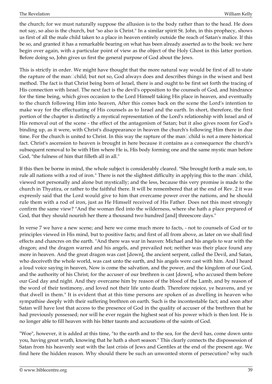the church; for we must naturally suppose the allusion is to the body rather than to the head. He does not say, so also is the church, but "so also is Christ." In a similar spirit St. John, in this prophecy, shows us first of all the male child taken to a place in heaven entirely outside the reach of Satan's malice. If this be so, and granted it has a remarkable bearing on what has been already asserted as to the book: we here begin over again, with a particular point of view as the object of the Holy Ghost in this latter portion. Before doing so, John gives us first the general purpose of God about the Jews.

This is strictly in order. We might have thought that the more natural way would be first of all to state the rapture of the man<sup>[1</sup>child; but not so, God always does and describes things in the wisest and best method. The fact is that Christ being born of Israel, there is and ought to be first set forth the tracing of His connection with Israel. The next fact is the devil's opposition to the counsels of God, and hindrance for the time being, which gives occasion to the Lord Himself taking His place in heaven, and eventually to the church following Him into heaven, After this comes back on the scene the Lord's intention to make way for the effectuating of His counsels as to Israel and the earth. In short, therefore, the first portion of the chapter is distinctly a mystical representation of the Lord's relationship with Israel and of His removal out of the scene - the effect of the antagonism of Satan; but it also gives room for God's binding up, as it were, with Christ's disappearance in heaven the church's following Him there in due time. For the church is united to Christ. In this way the rapture of the man<sup>[1</sup>child is not a mere historical] fact. Christ's ascension to heaven is brought in here because it contains as a consequence the church's subsequent removal to be with Him where He is, His body forming one and the same mystic man before God, "the fulness of him that filleth all in all."

If this then be borne in mind, the whole subject is considerably cleared. "She brought forth a male son, to rule all nations with a rod of iron." There is not the slightest difficulty in applying this to the man $\Box$ child, viewed not personally and alone but mystically; and the less, because this very promise is made to the church in Thyatira, or rather to the faithful there. It will be remembered that at the end of Rev. 2 it was expressly said that the Lord would give to him that overcame power over the nations, and he should rule them with a rod of iron, just as He Himself received of His Father. Does not this most strongly confirm the same view? "And the woman fled into the wilderness, where she hath a place prepared of God, that they should nourish her there a thousand two hundred [and] threescore days."

In verse 7 we have a new scene; and here we come much more to facts, - not to counsels of God or to principles viewed in His mind, but to positive facts; and first of all from above, as later on we shall find effects and chancres on the earth. "And there was war in heaven: Michael and his angels to war with the dragon; and the dragon warred and his angels, and prevailed not; neither was their place found any more in heaven. And the great dragon was cast [down], the ancient serpent, called the Devil, and Satan, who deceiveth the whole world, was cast unto the earth, and his angels were cast with him. And I heard a loud voice saying in heaven, Now is come the salvation, and the power, and the kingdom of our God, and the authority of his Christ; for the accuser of our brethren is cast [down], who accused them before our God day and night. And they overcame him by reason of the blood of the Lamb, and by reason of the word of their testimony, and loved not their life unto death. Therefore rejoice, ye heavens, and ye that dwell in them." It is evident that at this time persons are spoken of as dwelling in heaven who sympathise deeply with their suffering brethren on earth. Such is the incontestable fact; and soon after Satan will have lost that access to the presence of God in the quality of accuser of the brethren that he had previously possessed; nor will he ever regain the highest seat of his power which is then lost. He is no longer able to fill heaven with his bitter taunts and accusations of the saints of God.

"Woe", however, it is added at this time, "to the earth and to the sea, for the devil has, come down unto you, having great wrath, knowing that he hath a short season." This clearly connects the dispossession of Satan from his heavenly seat with the last crisis of Jews and Gentiles at the end of the present age. We find here the hidden reason. Why should there be such an unwonted storm of persecution? why such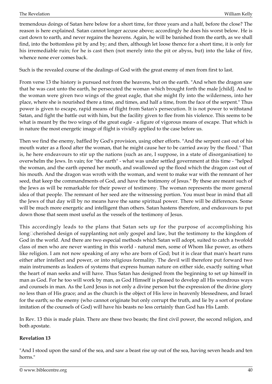tremendous doings of Satan here below for a short time, for three years and a half, before the close? The reason is here explained. Satan cannot longer accuse above; accordingly he does his worst below. He is cast down to earth, and never regains the heavens. Again, he will be banished from the earth, as we shall find, into the bottomless pit by and by; and then, although let loose thence for a short time, it is only for his irremediable ruin; for he is cast then (not merely into the pit or abyss, but) into the lake of fire, whence none ever comes back.

Such is the revealed course of the dealings of God with the great enemy of men from first to last.

From verse 13 the history is pursued not from the heavens, but on the earth. "And when the dragon saw that he was cast unto the earth, he persecuted the woman which brought forth the male [child]. And to the woman were given two wings of the great eagle, that she might fly into the wilderness, into her place, where she is nourished there a time, and times, and half a time, from the face of the serpent." Thus power is given to escape, rapid means of flight from Satan's persecution. It is not power to withstand Satan, and fight the battle out with him, but the facility given to flee from his violence. This seems to be what is meant by the two wings of the great eagle - a figure of vigorous means of escape. That which is in nature the most energetic image of flight is vividly applied to the case before us.

Then we find the enemy, baffled by God's provision, using other efforts. "And the serpent cast out of his mouth water as a flood after the woman, that he might cause her to be carried away by the flood." That is, he here endeavours to stir up the nations (such as are, I suppose, in a state of disorganisation) to overwhelm the Jews. In vain; for "the earth" - what was under settled government at this time - "helped the woman, and the earth opened her mouth, and swallowed up the flood which the dragon cast out of his mouth. And the dragon was wroth with the woman, and went to make war with the remnant of her seed, that keep the commandments of God, and have the testimony of Jesus." By these are meant such of the Jews as will be remarkable for their power of testimony. The woman represents the more general idea of that people. The remnant of her seed are the witnessing portion. You must bear in mind that all the Jews of that day will by no means have the same spiritual power. There will be differences. Some will be much more energetic and intelligent than others. Satan hastens therefore, and endeavours to put down those that seem most useful as the vessels of the testimony of Jesus.

This accordingly leads to the plans that Satan sets up for the purpose of accomplishing his long $\Box$ cherished design of supplanting not only gospel and law, but the testimony to the kingdom of God in the world. And there are two especial methods which Satan will adopt, suited to catch a twofold class of men who are never wanting in this world - natural men, some of Whom like power, as others like religion. I am not now speaking of any who are born of God; but it is clear that man's heart runs either after intellect and power, or into religious formality. The devil will therefore put forward two main instruments as leaders of systems that express human nature on either side, exactly suiting what the heart of man seeks and will have. Thus Satan has designed from the beginning to set up himself in man as God. For he too will work by man, as God Himself is pleased to develop all His wondrous ways and counsels in man. As the Lord Jesus is not only a divine person but the expression of the divine glory no less than of His grace; and as the church is the object of His love in heavenly blessedness, and Israel for the earth; so the enemy (who cannot originate but only corrupt the truth, and lie by a sort of profane imitation of the counsels of God) will have his beasts no less certainly than God has His Lamb.

In Rev. 13 this is made plain. There are these two beasts; the first civil power, the second religion, and both apostate.

## **Revelation 13**

"And I stood upon the sand of the sea, and saw a beast rise up out of the sea, having seven heads and ten horns."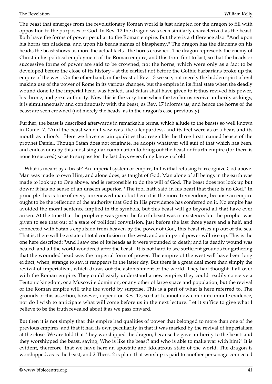The beast that emerges from the revolutionary Roman world is just adapted for the dragon to fill with opposition to the purposes of God. In Rev. 12 the dragon was seen similarly characterized as the beast. Both have the forms of power peculiar to the Roman empire. But there is a difference also: "And upon his horns ten diadems, and upon his beads names of blasphemy." The dragon has the diadems on his heads; the beast shows us more the actual facts - the horns crowned. The dragon represents the enemy of Christ in his political employment of the Roman empire, and this from first to last; so that the heads or successive forms of power are said to be crowned, not the horns, which were only as a fact to be developed before the close of its history - at the earliest not before the Gothic barbarians broke up the empire of the west. On the other hand, in the beast of Rev. 13 we see, not merely the hidden spirit of evil making use of the power of Rome in its various changes, but the empire in its final state when the deadly wound done to the imperial head was healed, and Satan shall have given to it thus revived his power, his throne, and great authority. Now this is the very time when the ten horns receive authority as kings; it is simultaneously and continuously with the beast, as Rev. 17 informs us; and hence the horns of the beast are seen crowned (not merely the heads, as in the dragon's case previously).

Further, the beast is described afterwards in remarkable terms, which allude to the beasts so well known in Daniel 7. "And the beast which I saw was like a leopardess, and its feet were as of a bear, and its mouth as a lion's." Here we have certain qualities that resemble the three first□named beasts of the prophet Daniel. Though Satan does not originate, he adopts whatever will suit of that which has been, and endeavours by this most singular combination to bring out the beast or fourth empire (for there is none to succeed) so as to surpass for the last days everything known of old.

 What is meant by a beast? An imperial system or empire, but withal refusing to recognize God above. Man was made to own Him, and alone does, as taught of God. Man alone of all beings in the earth was made to look up to One above, and is responsible to do the will of God. The beast does not look up but down; it has no sense of an unseen superior. "The fool hath said in his heart that there is no God." In principle this is true of every unrenewed man; but here it is the more tremendous, because an empire ought to be the reflection of the authority that God in His providence has conferred on it. No empire has avoided the moral sentence implied in the symbols, but this beast will go beyond all that have ever arisen. At the time that the prophecy was given the fourth beast was in existence; but the prophet was given to see that out of a state of political convulsion, just before the last three years and a half, and connected with Satan's expulsion from heaven by the power of God, this beast rises up out of the sea. That is, there will be a state of total confusion in the west, and an imperial power will rise up. This is the one here described: "And I saw one of its heads as it were wounded to death; and its deadly wound was healed: and all the world wondered after the beast." It is not hard to see sufficient grounds for gathering that the wounded head was the imperial form of power. The empire of the west will have been long extinct, when, strange to say, it reappears in the latter day. But there is a great deal more than simply the revival of imperialism, which draws out the astonishment of the world. They had thought it all over with the Roman empire. They could easily understand a new empire; they could readily conceive a Teutonic kingdom, or a Muscovite dominion, or any other of large space and population; but the revival of the Roman empire will take the world by surprise. This is a part of what is here referred to. The grounds of this assertion, however, depend on Rev. 17, so that I cannot now enter into minute evidence, nor do I wish to anticipate what will come before us in the next lecture. Let it suffice to give what I believe to be the truth revealed about it as we pass onward.

But then it is not simply that this empire had qualities of power that belonged to more than one of the previous empires, and that it had its own peculiarity in that it was marked by the revival of imperialism at the close. We are told that "they worshipped the dragon, because he gave authority to the beast: and they worshipped the beast, saying, Who is like the beast? and who is able to make war with him?" It is evident, therefore, that we have here an apostate and idolatrous state of the world. The dragon is worshipped, as is the beast; and 2 Thess. 2 is plain that worship is paid to another personage connected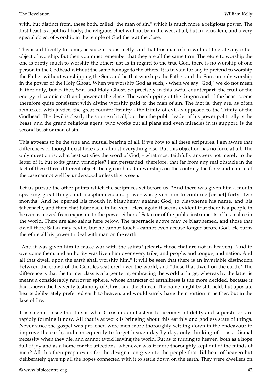with, but distinct from, these both, called "the man of sin," which is much more a religious power. The first beast is a political body; the religious chief will not be in the west at all, but in Jerusalem, and a very special object of worship in the temple of God there at the close.

This is a difficulty to some, because it is distinctly said that this man of sin will not tolerate any other object of worship. But then you must remember that they are all the same firm. Therefore to worship the one is pretty much to worship the other; just as in regard to the true God, there is no worship of one person in the Godhead without the same homage to the others. It is in vain for any to pretend to worship the Father without worshipping the Son, and he that worships the Father and the Son can only worship in the power of the Holy Ghost. When we worship God as such, - when we say "God," we do not mean Father only, but Father, Son, and Holy Ghost. So precisely in this awful counterpart, the fruit of the energy of satanic craft and power at the close. The worshipping of the dragon and of the beast seems therefore quite consistent with divine worship paid to the man of sin. The fact is, they are, as often remarked with justice, the great counter $\Box$ trinity - the trinity of evil as opposed to the Trinity of the Godhead. The devil is clearly the source of it all; but then the public leader of his power politically is the beast; and the grand religious agent, who works out all plans and even miracles in its support, is the second beast or man of sin.

This appears to be the true and mutual bearing of all, if we bow to all these scriptures. I am aware that differences of thought exist here as in almost everything else. But this objection has no force at all. The only question is, what best satisfies the word of God, - what most faithfully answers not merely to the letter of it, but to its grand principles? I am persuaded, therefore, that far from any real obstacle in the fact of these three different objects being combined in worship, on the contrary the force and nature of the case cannot well be understood unless this is seen.

Let us pursue the other points which the scriptures set before us. "And there was given him a mouth speaking great things and blasphemies; and power was given him to continue [or act] forty $\square$ two months. And he opened his mouth in blasphemy against God, to blaspheme his name, and his tabernacle, and them that tabernacle in heaven." Here again it seems evident that there is a people in heaven removed from exposure to the power either of Satan or of the public instruments of his malice in the world. There are also saints here below. The tabernacle above may be blasphemed, and those that dwell there Satan may revile, but he cannot touch - cannot even accuse longer before God. He turns therefore all his power to deal with man on the earth.

"And it was given him to make war with the saints" (clearly those that are not in heaven), "and to overcome them: and authority was liven him over every tribe, and people, and tongue, and nation. And all that dwell upon the earth shall worship him." It will be seen that there is an invariable distinction between the crowd of the Gentiles scattered over the world, and "those that dwell on the earth." The difference is that the former class is a larger term, embracing the world at large; whereas by the latter is meant a considerably narrower sphere, whose character of earthliness is the more decided, because it had known the heavenly testimony of Christ and the church. The name might be still held; but apostate hearts deliberately preferred earth to heaven, and would surely have their portion in neither, but in the lake of fire.

It is solemn to see that this is what Christendom hastens to become: infidelity and superstition are rapidly forming it now. All that is at work is bringing about this earthly and godless state of things. Never since the gospel was preached were men more thoroughly settling down in the endeavour to improve the earth, and consequently to forget heaven day by day, only thinking of it as a dismal necessity when they die, and cannot avoid leaving the world. But as to turning to heaven, both as a hope full of joy and as a home for the affections, whenever was it more thoroughly kept out of the minds of men? All this then prepares us for the designation given to the people that did hear of heaven but deliberately gave up all the hopes connected with it to settle down on the earth. They were dwellers on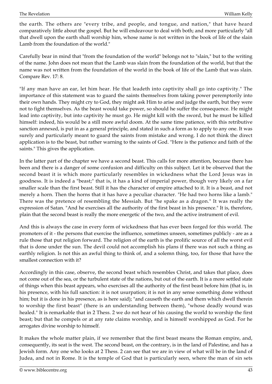the earth. The others are "every tribe, and people, and tongue, and nation," that have heard comparatively little about the gospel. But he will endeavour to deal with both; and more particularly "all that dwell upon the earth shall worship him, whose name is not written in the book of life of the slain Lamb from the foundation of the world."

Carefully bear in mind that "from the foundation of the world" belongs not to "slain," but to the writing of the name. John does not mean that the Lamb was slain from the foundation of the world, but that the name was not written from the foundation of the world in the book of life of the Lamb that was slain. Compare Rev. 17: 8.

"If any man have an ear, let him hear. He that leadeth into captivity shall go into captivity." The importance of this statement was to guard the saints themselves from taking power peremptorily into their own hands. They might cry to God, they might ask Him to arise and judge the earth, but they were not to fight themselves. As the beast would take power, so should he suffer the consequence. He might lead into captivity, but into captivity he must go. He might kill with the sword, but he must be killed himself: indeed, his would be a still more awful doom. At the same time patience, with this retributive sanction annexed, is put in as a general principle, and stated in such a form as to apply to any one. It was surely and particularly meant to guard the saints from mistake and wrong. I do not think the direct application is to the beast, but rather warning to the saints of God. "Here is the patience and faith of the saints." This gives the application.

In the latter part of the chapter we have a second beast. This calls for more attention, because there has been and there is a danger of some confusion and difficulty on this subject. Let it be observed that the second beast it is which more particularly resembles in wickedness what the Lord Jesus was in goodness. It is indeed a "beast;" that is, it has a kind of imperial power, though very likely on a far smaller scale than the first beast. Still it has the character of empire attached to it. It is a beast, and not merely a horn. Then the horns that it has have a peculiar character. "He had two horns like a lamb." There was the pretence of resembling the Messiah. But "he spake as a dragon." It was really the expression of Satan. "And he exercises all the authority of the first beast in his presence." It is, therefore, plain that the second beast is really the more energetic of the two, and the active instrument of evil.

And this is always the case in every form of wickedness that has ever been forged for this world. The promoters of it - the persons that exercise the influence, sometimes unseen, sometimes publicly - are as a rule those that put religion forward. The religion of the earth is the prolific source of all the worst evil that is done under the sun. The devil could not accomplish his plans if there was not such a thing as earthly religion. Is not this an awful thing to think of, and a solemn thing, too, for those that have the smallest connection with it?

Accordingly in this case, observe, the second beast which resembles Christ, and takes that place, does not come out of the sea, or the turbulent state of the nations, but out of the earth. It is a more settled state of things when this beast appears, who exercises all the authority of the first beast before him (that is, in his presence, with his full sanction: it is not usurpation; it is not in any sense something done without him; but it is done in his presence, as is here said); "and causeth the earth and them which dwell therein to worship the first beast" (there is an understanding between them), "whose deadly wound was healed." It is remarkable that in 2 Thess. 2 we do not hear of his causing the world to worship the first beast; but that he compels or at any rate claims worship, and is himself worshipped as God. For he arrogates divine worship to himself.

It makes the whole matter plain, if we remember that the first beast means the Roman empire, and, consequently, its seat is the west. The second beast, on the contrary, is in the land of Palestine, and has a Jewish form. Any one who looks at 2 Thess. 2 can see that we are in view of what will be in the land of Judea, and not in Rome. It is the temple of God that is particularly seen, where the man of sin sets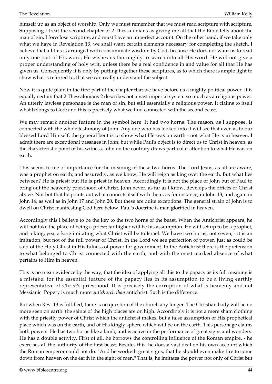himself up as an object of worship. Only we must remember that we must read scripture with scripture. Supposing I treat the second chapter of 2 Thessalonians as giving me all that the Bible tells about the man of sin, I foreclose scripture, and must have an imperfect account. On the other hand, if we take only what we have in Revelation 13, we shall want certain elements necessary for completing the sketch. I believe that all this is arranged with consummate wisdom by God, because He does not want us to read only one part of His word; He wishes us thoroughly to search into all His word. He will not give a proper understanding of holy writ, unless there be a real confidence in and value for all that He has given us. Consequently it is only by putting together these scriptures, as to which there is ample light to show what is referred to, that we can really understand the subject.

Now it is quite plain in the first part of the chapter that we have before us a mighty political power. It is equally certain that 2 Thessalonians 2 describes not a vast imperial system so much as a religious power. An utterly lawless personage is the man of sin, but still essentially a religious power. It claims to itself what belongs to God; and this is precisely what we find connected with the second beast.

We may remark another feature in the symbol here. It had two horns. The reason, as I suppose, is connected with the whole testimony of John. Any one who has looked into it will see that even as to our blessed Lord Himself, the general bent is to show what He was on earth - not what He is in heaven. I admit there are exceptional passages in John; but while Paul's object is to direct us to Christ in heaven, as the characteristic point of his witness, John on the contrary draws particular attention to what He was on earth.

This seems to me of importance for the meaning of these two horns. The Lord Jesus, as all are aware, was a prophet on earth; and assuredly, as we know, He will reign as king over the earth. But what lies between? He is priest; but He is priest in heaven. Accordingly it is not the place of John but of Paul to bring out the heavenly priesthood of Christ. John never, as far as I know, develops the offices of Christ above. Not but that he points out what connects itself with them, as for instance, in John 13, and again in John 14, as well as in John 17 and John 20. But these are quite exceptions. The general strain of John is to dwell on Christ manifesting God here below. Paul's doctrine is man glorified in heaven.

Accordingly this I believe to be the key to the two horns of the beast. When the Antichrist appears, he will not take the place of being a priest; far higher will be his assumption. He will set up to be a prophet, and a king, yea, a king imitating what Christ will be to Israel. We have two horns, not seven; - it is an imitation, but not of the full power of Christ. In the Lord we see perfection of power, just as could be said of the Holy Ghost in His fulness of power for government. In the Antichrist there is the pretension to what belonged to Christ connected with the earth, and with the most marked absence of what pertains to Him in heaven.

This is no mean evidence by the way, that the idea of applying all this to the papacy as its full meaning is a mistake; for the essential feature of the papacy lies in its assumption to be a living earthly representative of Christ's priesthood. It is precisely the corruption of what is heavenly and not Messianic. Popery is much more *antichurch than* antichrist. Such is the difference.

But when Rev. 13 is fulfilled, there is no question of the church any longer. The Christian body will be no more seen on earth. the saints of the high places are on high. Accordingly it is not a mere sham clothing with the priestly power of Christ which the antichrist makes, but a false assumption of His prophetical place which was on the earth, and of His kingly sphere which will be on the earth. This personage claims both powers. He has two horns like a lamb, and is active in the performance of great signs and wonders. He has a double activity. First of all, he borrows the controlling influence of the Roman empire, - he exercises all the authority of the first beast. Besides this, he does a vast deal on his own account which the Roman emperor could not do. "And he worketh great signs, that he should even make fire to come down from heaven on the earth in the sight of men." That is, he imitates the power not only of Christ but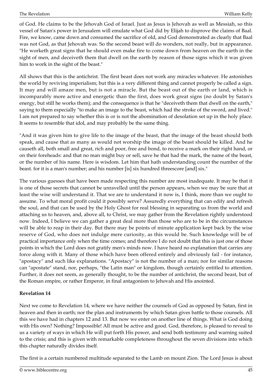of God. He claims to be the Jehovah God of Israel. Just as Jesus is Jehovah as well as Messiah, so this vessel of Satan's power in Jerusalem will emulate what God did by Elijah to disprove the claims of Baal. Fire, we know, came down and consumed the sacrifice of old, and God demonstrated as clearly that Baal was not God, as that Jehovah was. So the second beast will do wonders, not really, but in appearance. "He worketh great signs that he should even make fire to come down from heaven on the earth in the sight of men, and deceiveth them that dwell on the earth by reason of those signs which it was given him to work in the sight of the beast."

All shows that this is the antichrist. The first beast does not work any miracles whatever. He astonishes the world by reviving imperialism; but this is a very different thing and cannot properly be called a sign. It may and will amaze men, but is not a miracle. But the beast out of the earth or land, which is incomparably more active and energetic than the first, does work great signs (no doubt by Satan's energy, but still he works them); and the consequence is that he "deceiveth them that dwell on the earth," saying to them especially "to make an image to the beast, which had the stroke of the sword, and lived." I am not prepared to say whether this is or is not the abomination of desolation set up in the holy place. It seems to resemble that idol, and may probably be the same thing.

"And it was given him to give life to the image of the beast, that the image of the beast should both speak, and cause that as many as would not worship the image of the beast should be killed. And he causeth all, both small and great, rich and poor, free and bond, to receive a mark on their right hand, or on their foreheads: and that no man might buy or sell, save he that had the mark, the name of the beast, or the number of his name. Here is wisdom. Let him that hath understanding count the number of the beast. for it is a man's number; and his number [is] six hundred threescore [and] six."

The various guesses that have been made respecting this number are most inadequate. It may be that it is one of those secrets that cannot be unravelled until the person appears, when we may be sure that at least the wise will understand it. That we are to understand it now is, I think, more than we ought to assume. To what moral profit could it possibly serve? Assuredly everything that can edify and refresh the soul, and that can be used by the Holy Ghost for real blessing in separating us from the world and attaching us to heaven, and, above all, to Christ, we may gather from the Revelation rightly understood now. Indeed, I believe we can gather a great deal more than those who are to be in the circumstances will be able to reap in their day. But there may be points of minute application kept back by the wise reserve of God, who does not indulge mere curiosity, as this would be. Such knowledge will be of practical importance only when the time comes; and therefore I do not doubt that this is just one of those points in which the Lord does not gratify men's minds now. I have heard no explanation that carries any force along with it. Many of those which have been offered entirely and obviously fail - for instance, "apostacy" and such like explanations. "Apostacy" is not the number of a man; nor for similar reasons can "apostate" stand, nor, perhaps, "the Latin man" or kingdom, though certainly entitled to attention. Further, it does not seem, as generally thought, to be the number of antichrist, the second beast, but of the Roman empire, or rather Emperor, in final antagonism to Jehovah and His anointed.

## **Revelation 14**

Next we come to Revelation 14, where we have neither the counsels of God as opposed by Satan, first in heaven and then in earth; nor the plan and instruments by which Satan gives battle to those counsels. All this we have had in chapters 12 and 13. But now we enter on another line of things. What is God doing with His own? Nothing? Impossible! All must be active and good. God, therefore, is pleased to reveal to us a variety of ways in which He will put forth His power, and send both testimony and warning suited to the crisis; and this is given with remarkable completeness throughout the seven divisions into which this chapter naturally divides itself.

The first is a certain numbered multitude separated to the Lamb on mount Zion. The Lord Jesus is about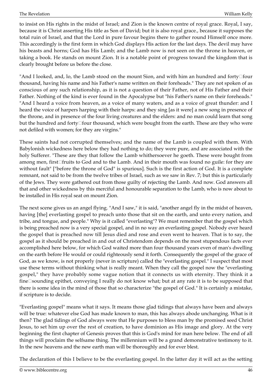to insist on His rights in the midst of Israel; and Zion is the known centre of royal grace. Royal, I say, because it is Christ asserting His title as Son of David; but it is also royal grace., because it supposes the total ruin of Israel, and that the Lord in pure favour begins there to gather round Himself once more. This accordingly is the first form in which God displays His action for the last days. The devil may have his beasts and horns; God has His Lamb; and the Lamb now is not seen on the throne in heaven, or taking a book. He stands on mount Zion. It is a notable point of progress toward the kingdom that is clearly brought before us before the close.

"And I looked, and, lo, the Lamb stood on the mount Sion, and with him an hundred and forty $\Box$ four thousand, having his name and his Father's name written on their foreheads." They are not spoken of as conscious of any such relationship, as it is not a question of their Father, not of His Father and their Father. Nothing of the kind is ever found in the Apocalypse but "his Father's name on their foreheads." "And I heard a voice from heaven, as a voice of many waters, and as a voice of great thunder: and I heard the voice of harpers harping with their harps: and they sing [as it were] a new song in presence of the throne, and in presence of the four living creatures and the elders: and no man could learn that song but the hundred and forty□four thousand, which were bought from the earth. These are they who were not defiled with women; for they are virgins."

These saints had not corrupted themselves; and the name of the Lamb is coupled with them. With Babylonish wickedness here below they had nothing to do; they were pure, and are associated with the holy Sufferer. "These are they that follow the Lamb whithersoever he goeth. These were bought from among men, first□fruits to God and to the Lamb. And in their mouth was found no guile: for they are without fault" ["before the throne of God" is spurious]. Such is the first action of God. It is a complete remnant, not said to be from the twelve tribes of Israel, such as we saw in Rev. 7; but this is particularly of the Jews. They were gathered out from those guilty of rejecting the Lamb. And now. God answers all that and other wickedness by this merciful and honourable separation to the Lamb, who is now about to be installed in His royal seat on mount Zion.

The next scene gives us an angel flying. "And I saw," it is said, "another angel fly in the midst of heaven, having [the] everlasting gospel to preach unto those that sit on the earth, and unto every nation, and tribe, and tongue, and people." Why is it called "everlasting"? We must remember that the gospel which is being preached now is a very special gospel, and in no way an everlasting gospel. Nobody ever heard the gospel that is preached now till Jesus died and rose and even went to heaven. That is to say, the gospel as it should be preached in and out of Christendom depends on the most stupendous facts ever accomplished here below, for which God waited more than four thousand years even of man's dwelling on the earth before He would or could righteously send it forth. Consequently the gospel of the grace of God, as we know, is not properly (never in scripture) called the "everlasting gospel." I suspect that most use these terms without thinking what is really meant. When they call the gospel now the "everlasting gospel," they have probably some vague notion that it connects us with eternity. They think it a fine□sounding epithet, conveying I really do not know what; but at any rate it is to be supposed that there is some idea in the mind of those that so characterize "the gospel of God." It is certainly a mistake, if scripture is to decide.

"Everlasting gospel" means what it says. It means those glad tidings that always have been and always will be true: whatever else God has made known to man, this has always abode unchanging. What is it then? The glad tidings of God always were that He purposes to bless man by the promised seed Christ Jesus, to set him up over the rest of creation, to have dominion as His image and glory. At the very beginning the first chapter of Genesis proves that this is God's mind for man here below. The end of all things will proclaim the selfsame thing. The millennium will be a grand demonstrative testimony to it. In the new heavens and the new earth man will be thoroughly and for ever blest.

The declaration of this I believe to be the everlasting gospel. In the latter day it will act as the setting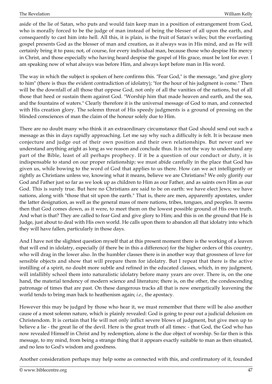aside of the lie of Satan, who puts and would fain keep man in a position of estrangement from God, who is morally forced to be the judge of man instead of being the blesser of all upon the earth, and consequently to cast him into hell. All this, it is plain, is the fruit of Satan's wiles; but the everlasting gospel presents God as the blesser of man and creation, as it always was in His mind, and as He will certainly bring it to pass; not, of course, for every individual man, because those who despise His mercy in Christ, and those especially who having heard despise the gospel of His grace, must be lost for ever. I am speaking now of what always was before Him, and always kept before man in His word.

The way in which the subject is spoken of here confirms this. "Fear God," is the message, "and give glory to him" (there is thus the evident contradiction of idolatry); "for the hour of his judgment is come." Then will be the downfall of all those that oppose God, not only of all the vanities of the nations, but of all those that heed or sustain them against God. "Worship him that made heaven and earth, and the sea, and the fountains of waters." Clearly therefore it is the universal message of God to man, and connected with His creation glory. The solemn threat of His speedy judgments is a ground of pressing on the blinded consciences of man the claim of the honour solely due to Him.

There are no doubt many who think it an extraordinary circumstance that God should send out such a message as this in days rapidly approaching. Let me say why such a difficulty is felt. It is because men conjecture and judge out of their own position and their own relationships. But never earl we understand anything aright as long as we reason and conclude thus. It is not the way to understand any part of the Bible, least of all perhaps prophecy. If it be a question of our conduct or duty, it is indispensable to stand on our proper relationship; we must abide carefully in the place that God has given us, while bowing to the word of God that applies to us there. How can we act intelligently or rightly as Christians unless we, knowing what it means, believe we are Christians? We only glorify our God and Father just so far as we look up as children to Him as our Father, and as saints own Him as our God. This is surely true. But here no Christians are said to be on earth: we have elect Jews; we have nations, along with "those that sit upon the earth." That is, there are men, apparently apostates, under the latter designation, as well as the general mass of mere nations, tribes, tongues, and peoples. It seems then that God comes down, as it were, to meet them on the lowest possible ground of His own truth. And what is that? They are called to fear God and give glory to Him; and this is on the ground that He is Judge, just about to deal with His own world. He calls upon them to abandon all that idolatry into which they will have fallen, particularly in those days.

And I have not the slightest question myself that at this present moment there is the working of a leaven that will end in idolatry, especially (if there be in this a difference) for the higher orders of this country, who will drag in the lower also. In the humbler classes there is in another way that grossness of love for sensible objects and show that will prepare them for idolatry. But I repeat that there is the active instilling of a spirit, no doubt more subtle and refined in the educated classes, which, in my judgment, will infallibly school them into naturalistic idolatry before many years are over. There is, on the one hand, the material tendency of modern science and literature; there is, on the other, the condescending patronage of times that are past. On these dangerous tracks all that is now energetically leavening the world tends to bring man back to heathenism again; *i.e.,* the apostacy.

However this may be judged by those who hear it, we must remember that there will be also another cause of a most solemn nature, which is plainly revealed: God is going to pour out a judicial delusion on Christendom. It is certain that He will not only inflict severe blows of judgment, but give men up to believe a lie - the great lie of the devil. Here is the great truth of all times: - that God, the God who has now revealed Himself in Christ and by redemption, alone is the due object of worship. So far then is this message, to my mind, from being a strange thing that it appears exactly suitable to man as then situated, and no less to God's wisdom and goodness.

Another consideration perhaps may help some as connected with this, and confirmatory of it, founded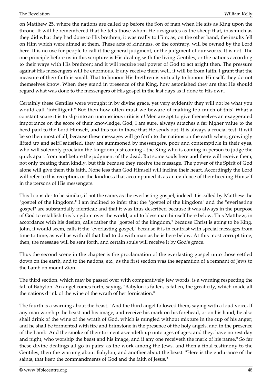on Matthew 25, where the nations are called up before the Son of man when He sits as King upon the throne. It will be remembered that he tells those whom He designates as the sheep that, inasmuch as they did what they had done to His brethren, it was really to Him; as, on the other hand, the insults fell on Him which were aimed at them. These acts of kindness, or the contrary, will be owned by the Lord here. It is no use for people to call it the general judgment, or the judgment of our works. It is not. The one principle before us in this scripture is His dealing with the living Gentiles, or the nations according to their ways with His brethren; and it will require real power of God to act aright then. The pressure against His messengers will be enormous. If any receive them well, it will be from faith. I grant that the measure of their faith is small. That to honour His brethren is virtually to honour Himself, they do not themselves know. When they stand in presence of the King, how astonished they are that He should regard what was done to the messengers of His gospel in the last days as if done to His own.

Certainly these Gentiles were wrought in by divine grace, yet very evidently they will not be what you would call "intelligent." But then how often must we beware of making too much of this! What a constant snare it is to slip into an unconscious criticism! Men are apt to give themselves an exaggerated importance on the score of their knowledge. God, I am sure, always attaches a far higher value to the heed paid to the Lord Himself, and this too in those that He sends out. It is always a crucial test. It will be so then most of all, because these messages will go forth to the nations on the earth when, growingly lifted up and self<sup>[</sup>satisfied, they are summoned by messengers, poor and contemptible in their eyes, who will solemnly proclaim the kingdom just coming - the King who is coming in person to judge the quick apart from and before the judgment of the dead. But some souls here and there will receive them, not only treating them kindly, but this because they receive the message. The power of the Spirit of God alone will give them this faith. None less than God Himself will incline their heart. Accordingly the Lord will refer to this reception, or the kindness that accompanied it, as an evidence of their heeding Himself in the persons of His messengers.

This I consider to be similar, if not the same, as the everlasting gospel; indeed it is called by Matthew the "gospel of the kingdom." I am inclined to infer that the "gospel of the kingdom" and the "everlasting gospel" are substantially identical; and that it was thus described because it was always in the purpose of God to establish this kingdom over the world, and to bless man himself here below. This Matthew, in accordance with his design, calls rather the "gospel of the kingdom," because Christ is going to be King. John, it would seem, calls it the "everlasting gospel," because it is in contrast with special messages from time to time, as well as with all that bad to do with man as he is here below. At this most corrupt time, then, the message will be sent forth, and certain souls will receive it by God's grace.

Thus the second scene in the chapter is the proclamation of the everlasting gospel unto those settled down on the earth, and to the nations, etc., as the first section was the separation of a remnant of Jews to the Lamb on mount Zion.

The third section, which may be passed over with comparatively few words, is a warning respecting the fall of Babylon. An angel comes forth, saying, "Babylon is fallen, is fallen, the great city, which made all the nations drink of the wine of the wrath of her fornication."

The fourth is a warning about the beast. "And the third angel followed them, saying with a loud voice, If any man worship the beast and his image, and receive his mark on his forehead, or on his hand, he also shall drink of the wine of the wrath of God, which is mingled without mixture in the cup of his anger; and he shall be tormented with fire and brimstone in the presence of the holy angels, and in the presence of the Lamb. And the smoke of their torment ascendeth up unto ages of ages: and they. have no rest day and night, who worship the beast and his image, and if any one receiveth the mark of his name." So far these divine dealings all go in pairs: as the work among the Jews, and then a final testimony to the Gentiles; then the warning about Babylon, and another about the beast. "Here is the endurance of the saints, that keep the commandments of God and the faith of Jesus."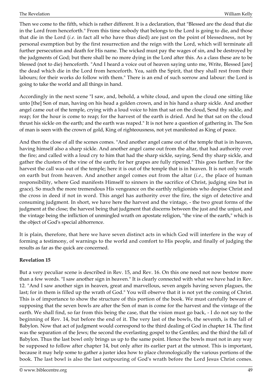Then we come to the fifth, which is rather different. It is a declaration, that "Blessed are the dead that die in the Lord from henceforth." From this time nobody that belongs to the Lord is going to die, and those that die in the Lord (*i.e.* in fact all who have thus died) are just on the point of blessedness, not by personal exemption but by the first resurrection and the reign with the Lord, which will terminate all further persecution and death for His name. The wicked must pay the wages of sin, and be destroyed by the judgments of God; but there shall be no more dying in the Lord after this. As a class these are to be blessed (not to die) henceforth. "And I heard a voice out of heaven saying unto me, Write, Blessed [are] the dead which die in the Lord from henceforth. Yea, saith the Spirit, that they shall rest from their labours; for their works do follow with them." There is an end of such sorrow and labour: the Lord is going to take the world and all things in hand.

Accordingly in the next scene "I saw, and, behold, a white cloud, and upon the cloud one sitting like unto [the] Son of man, having on his head a golden crown, and in his hand a sharp sickle. And another angel came out of the temple, crying with a loud voice to him that sat on the cloud, Send thy sickle, and reap; for the hour is come to reap; for the harvest of the earth is dried. And he that sat on the cloud thrust his sickle on the earth; and the earth was reaped." It is not here a question of gathering in. The Son of man is seen with the crown of gold, King of righteousness, not yet manifested as King of peace.

And then the close of all the scenes comes. "And another angel came out of the temple that is in heaven, having himself also a sharp sickle. And another angel came out from the altar, that had authority over the fire; and called with a loud cry to him that had the sharp sickle, saying, Send thy sharp sickle, and gather the clusters of the vine of the earth; for her grapes are fully ripened." This goes farther. For the harvest the call was out of the temple; here it is out of the temple that is in heaven. It is not only wrath on earth but from heaven. And another angel comes out from the altar (*i.e.,* the place of human responsibility, where God manifests Himself to sinners in the sacrifice of Christ, judging sins but in grace). So much the more tremendous His vengeance on the earthly religionists who despise Christ and the cross in deed if not in word. This angel has authority over the fire, the sign of detective and consuming judgment. In short, we have here the harvest and the vintage, - the two great forms of the judgment at the close; the harvest being that judgment that discerns between the just and the unjust, and the vintage being the infliction of unmingled wrath on apostate religion, "the vine of the earth," which is the object of God's special abhorrence.

It is plain, therefore, that here we have seven distinct acts in which God will interfere in the way of forming a testimony, of warnings to the world and comfort to His people, and finally of judging the results as far as the quick are concerned.

# **Revelation 15**

But a very peculiar scene is described in Rev. 15, and Rev. 16. On this one need not now bestow more than a few words. "I saw another sign in heaven." It is clearly connected with what we have had in Rev. 12. "And I saw another sign in heaven, great and marvellous, seven angels having seven plagues, the last; for in them is filled up the wrath of God." You will observe that it is not yet the coming of Christ. This is of importance to show the structure of this portion of the book. We must carefully beware of supposing that the seven bowls are after the Son of man is come for the harvest and the vintage of the earth. We shall find, so far from this being the case, that the vision must go back, - I do not say to the beginning of Rev. 14, but before the end of it. The very last of the bowls, the seventh, is the fall of Babylon. Now that act of judgment would correspond to the third dealing of God in chapter 14. The first was the separation of the Jews; the second the everlasting gospel to the Gentiles; and the third the fall of Babylon. Thus the last bowl only brings us up to the same point. Hence the bowls must not in any way be supposed to follow after chapter 14, but only after its earlier part at the utmost. This is important, because it may help some to gather a juster idea how to place chronologically the various portions of the book. The last bowl is also the last outpouring of God's wrath before the Lord Jesus Christ comes.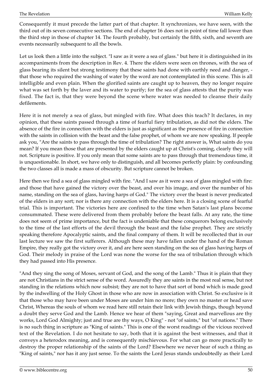Consequently it must precede the latter part of that chapter. It synchronizes, we have seen, with the third out of its seven consecutive sections. The end of chapter 16 does not in point of time fall lower than the third step in those of chapter 14. The fourth probably, but certainly the fifth, sixth, and seventh are events necessarily subsequent to all the bowls.

Let us look then a little into the subject. "I saw as it were a sea of glass." but here it is distinguished in its accompaniments from the description in Rev. 4. There the elders were seen on thrones, with the sea of glass bearing its silent but strong testimony that these saints had done with earthly need and danger, that those who required the washing of water by the word are not contemplated in this scene. This is all intelligible and even plain. When the glorified saints are caught up to heaven, they no longer require what was set forth by the laver and its water to purify; for the sea of glass attests that the purity was fixed. The fact is, that they were beyond the scene where water was needed to cleanse their daily defilements.

Here it is not merely a sea of glass, but mingled with fire. What does this teach? It declares, in my opinion, that these saints passed through a time of fearful fiery tribulation, as did not the elders. The absence of the fire in connection with the elders is just as significant as the presence of fire in connection with the saints in collision with the beast and the false prophet, of whom we are now speaking. If people ask you, "Are the saints to pass through the time of tribulation? The right answer is, What saints do you mean? If you mean those that are presented by the elders caught up at Christ's coming, clearly they will not. Scripture is positive. If you only mean that some saints are to pass through that tremendous time, it is unquestionable. In short, we have only to distinguish, and all becomes perfectly plain: by confounding the two classes all is made a mass of obscurity. But scripture cannot be broken.

Here then we find a sea of glass mingled with fire. "And I saw as it were a sea of glass mingled with fire: and those that have gained the victory over the beast, and over his image, and over the number of his name, standing on the sea of glass, having harps of God." The victory over the beast is never predicated of the elders in any sort; nor is there any connection with the elders here. It is a closing scene of fearful trial. This is important. The victories here are confined to the time when Satan's last plans become consummated. These were delivered from them probably before the beast falls. At any rate, the time does not seem of prime importance, but the fact is undeniable that these conquerors belong exclusively to the time of the last efforts of the devil through the beast and the false prophet. They are strictly speaking therefore Apocalyptic saints, and the final company of them. It will be recollected that in our last lecture we saw the first sufferers. Although these may have fallen under the hand of the Roman Empire, they really got the victory over it, and are here seen standing on the sea of glass having harps of God. Their melody in praise of the Lord was none the worse for the sea of tribulation through which they had passed into His presence.

"And they sing the song of Moses, servant of God, and the song of the Lamb." Thus it is plain that they are not Christians in the strict sense of the word. Assuredly they are saints in the most real sense, but not standing in the relations which now subsist; they are not to have that sort of bond which is made good by the indwelling of the Holy Ghost in those who are now in association with Christ. So exclusive is it that those who may have been under Moses are under him no more; they own no master or head save Christ, Whereas the souls of whom we read here still retain their link with Jewish things, though beyond a doubt they serve God and the Lamb. Hence we hear of them "saying, Great and marvellous are thy works, Lord God Almighty; just and true are thy ways, O King" - not "of saints," but "of nations." There is no such thing in scripture as "King of saints." This is one of the worst readings of the vicious received text of the Revelation. I do not hesitate to say, both that it is against the best witnesses, and that it conveys a heterodox meaning, and is consequently mischievous. For what can go more practically to destroy the proper relationship of the saints of the Lord? Elsewhere we never hear of such a thing as "King of saints," nor has it any just sense. To the saints the Lord Jesus stands undoubtedly as their Lord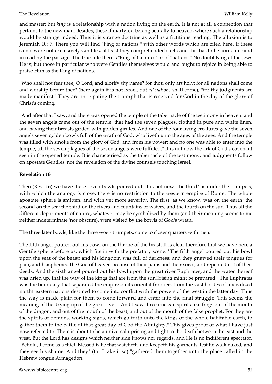and master; but *king* is a relationship with a nation living on the earth. It is not at all a connection that pertains to the new man. Besides, these if martyred belong actually to heaven, where such a relationship would be strange indeed. Thus it is strange doctrine as well as a fictitious reading. The allusion is to Jeremiah 10: 7. There you will find "king of nations," with other words which are cited here. If these saints were not exclusively Gentiles, at least they comprehended such; and this has to be borne in mind in reading the passage. The true title then is "king of Gentiles" or of "nations." No doubt King of the Jews He is; but those in particular who were Gentiles themselves would and ought to rejoice in being able to praise Him as the King of nations.

"Who shall not fear thee, O Lord, and glorify thy name? for thou only art holy: for all nations shall come and worship before thee" (here again it is not Israel, but *all nations* shall come); "for thy judgments are made manifest." They are anticipating the triumph that is reserved for God in the day of the glory of Christ's coming.

"And after that I saw, and there was opened the temple of the tabernacle of the testimony in heaven: and the seven angels came out of the temple, that had the seven plagues, clothed in pure and white linen, and having their breasts girded with golden girdles. And one of the four living creatures gave the seven angels seven golden bowls full of the wrath of God, who liveth unto the ages of the ages. And the temple was filled with smoke from the glory of God, and from his power; and no one was able to enter into the temple, till the seven plagues of the seven angels were fulfilled." It is not now the ark of God's covenant seen in the opened temple. It is characterised as the tabernacle of the testimony, and judgments follow on apostate Gentiles, not the revelation of the divine counsels touching Israel.

## **Revelation 16**

Then (Rev. 16) we have these seven bowls poured out. It is not now "the third" as under the trumpets, with which the analogy is close; there is no restriction to the western empire of Rome. The whole apostate sphere is smitten, and with yet more severity. The first, as we know, was on the earth; the second on the sea; the third on the rivers and fountains of waters; and the fourth on the sun. Thus all the different departments of nature, whatever may be symbolized by them (and their meaning seems to me neither indeterminate 'nor obscure), were visited by the bowls of God's wrath.

The three later bowls, like the three woe - trumpets, come to closer quarters with men.

The fifth angel poured out his bowl on the throne of the beast. It is clear therefore that we have here a Gentile sphere before us, which fits in with the prefatory scene. "The fifth angel poured out his bowl upon the seat of the beast; and his kingdom was full of darkness; and they gnawed their tongues for pain, and blasphemed the God of heaven because of their pains and their sores, and repented not of their deeds. And the sixth angel poured out his bowl upon the great river Euphrates; and the water thereof was dried up, that the way of the kings that are from the sun $\Box$ rising might be prepared." The Euphrates was the boundary that separated the empire on its oriental frontiers from the vast hordes of uncivilized north□eastern nations destined to come into conflict with the powers of the west in the latter day. Thus the way is made plain for them to come forward and enter into the final struggle. This seems the meaning of the drying up of the great river. "And I saw three unclean spirits like frogs out of the mouth of the dragon, and out of the mouth of the beast, and out of the mouth of the false prophet. For they are the spirits of demons, working signs, which go forth unto the kings of the whole habitable earth, to gather them to the battle of that great day of God the Almighty." This gives proof of what I have just now referred to. There is about to be a universal uprising and fight to the death between the east and the west. But the Lord has designs which neither side knows nor regards, and He is no indifferent spectator. "Behold, I come as a thief. Blessed is he that watcheth, and keepeth his garments, lest he walk naked, and they see his shame. And they" (for I take it so) "gathered them together unto the place called in the Hebrew tongue Armagedon."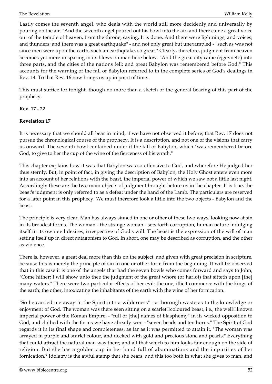Lastly comes the seventh angel, who deals with the world still more decidedly and universally by pouring on the air. "And the seventh angel poured out his bowl into the air; and there came a great voice out of the temple of heaven, from the throne, saying, It is done. And there were lightnings, and voices, and thunders; and there was a great earthquake" - and not only great but unexampled - "such as was not since men were upon the earth, such an earthquake, so great." Clearly, therefore, judgment from heaven becomes yet more unsparing in its blows on man here below. "And the great city came (ejgevneto) into three parts, and the cities of the nations fell: and great Babylon was remembered before God." This accounts for the warning of the fall of Babylon referred to in the complete series of God's dealings in Rev. 14. To that Rev. 16 now brings us up in point of time.

This must suffice for tonight, though no more than a sketch of the general bearing of this part of the prophecy.

## **Rev. 17 - 22**

## **Revelation 17**

It is necessary that we should all bear in mind, if we have not observed it before, that Rev. 17 does not pursue the chronological course of the prophecy. It is a description, and not one of the visions that carry us onward. The seventh bowl contained under it the fall of Babylon, which "was remembered before God, to give to her the cup of the wine of the fierceness of his wrath."

This chapter explains how it was that Babylon was so offensive to God, and wherefore He judged her thus sternly. But, in point of fact, in giving the description of Babylon, the Holy Ghost enters even more into an account of her relations with the beast, the imperial power of which we saw not a little last night. Accordingly these are the two main objects of judgment brought before us in the chapter. It is true, the beast's judgment is only referred to as a defeat under the hand of the Lamb. The particulars are reserved for a later point in this prophecy. We must therefore look a little into the two objects - Babylon and the beast.

The principle is very clear. Man has always sinned in one or other of these two ways, looking now at sin in its broadest forms. The woman - the strange woman - sets forth corruption, human nature indulging itself in its own evil desires, irrespective of God's will. The beast is the expression of the will of man setting itself up in direct antagonism to God. In short, one may be described as corruption, and the other as violence.

There is, however, a great deal more than this on the subject, and given with great precision in scripture, because this is merely the principle of sin in one or other form from the beginning. It will be observed that in this case it is one of the angels that had the seven bowls who comes forward and says to John, "Come hither; I will show unto thee the judgment of the great whore (or harlot) that sitteth upon [the] many waters." There were two particular effects of her evil: the one, illicit commerce with the kings of the earth; the other, intoxicating the inhabitants of the earth with the wine of her fornication.

"So he carried me away in the Spirit into a wilderness" - a thorough waste as to the knowledge or enjoyment of God. The woman was there seen sitting on a scarlet $\Box$ coloured beast, i.e., the well $\Box$ known imperial power of the Roman Empire, - "full of [the] names of blasphemy" in its wicked opposition to God, and clothed with the forms we have already seen - "seven heads and ten horns." The Spirit of God regards it in its final shape and completeness, as far as it was permitted to attain it, "The woman was arrayed in purple and scarlet colour, and decked with gold and precious stone and pearls." Everything that could attract the natural man was there; and all that which to him looks fair enough on the side of religion. But she has a golden cup in her hand full of abominations and the impurities of her fornication.\* Idolatry is the awful stamp that she bears, and this too both in what she gives to man, and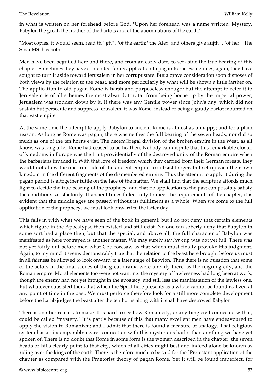in what is written on her forehead before God. "Upon her forehead was a name written, Mystery, Babylon the great, the mother of the harlots and of the abominations of the earth."

\*Most copies, it would seem, read th'" gh'", "of the earth;" the Alex. and others give aujth'", "of her." The Sinai MS. has both.

Men have been beguiled here and there, and from an early date, to set aside the true bearing of this chapter. Sometimes they have contended for its application to pagan Rome. Sometimes, again, they have sought to turn it aside toward Jerusalem in her corrupt state. But a grave consideration soon disposes of both views by the relation to the beast, and more particularly by what will be shown a little farther on. The application to old pagan Rome is harsh and purposeless enough; but the attempt to refer it to Jerusalem is of all schemes the most absurd; for, far from being borne up by the imperial power, Jerusalem was trodden down by it. If there was any Gentile power since John's day, which did not sustain but persecute and suppress Jerusalem, it was Rome, instead of being a gaudy harlot mounted on that vast empire.

At the same time the attempt to apply Babylon to ancient Rome is almost as unhappy; and for a plain reason. As long as Rome was pagan, there was neither the full bearing of the seven heads, nor did so much as one of the ten horns exist. The decem<sup> $\Box$ </sup>regal division of the broken empire in the West, as all know, was long after Rome had ceased to be heathen. Nobody can dispute that this remarkable cluster of kingdoms in Europe was the fruit providentially of the destroyed unity of the Roman empire when the barbarians invaded it. With that love of freedom which they carried from their German forests, they would not allow the one iron rule of the ancient empire to subsist longer, but set up each their own kingdom in the different fragments of the dismembered empire. Thus the attempt to apply it during the pagan period is altogether futile on the face of the matter. We shall find that the scripture affords much light to decide the true bearing of the prophecy, and that no application to the past can possibly satisfy the conditions satisfactorily. If ancient times failed fully to meet the requirements of the chapter, it is evident that the middle ages are passed without its fulfilment as a whole. When we come to the full application of the prophecy, we must look onward to the latter day.

This falls in with what we have seen of the book in general; but I do not deny that certain elements which figure in the Apocalypse then existed and still exist. No one can soberly deny that Babylon in some sort had a place then; but that the special, and above all, the full character of Babylon was manifested as here portrayed is another matter. We may surely say *her* cup was not yet full. There was not yet fairly out before men what God foresaw as that which must finally provoke His judgment. Again, to my mind it seems demonstrably true that the relation to the beast here brought before us must in all fairness be allowed to look onward to a later stage of Babylon. Thus there is no question that some of the actors in the final scenes of the great drama were already there, as the reigning city, and the Roman empire. Moral elements too were not wanting: the mystery of lawlessness had long been at work, though the enemy had not yet brought in the apostacy, and still less the manifestation of the lawless one. But whatever subsisted then, that which the Spirit here presents as a whole cannot be found realized at any point of time in the past. We must perforce therefore look for a still more complete development before the Lamb judges the beast after the ten horns along with it shall have destroyed Babylon.

There is another remark to make. It is hard to see how Roman city, or anything civil connected with it, could be called "mystery." It is partly because of this that many excellent men have endeavoured to apply the vision to Romanism; and I admit that there is found a measure of analogy. That religious system has an incomparably nearer connection with this mysterious harlot than anything we have yet spoken of. There is no doubt that Rome in some form is the woman described in the chapter: the seven heads or hills clearly point to that city, which of all cities might best and indeed alone be known as ruling over the kings of the earth. There is therefore much to be said for the ]Protestant application of the chapter as compared with the Praetorist theory of pagan Rome. Yet it will be found imperfect, for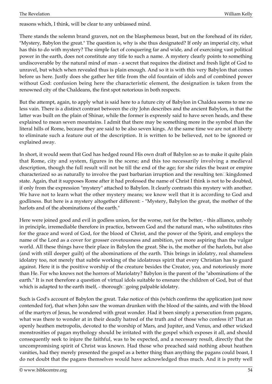reasons which, I think, will be clear to any unbiassed mind.

There stands the solemn brand graven, not on the blasphemous beast, but on the forehead of its rider, "Mystery, Babylon the great." The question is, why is she thus designated? If only an imperial city, what has this to do with mystery? The simple fact of conquering far and wide, and of exercising vast political power in the earth, does not constitute any title to such a name. A mystery clearly points to something undiscoverable by the natural mind of man - a secret that requires the distinct and fresh light of God to unravel, but which when revealed thus is plain enough. And so it is with this very Babylon that comes before us here. Justly does she gather her title from the old fountain of idols and of combined power without God: confusion being here the characteristic element, the designation is taken from the renowned city of the Chaldeans, the first spot notorious in both respects.

But the attempt, again, to apply what is said here to a future city of Babylon in Chaldea seems to me no less vain. There is a distinct contrast between the city John describes and the ancient Babylon, in that the latter was built on the plain of Shinar, while the former is expressly said to have seven heads, and these explained to mean seven mountains. I admit that there may be something more in the symbol than the literal hills of Rome, because they are said to be also seven kings. At the same time we are not at liberty to eliminate such a feature out of the description. It is written to be believed, not to be ignored or explained away.

In short, it would seem that God has hedged round His own draft of Babylon so as to make it quite plain that Rome, city and system, figures in the scene; and this too necessarily involving a medieval description, though the full result will not be till the end of the age; for she rides the beast or empire characterized so as naturally to involve the past barbarian irruption and the resulting ten $\square$ kingdomed state. Again, that it supposes Rome after it had professed the name of Christ I think is not to be doubted, if only from the expression "mystery" attached to Babylon. It clearly contrasts this mystery with another. We have not to learn what the other mystery means; we know well that it is according to God and godliness. But here is a mystery altogether different: - "Mystery, Babylon the great, the mother of the harlots and of the abominations of the earth."

Here were joined good and evil in godless union, for the worse, not for the better, - this alliance, unholy in principle, irremediable therefore in practice, between God and the natural man, who substitutes rites for the grace and word of God, for the blood of Christ, and the power of the Spirit, and employs the name of the Lord as a cover for grosser covetousness and ambition, yet more aspiring than the vulgar world. All these things have their place in Babylon the great. She is, the mother of the harlots, but also (and with still deeper guilt) of the abominations of the earth. This brings in idolatry, real shameless idolatry too, not merely that subtle working of the idolatrous spirit that every Christian has to guard against. Here it is the positive worship of the creature besides the Creator, yea, and notoriously more than He. For who knows not the horrors of Mariolatry? Babylon is the parent of the "abominations of the earth." It is not therefore a question of virtual idols suitable to ensnare the children of God, but of that which is adapted to the earth itself, - thorough□going palpable idolatry.

Such is God's account of Babylon the great. Take notice of this (which confirms the application just now contended for), that when John saw the woman drunken with the blood of the saints, and with the blood of the martyrs of Jesus, he wondered with great wonder. Had it been simply a persecution from pagans, what was there to wonder at in their deadly hatred of the truth and of those who confess it? That an openly heathen metropolis, devoted to the worship of Mars, and Jupiter, and Venus, and other wicked monstrosities of pagan mythology should be irritated with the gospel which exposes it all, and should consequently seek to injure the faithful, was to be expected, and a necessary result, directly that the uncompromising spirit of Christ was known. Had those who preached said nothing about heathen vanities, had they merely presented the gospel as a better thing than anything the pagans could boast, I do not doubt that the pagans themselves would have acknowledged thus much. And it is pretty well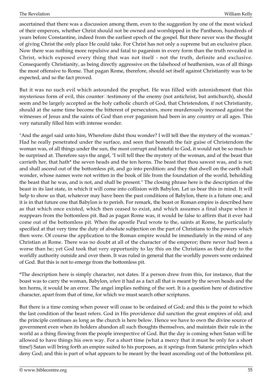ascertained that there was a discussion among them, even to the suggestion by one of the most wicked of their emperors, whether Christ should not be owned and worshipped in the Pantheon, hundreds of years before Constantine, indeed from the earliest epoch of the gospel. But there never was the thought of giving Christ the only place He could take. For Christ has not only a supreme but an exclusive place. Now there was nothing more repulsive and fatal to paganism in every form than the truth revealed in Christ, which exposed every thing that was not itself - not the truth, definite and exclusive. Consequently Christianity, as being directly aggressive on the falsehood of heathenism, was of all things the most offensive to Rome. That pagan Rome, therefore, should set itself against Christianity was to be expected, and so the fact proved.

But it was no such evil which astounded the prophet. He was filled with astonishment that this mysterious form of evil, this counter□testimony of the enemy (not antichrist, but antichurch), should seem and be largely accepted as the holy catholic church of God, that Christendom, if not Christianity, should at the same time become the bitterest of persecutors, more murderously incensed against the witnesses of Jesus and the saints of God than ever paganism had been in any country or all ages. This very naturally filled him with intense wonder.

"And the angel said unto him, Wherefore didst thou wonder? I will tell thee the mystery of the woman." Had he really penetrated under the surface, and seen that beneath the fair guise of Christendom the woman was, of all things under the sun, the most corrupt and hateful to God, it would not be so much to be surprised at. Therefore says the angel, "I will tell thee the mystery of the woman, and of the beast that carrieth her, that hath\* the seven heads and the ten horns. The beast that thou sawest was, and is not; and shall ascend out of the bottomless pit, and go into perdition: and they that dwell on the earth shall wonder, whose names were not written in the book of life from the foundation of the world, beholding the beast that he was, and is not, and shall be present." The closing phrase here is the description of the beast in its last state, in which it will come into collision with Babylon. Let us bear this in mind. It will help to show us that, whatever may have been the past conditions of Babylon, there is a future one; and it is in that future one that Babylon is to perish. For remark, the beast or Roman empire is described here as that which once existed, which then ceased to exist, and which assumes a final shape when it reappears from the bottomless pit. Bad as pagan Rome was, it would be false to affirm that it ever had come out of the bottomless pit. When the apostle Paul wrote to the, saints at Rome, he particularly specified at that very time the duty of absolute subjection on the part of Christians to the powers which then were. Of course the application to the Roman empire would be immediately in the mind of any Christian at Rome. There was no doubt at all of the character of the emperor; there never had been a worse than he; yet God took that very opportunity to lay this on the Christians as their duty to the worldly authority outside and over them. It was ruled in general that the worldly powers were ordained of God. But this is not to emerge from the bottomless pit.

\*The description here is simply character, not dates. If a person drew from this, for instance, that the boast was to carry the woman, Babylon, *when* it had as a fact all that is meant by the seven heads and the ten horns, it would be an error. The angel implies nothing of the sort. It is a question here of distinctive character, apart from that of time, for which we must search other scriptures.

But there is a time coming when power will cease to be ordained of God; and this is the point to which the last condition of the beast refers. God in His providence did sanction the great empires of old; and the principle continues as long as the church is here below. Hence we have to own the divine source of government even when its holders abandon all such thoughts themselves, and maintain their rule in the world as a thing flowing from the people irrespective of God. But the day is coming when Satan will be allowed to have things his own way. For a short time (what a mercy that it must be only for a short time!) Satan will bring forth an empire suited to his purposes, as it springs from Satanic principles which deny God; and this is part of what appears to be meant by the beast ascending out of the bottomless pit.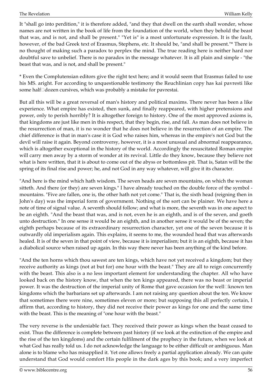It "shall go into perdition," it is therefore added, "and they that dwell on the earth shall wonder, whose names are not written in the book of life from the foundation of the world, when they behold the beast that was, and is not, and shall be present." "Yet is" is a most unfortunate expression. It is the fault, however, of the bad Greek text of Erasmus, Stephens, etc. It should be, "and shall be present."\* There is no thought of making such a paradox to perplex the mind. The true reading here is neither hard nor doubtful save to unbelief. There is no paradox in the message whatever. It is all plain and simple - "the beast that was, and is not, and shall be present."

\* Even the Complutensian editors give the right text here; and it would seem that Erasmus failed to use his MS. aright. For according to unquestionable testimony the Reuchlinian copy has kai pavresti like some half□dozen cursives, which was probably a mistake for pavrestai.

But all this will be a great reversal of man's history and political maxims. There never has been a like experience. What empire has existed, then sunk, and finally reappeared, with higher pretensions and power, only to perish horribly? It is altogether foreign to history. One of the most approved axioms is, that kingdoms are just like men in this respect, that they begin, rise, and fall. As man does not believe in the resurrection of man, it is no wonder that he does not believe in the resurrection of an empire. The chief difference is that in man's case it is God who raises him, whereas in the empire's not God but the devil will raise it again. Beyond controversy, however, it is a most unusual and abnormal reappearance, which is altogether exceptional in the history of the world. Accordingly the resuscitated Roman empire will carry men away by a storm of wonder at its revival. Little do they know, because they believe not what is here written, that it is about to come out of the abyss or bottomless pit. That is, Satan will be the spring of its final rise and power; he, and not God in any way whatever, will give it its character.

"And here is the mind which hath wisdom. The seven heads are seven mountains, on which the woman sitteth. And there (or they) are seven kings." I have already touched on the double force of the symbol mountains. "Five are fallen, one is, the other hath not yet come." That is, the sixth head (reigning then in John's day) was the imperial form of government. Nothing of the sort can be plainer. We have here a note of time of signal value. A seventh should follow; and what is more, the seventh was in one aspect to be an eighth. "And the beast that was, and is not, even he is an eighth, and is of the seven, and goeth unto destruction." In one sense it would be an eighth, and in another sense it would be of the seven; the eighth perhaps because of its extraordinary resurrection character, yet one of the seven because it is outwardly old imperialism again. This explains, it seems to me, the wounded head that was afterwards healed. It is of the seven in that point of view, because it is imperialism; but it is an eighth, because it has a diabolical source when raised up again. In this way there never has been anything of the kind before.

"And the ten horns which thou sawest are ten kings, which have not yet received a kingdom; but they receive authority as kings (not at but for) one hour with the beast." They are all to reign concurrently with the beast. This also is a no less important element for understanding the chapter. All who have looked back on the history know, that when the ten kings appeared, there was no beast or imperial power. It was the destruction of the imperial unity of Rome that gave occasion for the well  $\Box$ known ten kingdoms which the barbarians set up afterwards. I am not raising any question about the ten. We know that sometimes there were nine, sometimes eleven or more; but supposing this all perfectly certain, I affirm that, according to history, they did not receive their power as kings for one and the same time with the beast. This is the meaning of "one hour with the beast."

The very reverse is the undeniable fact. They received their power as kings when the beast ceased to exist. Thus the difference is complete between past history (if we look at the extinction of the empire and the rise of the ten kingdoms) and the certain fulfilment of the prophecy in the future, when we look at what God has really told us. I do not acknowledge the language to be either difficult or ambiguous. Man alone is to blame who has misapplied it. Yet one allows freely a partial application already. We can quite understand that God would comfort His people in the dark ages by this book; and a very imperfect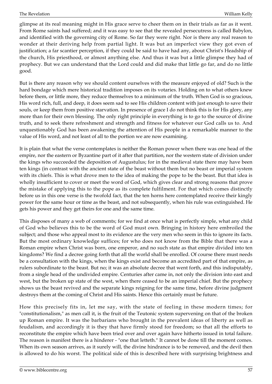glimpse at its real meaning might in His grace serve to cheer them on in their trials as far as it went. From Rome saints had suffered; and it was easy to see that the revealed persecutress is called Babylon, and identified with the governing city of Rome. So far they were right. Nor is there any real reason to wonder at their deriving help from partial light. It was but an imperfect view they got even of justification; a far scantier perception, if they could be said to have had any, about Christ's Headship of the church, His priesthood, or almost anything else. And thus it was but a little glimpse they had of prophecy. But we can understand that the Lord could and did make that little go far, and do no little good.

But is there any reason why we should content ourselves with the measure enjoyed of old? Such is the hard bondage which mere historical tradition imposes on its votaries. Holding on to what others knew before them, or little more, they reduce themselves to a minimum of the truth. When God is so gracious, His word rich, full, and deep, it does seem sad to see His children content with just enough to save their souls, or keep them from positive starvation. In presence of grace I do not think this is for His glory, any more than for their own blessing. The only right principle in everything is to go to the source of divine truth, and to seek there refreshment and strength and fitness for whatever our God calls us to. And unquestionably God has been awakening the attention of His people in a remarkable manner to the value of His word, and not least of all to the portion we are now examining.

It is plain that what the verse contemplates is neither the Roman power when there was one head of the empire, nor the eastern or Byzantine part of it after that partition, nor the western state of division under the kings who succeeded the deposition of Augustulus; for in the medieval state there may have been ten kings (in contrast with the ancient state of the beast without them but no beast or imperial system with its chiefs. This is what drove men to the idea of making the pope to be the beast. But that idea is wholly insufficient to cover or meet the word of God, which gives clear and strong reasons that prove the mistake of applying this to the pope as its complete fulfilment. For that which comes distinctly before us in this one verse is the twofold fact, that the ten horns here contemplated receive their kingly power for the same hour or time as the beast, and not subsequently, when his rule was extinguished. He gets his power and they get theirs for one and the same time.

This disposes of many a web of comments; for we find at once what is perfectly simple, what any child of God who believes this to be the word of God must own. Bringing in history here embroiled the subject; and those who appeal most to its evidence are the very men who seem in this to ignore its facts. But the most ordinary knowledge suffices; for who does not know from the Bible that there was a Roman empire when Christ was born, one emperor, and no such state as that empire divided into ten kingdoms? We find a decree going forth that all the world shall be enrolled. Of course there must needs be a consultation with the kings, when the kings exist and become an accredited part of that empire, as rulers subordinate to the beast. But no; it was an absolute decree that went forth, and this indisputably, from a single head of the undivided empire. Centuries after came in, not only the division into east and west, but the broken up state of the west, when there ceased to be an imperial chief. But the prophecy shows us the beast revived and the separate kings reigning for the same time, before divine judgment destroys them at the coming of Christ and His saints. Hence this certainly must be future.

How this precisely fits in, let me say, with the state of feeling in these modern times; for "constitutionalism," as men call it, is the fruit of the Teutonic system supervening on that of the broken up Roman empire. It was the barbarians who brought in the prevalent ideas of liberty as well as feudalism, and accordingly it is they that have firmly stood for freedom; so that all the efforts to reconstitute the empire which have been tried over and over again have hitherto issued in total failure. The reason is manifest there is a hinderer - "one that letteth." It cannot be done till the moment comes. When its own season arrives, as it surely will, the divine hindrance is to be removed, and the devil then is allowed to do his worst. The political side of this is described here with surprising brightness and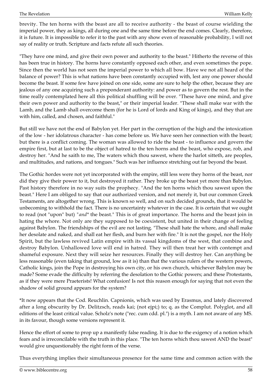brevity. The ten horns with the beast are all to receive authority - the beast of course wielding the imperial power, they as kings, all during one and the same time before the end comes. Clearly, therefore, it is future. It is impossible to refer it to the past with any show even of reasonable probability, I will not say of reality or truth. Scripture and facts refute all such theories.

"They have one mind, and give their own power and authority to the beast." Hitherto the reverse of this has been true in history. The horns have constantly opposed each other, and even sometimes the pope. Since then the world has not seen the imperial power to which all bow. Have we not all heard of the balance of power? This is what nations have been constantly occupied with, lest any one power should become the beast. If some few have joined on one side, some are sure to help the other, because they are jealous of any one acquiring such a preponderant authority: and power as to govern the rest. But in the time really contemplated here all this political shuffling will be over. "These have one mind, and give their own power and authority to the beast," or their imperial leader. "These shall make war with the Lamb, and the Lamb shall overcome them (for he is Lord of lords and King of kings), and they that are with him, called, and chosen, and faithful."

But still we have not the end of Babylon yet. Her part in the corruption of the high and the intoxication of the low - her idolatrous character - has come before us. We have seen her connection with the beast; but there is a conflict coming. The woman was allowed to ride the beast - to influence and govern the empire first, but at last to be the object of hatred to the ten horns and the beast, who expose, rob, and destroy her. "And he saith to me, The waters which thou sawest, where the harlot sitteth, are peoples, and multitudes, and nations, and tongues." Such was her influence stretching out far beyond the beast.

The Gothic hordes were not yet incorporated with the empire, still less were they horns of the beast, nor did they give their power to it, but destroyed it rather. They broke up the beast yet more than Babylon. Past history therefore in no way suits the prophecy. "And the ten horns which thou sawest upon the beast." Here I am obliged to say that our authorized version, and not merely it, but our common Greek Testaments, are altogether wrong. This is known so well, and on such decided grounds, that it would be unbecoming to withhold the fact. There is no uncertainty whatever in the case. It is certain that we ought to read (not "upon" but) *"and\** the beast." This is of great importance. The horns and the beast join in hating the whore. Not only are they supposed to be coexistent, but united in their change of feeling against Babylon. The friendships of the evil are not lasting. "These shall hate the whore, and shall make her desolate and naked, and shall eat her flesh, and burn her with fire." It is not the gospel, nor the Holy Spirit, but the lawless revived Latin empire with its vassal kingdoms of the west, that combine and destroy Babylon. Unhallowed love will end in hatred. They will then treat her with contempt and shameful exposure. Next they will seize her resources. Finally they will destroy her. Can anything be less reasonable (even taking that ground, low as it is) than that the various rulers of the western powers, Catholic kings, join the Pope in destroying his own city, or his own church, whichever Babylon may be made? Some evade the difficulty by referring the desolation to the Gothic powers; and these Protestants, as if they were mere Praeterists! What confusion! Is not this reason enough for saying that not even the shadow of solid ground appears for the system?

\*It now appears that the Cod. Reuchlin. Capnionis, which was used by Erasmus, and lately discovered after a long obscurity by Dr. Delitzsch, reads kai; (not ejpi;) to; q. as the Complut. Polyglot, and all editions of the least critical value. Scholz's note ("rec. cum cdd. pl.") is a myth. I am not aware of any MS. in its favour, though some versions represent it.

Hence the effort of some to prop up a manifestly false reading. It is due to the exigency of a notion which fears and is irreconcilable with the truth in this place. "The ten horns which thou sawest AND the beast" would give unquestionably the right form of the verse.

Thus everything implies their simultaneous presence for the same time and common action with the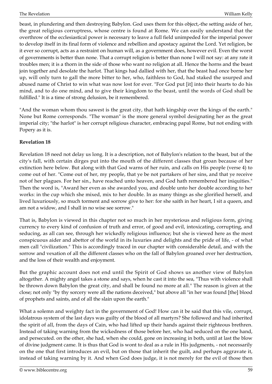beast, in plundering and then destroying Babylon. God uses them for this object,-the setting aside of her, the great religious corruptress, whose centre is found at Rome. We can easily understand that the overthrow of the ecclesiastical power is necessary to leave a full field unimpeded for the imperial power to develop itself in its final form of violence and rebellion and apostacy against the Lord. Yet religion, be it ever so corrupt, acts as a restraint on human will, as a government does, however evil. Even the worst of governments is better than none. That a corrupt religion is better than none I will not say: at any rate it troubles men; it is a thorn in the side of those who want no religion at all. Hence the horns and the beast join together and desolate the harlot. That kings had dallied with her, that the beast had once borne her up, will only turn to gall the more bitter to her, who, faithless to God, had staked the usurped and abused name of Christ to win what was now lost for ever. "For God put [it] into their hearts to do his mind, and to do one mind, and to give their kingdom to the beast, until the words of God shall be fulfilled." It is a time of strong delusion, be it remembered.

"And the woman whom thou sawest is the great city, that hath kingship over the kings of the earth." None but Rome corresponds. "The woman" is the more general symbol designating her as the great imperial city; "the harlot" is her corrupt religious character, embracing papal Rome, but not ending with Popery as it is.

## **Revelation 18**

Revelation 18 need not delay us long. It is a description, not of Babylon's relation to the beast, but of the city's fall, with certain dirges put into the mouth of the different classes that groan because of her extinction here below. But along with that God warns of her ruin, and calls on His people (verse 4) to come out of her. "Come out of her, my people, that ye be not partakers of her sins, and that ye receive not of her plagues. For her sin., have reached unto heaven, and God hath remembered her iniquities." Then the word is, "Award her even as she awarded you, and double unto her double according to her works: in the cup which she mixed, mix to her double. In as many things as she glorified herself, and lived luxuriously, so much torment and sorrow give to her: for she saith in her heart, I sit a queen, and am not a widow, and I shall in no wise see sorrow."

That is, Babylon is viewed in this chapter not so much in her mysterious and religious form, giving currency to every kind of confusion of truth and error, of good and evil, intoxicating, corrupting, and seducing, as all can see, through her wickedly religious influence; but she is viewed here as the most conspicuous aider and abettor of the world in its luxuries and delights and the pride of life, - of what men call "civilization." This is accordingly traced in our chapter with considerable detail, and with the sorrow and vexation of all the different classes who on the fall of Babylon groaned over her destruction, and the loss of their wealth and enjoyment.

But the graphic account does not end until the Spirit of God shows us another view of Babylon altogether. A mighty angel takes a stone and says, when he cast it into the sea, "Thus with violence shall be thrown down Babylon the great city, and shall be found no more at all." The reason is given at the close; not only "by thy sorcery were all the nations deceived," but above all "in her was found [the] blood of prophets and saints, and of all the slain upon the earth."

What a solemn and weighty fact in the government of God! How can it be said that this vile, corrupt, idolatrous system of the last days was guilty of the blood of all martyrs? She followed and had inherited the spirit of all, from the days of Cain, who had lifted up their hands against their righteous brethren. Instead of taking warning from the wickedness of those before her, who had seduced on the one hand, and persecuted. on the other, she had, when she could, gone on increasing in both, until at last the blow of divine judgment came. It is thus that God is wont to deal as a rule in His judgments, - not necessarily on the one that first introduces an evil, but on those that inherit the guilt, and perhaps aggravate it, instead of taking warning by it. And when God does judge, it is not merely for the evil of those then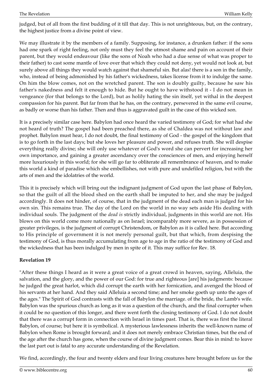judged, but of all from the first budding of it till that day. This is not unrighteous, but, on the contrary, the highest justice from a divine point of view.

We may illustrate it by the members of a family. Supposing, for instance, a drunken father: if the sons had one spark of right feeling, not only must they feel the utmost shame and pain on account of their parent, but they would endeavour (like the sons of Noah who had a due sense of what was proper to their father) to cast some mantle of love over that which they could not deny, yet would not look at, but surely above all things they would watch against that shameful sin. But alas! there is a son in the family, who, instead of being admonished by his father's wickedness, takes license from it to indulge the same. On him the blow comes, not on the wretched parent. The son is doubly guilty, because he saw his father's nakedness and felt it enough to hide. But he ought to have withstood it - I do not mean in vengeance (for that belongs to the Lord), but as holily hating the sin itself, yet withal in the deepest compassion for his parent. But far from that he has, on the contrary, persevered in the same evil course, as badly or worse than his father. Then and thus is aggravated guilt in the case of this wicked son.

It is a precisely similar case here. Babylon had once heard the varied testimony of God; for what had she not heard of truth? The gospel had been preached there, as she of Chaldea was not without law and prophet. Babylon must hear, I do not doubt, the final testimony of God - the gospel of the kingdom that is to go forth in the last days; but she loves her pleasure and power, and refuses truth. She will despise everything really divine; she will only use whatever of God's word she can pervert for increasing her own importance, and gaining a greater ascendancy over the consciences of men, and enjoying herself more luxuriously in this world; for she will go far to obliterate all remembrance of heaven, and to make this world a kind of paradise which she embellishes, not with pure and undefiled religion, but with the arts of men and the idolatries of the world.

This it is precisely which will bring out the indignant judgment of God upon the last phase of Babylon, so that the guilt of all the blood shed on the earth shall be imputed to her, and she may be judged accordingly. It does not hinder, of course, that in the judgment of the dead each man is judged for his own sin. This remains true. The day of the Lord on the world in no way sets aside His dealing with individual souls. The judgment of the *dead is* strictly individual, judgments in this world are not. His blows on this world come more nationally as on Israel; incomparably more severe, as in possession of greater privileges, is the judgment of corrupt Christendom, or Babylon as it is called here. But according to His principle of government it is not merely personal guilt, but that which, from despising the testimony of God, is thus morally accumulating from age to age in the ratio of the testimony of God and the wickedness that has been indulged by men in spite of it. This may suffice for Rev. 18.

## **Revelation 19**

"After these things I heard as it were a great voice of a great crowd in heaven, saying, Alleluia, the salvation, and the glory, and the power of our God: for true and righteous [are] his judgments: because he judged the great harlot, which did corrupt the earth with her fornication, and avenged the blood of his servants at her hand. And they said Alleluia a second time; and her smoke goeth up unto the ages of the ages." The Spirit of God contrasts with the fall of Babylon the marriage. of the bride, the Lamb's wife. Babylon was the spurious church as long as it was a question of the church, and the final corrupter when it could be no question of this longer, and there went forth the closing testimony of God. I do not doubt that there was a corrupt form in connection with Israel in times past. That is, there was first the literal Babylon, of course; but here it is symbolical. A mysterious lawlessness inherits the well-known name of Babylon when Rome is brought forward; and it does not merely embrace Christian times, but the end of the age after the church has gone, when the course of divine judgment comes. Bear this in mind: to leave the last part out is fatal to any accurate understanding of the Revelation.

We find, accordingly, the four and twenty elders and four living creatures here brought before us for the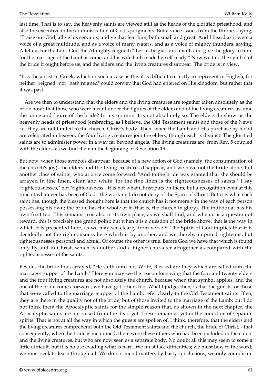last time. That is to say, the heavenly saints are viewed still as the heads of the glorified priesthood, and also the executive in the administration of God's judgments. But a voice issues from the throne, saying, "Praise our God, all ye his servants, and ye that fear him, both small and great. And I heard as it were a voice of a great multitude, and as a voice of many waters, and as a voice of mighty thunders, saying, Alleluia, for the Lord God the Almighty reigneth.\* Let us be glad and exult, and give the glory to him: for the marriage of the Lamb is come, and his wife hath made herself ready." Now we find the symbol of the bride brought before us, and the elders and the living creatures disappear. The bride is in view.

\*It is the aorist in Greek, which in such a case as this it is difficult correctly to represent in English; for neither "reigned" nor "hath reigned" could convey that God had entered on His kingdom, but rather that it was past.

 Are we then to understand that the elders and the living creatures are together taken absolutely as the bride now? that those who were meant under the figures of the elders and of the living creatures assume the name and figure of the bride? In my opinion it is not absolutely so. The elders do show us the heavenly heads of priesthood (embracing, as I believe, the Old Testament saints and those of the New); *i.e.,* they are not limited to the church, Christ's body. Then, when the Lamb and His purchase by blood are celebrated in heaven, the four living creatures join the elders, though each is distinct. The glorified saints are to administer power in a way far beyond angels. The living creatures are, from Rev. 5 coupled with the elders, as we find them in the beginning of Revelation 19.

But now, when those symbols disappear, because of a new action of God (namely, the consummation of the church's joy), the elders and the living creatures disappear, and we have not the bride alone, but another class of saints, who at once come forward. "And to the bride was granted that she should be arrayed in fine linen, clean and white: for the fine linen is the righteousnesses of saints." I say "righteousnesses," not "righteousness." It is not what Christ puts on them, but a recognition even at this time of whatever has been of God - the working I do not deny of the Spirit of Christ. But it is what each saint has, though the blessed thought here is that the church has it not merely in the way of each person possessing his own; the bride has the whole of it (that is, the church in glory). The individual has his own fruit too. This remains true also in its own place, as we shall find; and when it is a question of reward, this is precisely the grand point; but when it is a question of the bride above, that is the way in which it is presented here, as we may see clearly from verse 8. The Spirit of God implies that it is decidedly not the righteousness here which is by another, and we thereby imputed righteous, but righteousnesses personal and actual. Of course the other is true. Before God we have that which is found only by and in Christ, which is another and a higher character altogether as compared with the righteousnesses of the saints.

Besides the bride thus arrayed, "He saith unto me, Write, Blessed are they which are called unto the marriage□supper of the Lamb." Here you may see the reason for saying that the four and twenty elders and the four living creatures are not absolutely the church, because when that symbol applies, and the one of the bride comes forward, we have got others too. What I judge, then, is that the guests, or those that were called to the marriage $\square$ supper of the Lamb, refer clearly to the Old Testament saints. If so, they are there in the quality not of the bride, but of those invited to the marriage of the Lamb; but I do not think them the Apocalyptic saints for the simple reason that, as shown in the next chapter, the Apocalyptic saints are not raised from the dead yet. These remain as yet in the condition of separate spirits. That is not at all the way in which the guests are spoken of. I think, therefore, that the elders and the living creatures comprehend both the Old Testament saints and the church, the bride of Christ, - that consequently, when the bride is mentioned, there were these others who had been included in the elders and the living creatures, but who are now seen as a separate body. No doubt all this may seem to some a little difficult, but it is no use evading what is hard. We must face difficulties; we must bow to the word; we must seek to learn through all. We do not mend matters by hasty conclusions, we only complicate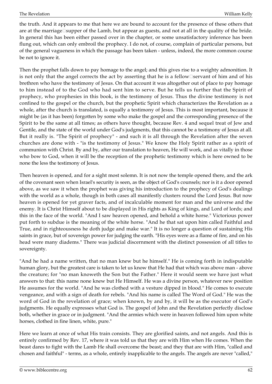the truth. And it appears to me that here we are bound to account for the presence of these others that are at the marriage supper of the Lamb, but appear as guests, and not at all in the quality of the bride. In general this has been either passed over in the chapter, or some unsatisfactory inference has been flung out, which can only embroil the prophecy. I do not, of course, complain of particular persons, but of the general vagueness in which the passage has been taken - unless, indeed, the more common course be not to ignore it.

Then the prophet falls down to pay homage to the angel; and this gives rise to a weighty admonition. It is not only that the angel corrects the act by asserting that he is a fellow□servant of him and of his brethren who have the testimony of Jesus. On that account it was altogether out of place to pay homage to him instead of to the God who had sent him to serve. But he tells us further that the Spirit of prophecy, who prophesies in this book, is the testimony of Jesus. Thus the divine testimony is not confined to the gospel or the church, but the prophetic Spirit which characterizes the Revelation as a whole, after the church is translated, is equally a testimony of Jesus. This is most important, because it might be (as it has been) forgotten by some who make the gospel and the corresponding presence of the Spirit to be the same at all times; as others have thought, because Rev. 4 and sequel treat of Jew and Gentile, and the state of the world under God's judgments, that this cannot be a testimony of Jesus at all. But it really is. "The Spirit of prophecy" - and such it is all through the Revelation after the seven churches are done with - "is the testimony of Jesus." We know the Holy Spirit rather as a spirit of communion with Christ. By and by, after our translation to heaven, He will work, and as vitally in those who bow to God, when it will be the reception of the prophetic testimony which is here owned to be none the less the testimony of Jesus.

Then heaven is opened, and for a sight most solemn. It is not now the temple opened there, and the ark of the covenant seen when Israel's security is seen, as the object of God's counsels; nor is it a door opened above, as we saw it when the prophet was giving his introduction to the prophecy of God's dealings with the world as a whole, though in both cases all manifestly clusters round the Lord Jesus. But now heaven is opened for yet graver facts, and of incalculable moment for man and the universe and the enemy. It is Christ Himself about to be displayed in His rights as King of kings, and Lord of lords; and this in the face of the world. "And I saw heaven opened, and behold a white horse." Victorious power put forth to subdue is the meaning of the white horse. "And he that sat upon him called Faithful and True, and in righteousness he doth judge and make war." It is no longer a question of sustaining His saints in grace, but of sovereign power for judging the earth. "His eyes were as a flame of fire, and on his head were many diadems." There was judicial discernment with the distinct possession of all titles to sovereignty.

"And he had a name written, that no man knew but he himself." He is coming forth in indisputable human glory, but the greatest care is taken to let us know that He had that which was above man - above the creature; for "no man knoweth the Son but the Father." Here it would seem we have just what answers to that: this name none knew but He Himself. He was a divine person, whatever new position He assumes for the world. "And he was clothed with a vesture dipped in blood." He comes to execute vengeance, and with a sign of death for rebels. "And his name is called The Word of God." He was the word of God in the revelation of grace; when known, by and by, it will be as the executor of God's judgments. He equally expresses what God is. The gospel of John and the Revelation perfectly disclose both, whether in grace or in judgment. "And the armies which were in heaven followed him upon white horses, clothed in fine linen, white, pure."

Here we learn at once of what His train consists. They are glorified saints, and not angels. And this is entirely confirmed by Rev. 17, where it was told us that they are with Him when He comes. When the beast dares to fight with the Lamb He shall overcome the beast; and they that are with Him, "called and chosen and faithful" - terms, as a whole, entirely inapplicable to the angels. The angels are never "called,"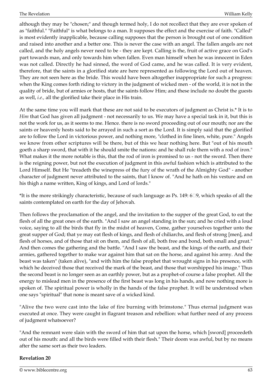although they may be "chosen;" and though termed holy, I do not recollect that they are ever spoken of as "faithful." "Faithful" is what belongs to a man. It supposes the effect and the exercise of faith. "Called" is most evidently inapplicable, because calling supposes that the person is brought out of one condition and raised into another and a better one. This is never the case with an angel. The fallen angels are not called, and the holy angels never need to be - they are kept. Calling is the, fruit of active grace on God's part towards man, and only towards him when fallen. Even man himself when he was innocent in Eden was not called. Directly he had sinned, the word of God came, and he was called. It is very evident, therefore, that the saints in a glorified state are here represented as following the Lord out of heaven. They are not seen here as the bride. This would have been altogether inappropriate for such a progress: when the King comes forth riding to victory in the judgment of wicked men - of the world, it is not in the quality of bride, but of armies or hosts, that the saints follow Him; and these include no doubt the guests as well, *i.e.,* all the glorified take their place in His train.

At the same time you will mark that these are not said to be executors of judgment as Christ is.\* It is to *Him* that God has given all judgment - not necessarily to us. We may have a special task in it, but this is not the work for us, as it seems to me. Hence. there is no sword proceeding out of our mouth; nor are the saints or heavenly hosts said to be arrayed in such a sort as the Lord. It is simply said that the glorified are to follow the Lord in victorious power, and nothing more, "clothed in fine linen, white, pure." Angels we know from other scriptures will be there, but of this we hear nothing here. But "out of his mouth goeth a sharp sword, that with it he should smite the nations: and he shall rule them with a rod of iron." What makes it the more notable is this, that the rod of iron is promised to us - not the sword. Then there is the reigning power, but not the execution of judgment in this awful fashion which is attributed to the Lord Himself. But He "treadeth the winepress of the fury of the wrath of the Almighty God" - another character of judgment never attributed to the saints, that I know of. "And he hath on his vesture and on his thigh a name written, King of kings, and Lord of lords."

\*It is the more strikingly characteristic, because of such language as Ps. 149: 6‑9, which speaks of all the saints contemplated on earth for the day of Jehovah.

Then follows the proclamation of the angel, and the invitation to the supper of the great God, to eat the flesh of all the great ones of the earth. "And I saw an angel standing in the sun; and he cried with a loud voice, saying to all the birds that fly in the midst of heaven, Come, gather yourselves together unto the great supper of God; that ye may eat flesh of kings, and flesh of chiliarchs, and flesh of strong [men], and flesh of horses, and of those that sit on them, and flesh of all, both free and bond, both small and great." And then comes the gathering and the battle. "And I saw the beast, and the kings of the earth, and their armies, gathered together to make war against him that sat on the horse, and against his army. And the beast was taken" (taken alive), "and with him the false prophet that wrought signs in his presence, with which he deceived those that received the mark of the beast, and those that worshipped his image." Thus the second beast is no longer seen as an earthly power, but as a prophet-of course a false prophet. All the energy to mislead men in the presence of the first beast was long in his hands, and now nothing more is spoken of. The spiritual power is wholly in the hands of the false prophet. It will be understood when one says "spiritual" that none is meant save of a wicked kind.

"Alive the two were cast into the lake of fire burning with brimstone." Thus eternal judgment was executed at once. They were caught in flagrant treason and rebellion: what further need of any process of judgment whatsoever?

"And the remnant were slain with the sword of him that sat upon the horse, which [sword] proceedeth out of his mouth: and all the birds were filled with their flesh." Their doom was awful, but by no means after the same sort as their two leaders.

## **Revelation 20**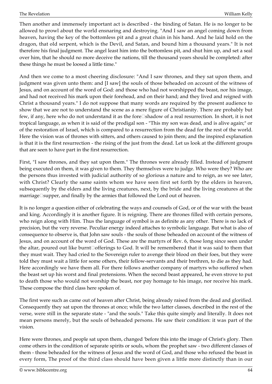Then another and immensely important act is described - the binding of Satan. He is no longer to be allowed to prowl about the world ensnaring and destroying. "And I saw an angel coming down from heaven, having the key of the bottomless pit and a great chain in his hand. And he laid hold on the dragon, that old serpent, which is the Devil, and Satan, and bound him a thousand years." It is not therefore his final judgment. The angel least him into the bottomless pit, and shut him up, and set a seal over him, that he should no more deceive the nations, till the thousand years should be completed: after these things he must be loosed a little time."

And then we come to a most cheering disclosure: "And I saw thrones, and they sat upon them, and judgment was given unto them: and [I saw] the souls of those beheaded on account of the witness of Jesus, and on account of the word of God: and those who had not worshipped the beast, nor his image, and had not received his mark upon their forehead, and on their hand; and they lived and reigned with Christ a thousand years." I do not suppose that many words are required by the present audience to show that we are not to understand the scene as a mere figure of Christianity. There are probably but few, if any, here who do not understand it as the fore‑shadow of a real resurrection. In short, it is not tropical language, as when it is said of the prodigal son - "This my son was dead, and is alive again;" or of the restoration of Israel, which is compared to a resurrection from the dead for the rest of the world. Here the vision was of thrones with sitters, and others caused to join them; and the inspired explanation is that it is the first resurrection - the rising of the just from the dead. Let us look at the different groups that are seen to have part in the first resurrection.

First, "I saw thrones, and they sat upon them." The thrones were already filled. Instead of judgment being executed on them, it was given to them. They themselves were to judge. Who were they? Who are the persons thus invested with judicial authority of so glorious a nature and to reign, as we see later, with Christ? Clearly the same saints whom we have seen first set forth by the elders in heaven, subsequently by the elders and the living creatures, next, by the bride and the living creatures at the marriage $\square$ supper, and finally by the armies that followed the Lord out of heaven.

It is no longer a question either of celebrating the ways and counsels of God, or of the war with the beast and king. Accordingly it is another figure. It is reigning. There are thrones filled with certain persons, who reign along with Him. Thus the language of symbol is as definite as any other. There is no lack of precision, but the very reverse. Peculiar energy indeed attaches to symbolic language. But what is also of consequence to observe is, that John saw souls - the souls of those beheaded on account of the witness of Jesus, and on account of the word of God. These are the martyrs of Rev. 6, those long since seen under the altar, poured out like burnt $\Box$ offerings to God. It will be remembered that it was said to them that they must wait. They had cried to the Sovereign ruler to avenge their blood on their foes, but they were told they must wait a little for some others, their fellow-servants and their brethren, to die as they had. Here accordingly we have them all. For there follows another company of martyrs who suffered when the beast set up his worst and final pretensions. When the second beast appeared, he even strove to put to death those who would not worship the beast, nor pay homage to his image, nor receive his mark. These compose the third class here spoken of.

The first were such as came out of heaven after Christ, being already raised from the dead and glorified. Consequently they sat upon the thrones at once; while the two latter classes, described in the rest of the verse, were still in the separate state - "and the souls." Take this quite simply and literally. It does not mean persons merely, but the souls of beheaded persons. He saw their condition: it was part of the vision.

Here were thrones, and people sat upon them, changed 'before this into the image of Christ's glory. Then come others in the condition of separate spirits or souls, whom the prophet saw - two different classes of them - those beheaded for the witness of Jesus and the word of God, and those who refused the beast in every form, The proof of the third class should have been given a little more distinctly than in our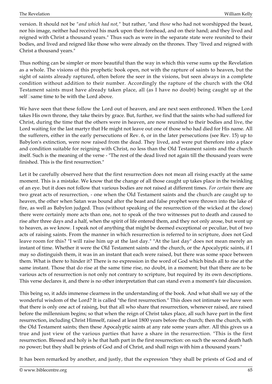version. It should not be *"and which had not,"* but rather, "and *those* who had not worshipped the beast, nor his image, neither had received his mark upon their forehead, and on their hand; and they lived and reigned with Christ a thousand years." Thus such as were in the separate state were reunited to their bodies, and lived and reigned like those who were already on the thrones. They "lived and reigned with Christ a thousand years."

Thus nothing can be simpler or more beautiful than the way in which this verse sums up the Revelation as a whole. The visions of this prophetic book open, not with the rapture of saints to heaven, but the sight of saints already raptured, often before the seer in the visions, but seen always in a complete condition without addition to their number. Accordingly the rapture of the church with the Old Testament saints must have already taken place, all (as I have no doubt) being caught up at the self□same time to be with the Lord above.

We have seen that these follow the Lord out of heaven, and are next seen enthroned. When the Lord takes His own throne, they take theirs by grace. But, further, we find that the saints who had suffered for Christ, during the time that the others were in heaven, are now reunited to their bodies and live, the Lord waiting for the last martyr that He might not leave out one of those who had died for His name. All the sufferers, either in the early persecutions of Rev. 6, or in the later persecutions (see Rev. 15) up to Babylon's extinction, were now raised from the dead. They lived, and were put therefore into a place and condition suitable for reigning with Christ, no less than the Old Testament saints and the church itself. Such is the meaning of the verse - "The rest of the dead lived not again till the thousand years were finished. This is the first resurrection."

Let it be carefully observed here that the first resurrection does not mean all rising exactly at the same moment. This is a mistake. We know that the change of all those caught up takes place in the twinkling of an eye. but it does not follow that various bodies are not raised at different times. *For certain* there are two great acts of resurrection, - one when the Old Testament saints and the church are caught up to heaven, the other when Satan was bound after the beast and false prophet were thrown into the lake of fire, as well as Babylon judged. Thus (without speaking of the resurrection of the wicked at the close) there were certainly more acts than one, not to speak of the two witnesses put to death and caused to rise after three days and a half, when the spirit of life entered them, and they not only arose, but went up to heaven, as we know. I speak not of anything that might be deemed exceptional or peculiar, but of two acts of raising saints. From the manner in which resurrection is referred to in scripture, does not God leave room for this? "I will raise him up at the last day." "At the last day" does not mean merely an instant of time. Whether it were the Old Testament saints and the church, or the Apocalyptic saints, if I may so distinguish them, it was in an instant that each were raised, but there was some space between them. What is there to hinder it? There is no expression in the word of God which binds all to rise at the same instant. Those that do rise at the same time rise, no doubt, in a moment; but that there are to be various acts of resurrection is not only not contrary to scripture, but required by its own descriptions. This verse declares it, and there is no other interpretation that can stand even a moment's fair discussion.

This being so, it adds immense clearness in the understanding of the book. And what shall we say of the wonderful wisdom of the Lord? It is called "the first resurrection." This does not intimate we have seen that there is only one act of raising, but that all who share that resurrection, whenever raised, are raised before the millennium begins; so that when the reign of Christ takes place, all such have part in the first resurrection, including Christ Himself, raised at least 1800 years before the church; then the church, with the Old Testament saints; then these Apocalyptic saints at any rate some years after. All this gives us a true and just view of the various parties that have a share in the resurrection. "This is the first resurrection. Blessed and holy is he that hath part in the first resurrection: on such the second death hath no power; but they shall be priests of God and of Christ, and shall reign with him a thousand years."

It has been remarked by another, and justly, that the expression "they shall be priests of God and of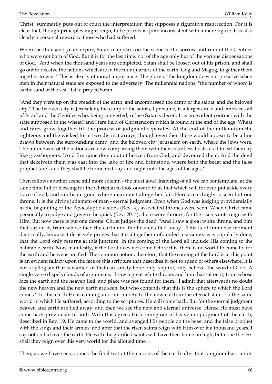Christ" summarily puts out of court the interpretation that supposes a figurative resurrection. For it is clear that, though principles might reign, to be priests is quite inconsistent with a mere figure. It is also clearly a personal reward to those who had suffered.

When the thousand years expire, Satan reappears on the scene to the sorrow and ruin of the Gentiles who were not born of God. But it is for the last time, not of the age only but of the various dispensations of God. "And when the thousand years are completed, Satan shall be loosed out of his prison, and shall go out to deceive the nations which are in the four quarters of the earth, Gog and Magog, to gather them together to war." This is clearly of moral importance. The glory of the kingdom does not preserve when men in their natural state are exposed to the adversary. The millennial nations, "the number of whom is as the sand of the sea," fall a prey to Satan.

"And they went up on the breadth of the earth, and encompassed the camp of the saints, and the beloved city." The beloved city is Jerusalem; the camp of the saints, I presume, is a larger circle and embraces all of Israel and the Gentiles who, being converted, refuse Satan's deceit. It is an evident contrast with the state supposed in the wheat $\Box$ and $\Box$ tare field of Christendom which is found at the end of the age. Wheat and tares grow together till the process of judgment separates. At the end of the millennium the righteous and the wicked form two distinct arrays, though even then there would appear to be a line drawn between the surrounding camp, and the beloved city Jerusalem on earth, where the Jews were. The unrenewed of the nations are now compassing them with their countless hosts, as if to eat them up like grasshoppers. "And fire came down out of heaven from God, and devoured them. And the devil that deceiveth them was cast into the lake of fire and brimstone, where both the beast and the false prophet [are], and they shall be tormented day and night unto the ages of the ages."

Then follows another scene still more solemn - the most awe $\square$ inspiring of all we can contemplate, at the same time full of blessing for the Christian to look onward to as that which will for ever put aside every trace of evil, and vindicate good where man must altogether fail. Here accordingly is seen but one throne. It is the divine judgment of man - eternal judgment. Even when God was judging providentially in the beginning of the Apocalyptic visions (Rev. 4), associated thrones were seen. When Christ came personally to judge and govern the quick (Rev. 20: 4), there were thrones; for the risen saints reign with Him. But now there is but one throne: Christ judges the dead. "And I saw a great white throne, and him that sat on it, from whose face the earth and the heavens fled away." This is of immense moment doctrinally, because it decisively proves that it is altogether unfounded to assume, as is popularly done, that the Lord only returns at this juncture. In the coming of the Lord all include His coming to the habitable earth. Now manifestly, if the Lord does not come before this, there is no world to come to; for the earth and heavens are fled. The common notion, therefore, that the coming of the Lord is at this point is an evident fallacy upon the face of this scripture that describes it, not to speak of others elsewhere. It is not a syllogism that is wanted or that can satisfy here: only require, only believe, the word of God. A single verse dispels clouds of arguments. "I saw a great white throne, and him that sat on it, from whose face the earth and the heaven fled; and place was not found for them." I admit that afterwards no doubt the new heaven and the new earth are seen; but who contends that this is the sphere to which the Lord comes? To this earth He is coming, and not merely to the new earth in the eternal state. To the same world in which He suffered, according to the scriptures, He will come back. But for the eternal judgment heaven and earth are fled away; and then we see the new and eternal universe. Hence He must have come back previously to both. With this agrees His coming out of heaven in judgment of the earth, described in Rev. 19. He came to the world, and avenged His people on the beast and the false prophet with the kings and their armies; and after that the risen saints reign with Him over it a thousand years. I say not on but over the earth. He with the glorified saints will have their home on high, but none the less shall they reign over this very world for the allotted time.

Then, as we have seen, comes the final test of the nations of the earth after that kingdom has run its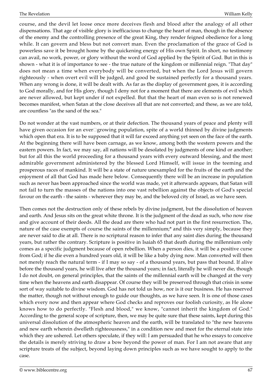course, and the devil let loose once more deceives flesh and blood after the analogy of all other dispensations. That age of visible glory is inefficacious to change the heart of man, though in the absence of the enemy and the controlling presence of the great King, they render feigned obedience for a long while. It can govern and bless but not convert man. Even the proclamation of the grace of God is powerless save it be brought home by the quickening energy of His own Spirit. In short, no testimony can avail, no work, power, or glory without the word of God applied by the Spirit of God. But in this is shown - what it is of importance to see - the true nature of the kingdom or millennial reign. "That day" does not mean a time when everybody will be converted, but when the Lord Jesus will govern righteously - when overt evil will be judged, and good be sustained perfectly for a thousand years. When any wrong is done, it will be dealt with. As far as the display of government goes, it is according to God morally, and for His glory, though I deny not for a moment that there are elements of evil which are never allowed, but kept under if not expelled. But that the heart of man even so is not renewed becomes manifest, when Satan at the close deceives all that are not converted; and these, as we are told, are countless "as the sand of the sea."

Do not wonder at the vast numbers, or at their defection. The thousand years of peace and plenty will have given occasion for an ever□growing population, spite of a world thinned by divine judgments which open that era. It is to be supposed that it will far exceed anything yet seen on the face of the earth. At the beginning there will have been carnage, as we know, among both the western powers and the eastern powers. In fact, we may say, all nations will be desolated by judgments of one kind or another; but for all this the world proceeding for a thousand years with every outward blessing, and the most admirable government administered by the blessed Lord Himself, will issue in the teeming and prosperous races of mankind. It will be a state of nature unexampled for the fruits of the earth and the enjoyment of all that God has made here below. Consequently there will be an increase in population such as never has been approached since the world was made, yet it afterwards appears, that Satan will not fail to turn the masses of the nations into one vast rebellion against the objects of God's special favour on the earth - the saints - wherever they may be, and the beloved city of Israel, as we have seen.

Then comes not the destruction only of these rebels by divine judgment, but the dissolution of heaven and earth. And Jesus sits on the great white throne. It is the judgment of the dead as such, who now rise and give account of their deeds. All the dead are there who had not part in the first resurrection. The, nature of the case exempts of course the saints of the millennium;\* and this very simply, because they are never said to die at all. There is no scriptural reason to infer that any saint dies during the thousand years, but rather the contrary. Scripture is positive in Isaiah 65 that death during the millennium only comes as a specific judgment because of open rebellion. When a person dies, it will be a positive curse from God; if he die even a hundred years old, it will be like a baby dying now. Man converted will then not merely reach the natural term - if I may so say - of a thousand years, but pass that bound. If alive before the thousand years, he will live after the thousand years; in fact, literally he will never die, though I do not doubt, on general principles, that the saints of the millennial earth will be changed at the very time when the heavens and earth disappear. Of course they will be preserved through that crisis in some sort of way suitable to divine wisdom. God has not told us how, nor is it our business. He has reserved the matter, though not without enough to guide our thoughts, as we have seen. It is one of those cases which every now and then appear where God checks and reproves our foolish curiosity, as He alone knows how to do perfectly. "Flesh and blood," we know, "cannot inherit the kingdom of God." According to the general scope of scripture, then, we may be quite sure that these saints, kept during this universal dissolution of the atmospheric heaven and the earth, will be translated to "the new heavens and new earth wherein dwelleth righteousness," in a condition new and meet for the eternal state into which they are ushered. Let others speculate, if they will: I am persuaded that he who essays to conceive the details is merely striving to draw a bow beyond the power of man. For I am not aware that any scripture treats of the subject, beyond laying down principles such as we have sought to apply to the case.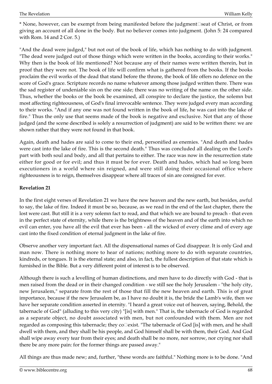\* None, however, can be exempt from being manifested before the judgment<sup>I</sup>seat of Christ, or from giving an account of all done in the body. But no believer comes into judgment. (John 5: 24 compared with Rom. 14 and 2 Cor. 5.)

"And the dead were judged," but not out of the book of life, which has nothing to do with judgment. "The dead were judged out of those things which were written in the books, according to their works." Why then is the book of life mentioned? Not because any of their names were written therein, but in proof that they were not. The book of life will confirm what is gathered from the books. If the books proclaim the evil works of the dead that stand before the throne, the book of life offers no defence on the score of God's grace. Scripture records no name whatever among those judged written there. There was the sad register of undeniable sin on the one side; there was no writing of the name on the other side. Thus, whether the books or the book be examined, all conspire to declare the justice, the solemn but most affecting righteousness, of God's final irrevocable sentence. They were judged every man according to their works. "And if any one was not found written in the book of life, he was cast into the lake of fire." Thus the only use that seems made of the book is negative and exclusive. Not that any of those judged (and the scene described is solely a resurrection of judgment) are said to be written there: we are shown rather that they were not found in that book.

Again, death and hades are said to come to their end, personified as enemies. "And death and hades were cast into the lake of fire. This is the second death." Thus was concluded all dealing on the Lord's part with both soul and body, and all that pertains to either. The race was now in the resurrection state either for good or for evil; and thus it must be for ever. Death and hades, which had so long been executioners in a world where sin reigned, and were still doing their occasional office where righteousness is to reign, themselves disappear where all traces of sin are consigned for ever.

# **Revelation 21**

In the first eight verses of Revelation 21 we have the new heaven and the new earth, but besides, awful to say, the lake of fire. Indeed it must be so, because, as we read in the end of the last chapter, there the lost were cast. But still it is a very solemn fact to read, and that which we are bound to preach - that even in the perfect state of eternity, while there is the brightness of the heaven and of the earth into which no evil can enter, you have all the evil that ever has been - all the wicked of every clime and of every age cast into the fixed condition of eternal judgment in the lake of fire.

Observe another very important fact. All the dispensational names of God disappear. It is only God and man now. There is nothing more to hear of nations; nothing more to do with separate countries, kindreds, or tongues. It is the eternal state; and also, in fact, the fullest description of that state which is furnished in the Bible. But a very different point of interest is to be observed.

Although there is such a levelling of human distinctions, and men have to do directly with God - that is men raised from the dead or in their changed condition - we still see the holy Jerusalem - "the holy city, new Jerusalem," separate from the rest of those that fill the new heaven and earth. This is of great importance, because if the new Jerusalem be, as I have no doubt it is, the bride the Lamb's wife, then we have her separate condition asserted in eternity. "I heard a great voice out of heaven, saying, Behold, the tabernacle of God" (alluding to this very city) "[is] with men." That is, the tabernacle of God is regarded as a separate object, no doubt associated with men, but not confounded with them. Men are not regarded as composing this tabernacle; they co $\square$ exist. "The tabernacle of God [is] with men, and he shall dwell with them, and they shall be his people, and God himself shall be with them, their God. And God shall wipe away every tear from their eyes; and death shall be no more, nor sorrow, nor crying nor shall there be any more pain: for the former things are passed away."

All things are thus made new; and, further, "these words are faithful." Nothing more is to be done. "And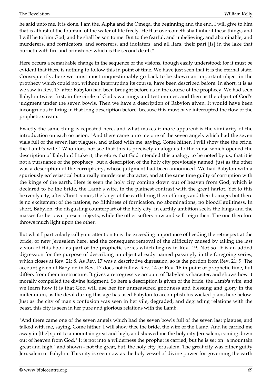he said unto me, It is done. I am the, Alpha and the Omega, the beginning and the end. I will give to him that is athirst of the fountain of the water of life freely. He that overcometh shall inherit these things; and I will be to him God, and he shall be son to me. But to the fearful, and unbelieving, and abominable, and murderers, and fornicators, and sorcerers, and idolaters, and all liars, their part [is] in the lake that burneth with fire and brimstone: which is the second death."

Here occurs a remarkable change in the sequence of the visions, though easily understood; for it must be evident that there is nothing to follow this in point of time. We have just seen that it is the eternal state. Consequently, here we must most unquestionably go back to be shown an important object in the prophecy which could not, without interrupting its course, have been described before. In short, it is as we saw in Rev. 17, after Babylon had been brought before us in the course of the prophecy. We had seen Babylon twice: first, in the circle of God's warnings and testimonies; and then as the object of God's judgment under the seven bowls. Then we have a description of Babylon given. It would have been incongruous to bring in that long description before, because this must have interrupted the flow of the prophetic stream.

Exactly the same thing is repeated here, and what makes it more apparent is the similarity of the introduction on each occasion. "And there came unto me one of the seven angels which had the seven vials full of the seven last plagues, and talked with me, saying, Come hither, I will show thee the bride, the Lamb's wife." Who does not see that this is precisely analogous to the verse which opened the description of Babylon? I take it, therefore, that God intended this analogy to be noted by us; that it is not a pursuance of the prophecy, but a description of the holy city previously named, just as the other was a description of the corrupt city, whose judgment had been announced. We had Babylon with a spuriously ecclesiastical but a really murderous character, and at the same time guilty of corruption with the kings of the earth. Here is seen the holy city coming down out of heaven from God, which is declared to be the bride, the Lamb's wife, in the plainest contrast with the great harlot. Yet to this heavenly city, after Christ comes, the kings of the earth bring their offerings and their homage; but there is no excitement of the nations, no filthiness of fornication, no abominations, no blood *guiltiness*. In short, Babylon, the disgusting counterpart of the holy city, in earthly ambition seeks the kings and the masses for her own present objects, while the other suffers now and will reign then. The one therefore throws much light upon the other.

But what I particularly call your attention to is the exceeding importance of heeding the retrospect at the bride, or new Jerusalem here, and the consequent removal of the difficulty caused by taking the last vision of this book as part of the prophetic series which begins in Rev. 19. Not so. It is an added digression for the purpose of describing an object already named passingly in the foregoing series, which closes at Rev. 21: 8. As Rev. 17 was a descriptive digression, so is the portion from Rev. 21: 9. The account given of Babylon in Rev. 17 does not follow Rev. 14 or Rev. 16 in point of prophetic time, but differs from them in structure. It gives a retrogressive account of Babylon's character, and shows how it morally compelled the divine judgment. So here a description is given of the bride, the Lamb's wife, and we learn how it is that God will use her for unmeasured goodness and blessing and glory in the millennium, as the devil during this age has used Babylon to accomplish his wicked plans here below. Just as the city of man's confusion was seen in her vile, degraded, and degrading relations with the beast, this city is seen in her pure and glorious relations with the Lamb.

"And there came one of the seven angels which had the seven bowls full of the seven last plagues, and talked with me, saying, Come hither, I will show thee the bride, the wife of the Lamb. And he carried me away in [the] spirit to a mountain great and high, and showed me the holy city Jerusalem, coming down out of heaven from God." It is not into a wilderness the prophet is carried, but he is set on "a mountain great and high," and shown - not the great, but. the holy city Jerusalem. The great city was either guilty Jerusalem or Babylon. This city is seen now as the holy vessel of divine power for governing the earth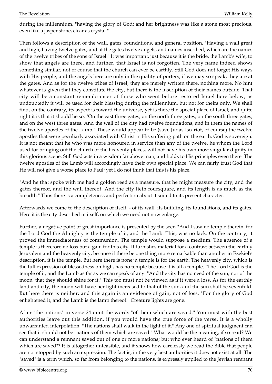during the millennium, "having the glory of God: and her brightness was like a stone most precious, even like a jasper stone, clear as crystal."

Then follows a description of the wall, gates, foundations, and general position. "Having a wall great and high, having twelve gates, and at the gates twelve angels, and names inscribed, which are the names of the twelve tribes of the sons of Israel." It was important, just because it is the bride, the Lamb's wife, to show that angels are there, and further, that Israel is not forgotten. The very name indeed shows something similar; not of course that the church can ever be earthly. Still God does not forget His ways with His people; and the angels here are only in the quality of porters, if we may so speak; they are at the gates. And as for the twelve tribes of Israel, they are merely written there, nothing more. No hint whatever is given that they constitute the city, but there is the inscription of their names outside. That city will be a constant remembrancer of those who went before restored Israel here below, as undoubtedly it will be used for their blessing during the millennium, but not for theirs only. We shall find, on the contrary, its aspect is toward the universe, yet is there the special place of Israel; and quite right it is that it should be so. "On the east three gates; on the north three gates; on the south three gates; and on the west three gates. And the wall of the city had twelve foundations, and in them the names of the twelve apostles of the Lamb." These would appear to be (save Judas Iscariot, of course) the twelve apostles that were peculiarly associated with Christ in His suffering path on the earth. God is sovereign. It is not meant that he who was more honoured in service than any of the twelve, he whom the Lord used for bringing out the church of the heavenly places, will not have his own most singular dignity in this glorious scene. Still God acts in a wisdom far above man, and holds to His principles even there. The twelve apostles of the Lamb will accordingly have their own special place. We can fairly trust God that He will not give a worse place to Paul; yet I do not think that this is his place.

"And he that spoke with me had a golden reed as a measure, that he might measure the city, and the gates thereof, and the wall thereof. And the city lieth foursquare, and its length is as much as the breadth." Thus there is a completeness and perfection about it suited to its present character.

Afterwards we come to the description of itself, - of its wall, its building, its foundations, and its gates. Here it is the city described in itself, on which we need not now enlarge.

Further, a negative point of great importance is presented by the seer, "And I saw no temple therein: for the Lord God the Almighty is the temple of it, and the Lamb. This, was no lack. On the contrary, it proved the immediateness of communion. The temple would suppose a medium. The absence of a temple is therefore no loss but a gain for this city. It furnishes material for a contrast between the earthly Jerusalem and the heavenly city, because if there be one thing more remarkable than another in Ezekiel's description, it is the temple. But here there is none; a temple is for the earth. The heavenly city, which is the full expression of blessedness on high, has no temple because it is all a temple. "The Lord God is the temple of it, and the Lamb as far as we can speak of any. "And the city has no need of the sun, nor of the moon, that they should shine for it." This too must not be viewed as if it were a loss. As for the earthly land and city, the moon will have her light increased to that of the sun, and the sun shall be sevenfold. But here there is neither; and this again is an evidence of gain, not of loss. "For the glory of God enlightened it, and the Lamb is the lamp thereof." Creature lights are gone.

After "the nations" in verse 24 omit the words "of them which are saved." You must with the best authorities leave out this addition, if you would have the true force of the verse. It is a wholly unwarranted interpolation. "The nations shall walk in the light of it," Any one of spiritual judgment can see that it should not be "nations of them which are saved." What would be the meaning, if so read? We can understand a remnant saved out of one or more nations; but who ever heard of "nations of them which are saved"? It is altogether unfeasible, and it shows how carelessly we read the Bible that people are not stopped by such an expression. The fact is, in the very best authorities it does not exist at all. The "saved" is a term which, so far from belonging to the nations, is expressly applied to the Jewish remnant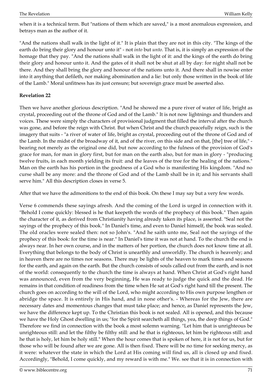when it is a technical term. But "nations of them which are saved," is a most anomalous expression, and betrays man as the author of it.

"And the nations shall walk in the light of it." It is plain that they are not in this city. "The kings of the earth do bring their glory and honour unto it" - not *into* but *unto.* That is, it is simply an expression of the homage that they pay. "And the nations shall walk in the light of it: and the kings of the earth do bring their glory and honour unto it. And the gates of it shall not be shut at all by day: for night shall not be there. And they shall bring the glory and honour of the nations unto it. And there shall in nowise enter into it anything that defileth, nor making abomination and a lie: but only those written in the book of life of the Lamb." Moral unfitness has its just censure; but sovereign grace must be asserted also.

# **Revelation 22**

Then we have another glorious description. "And he showed me a pure river of water of life, bright as crystal, proceeding out of the throne of God and of the Lamb." It is not now lightnings and thunders and voices. These were simply the characters of provisional judgment that filled the interval after the church was gone, and before the reign with Christ. But when Christ and the church peacefully reign, such is the imagery that suits - "a river of water of life, bright as crystal, proceeding out of the throne of God and of the Lamb. In the midst of the broadway of it, and of the river, on this side and on that, [the] tree of life," bearing not merely as the original one did, but now according to the fulness of the provision of God's grace for man, for man in glory first, but for man on the earth also, but for man in glory - "producing twelve fruits, in each month yielding its fruit: and the leaves of the tree for the healing of the nations." Man on the earth has his portion in the goodness of a God who is manifesting His kingdom. "And no curse shall be any more: and the throne of God and of the Lamb shall be in it; and his servants shall serve him." All this description closes in verse 5.

After that we have the admonitions to the end of this book. On these I may say but a very few words.

Verse 6 commends these sayings afresh. And the coming of the Lord is urged in connection with it. "Behold I come quickly: blessed is he that keepeth the words of the prophecy of this book." Then again the character of it, as derived from Christianity having already taken its place, is asserted. "Seal not the sayings of the prophecy of this book." In Daniel's time, and even to Daniel himself, the book was sealed. The old oracles were sealed then: not so John's. "And he saith unto me, Seal not the sayings of the prophecy of this book: for the time is near." In Daniel's time it was not at hand. To the church the end is always near. In her own course, and in the matters of her portion, the church does not know time at all. Everything that belongs to the body of Christ is unearthly and unworldly. The church is heavenly; and in heaven there are no times nor seasons. There may be lights of the heaven to mark times and seasons for the earth, and again on the earth. But the church consists of souls called out from the earth, and is not of the world: consequently to the church the time is always at hand. When Christ at God's right hand was announced, even from the very beginning, He was ready to judge the quick and the dead. He remains in that condition of readiness from the time when He sat at God's right hand till the present. The church goes on according to the will of the Lord, who might according to His own purpose lengthen or abridge the space. It is entirely in His hand, and in none other's. - Whereas for the Jew, there are necessary dates and momentous changes that must take place; and hence, as Daniel represents the Jew, we have the difference kept up. To the Christian this book is not sealed. All is opened, and this because we have the Holy Ghost dwelling in us; "for the Spirit searcheth all things, yea, the deep things of God." Therefore we find in connection with the book a most solemn warning. "Let him that is unrighteous be unrighteous still: and let the filthy be filthy still: and he that is righteous, let him be righteous still: and he that is holy, let him be holy still." When the hour comes that is spoken of here, it is not for us, but for those who will be found after we are gone. All is then fixed. There will be no time for seeking mercy, as it were: whatever the state in which the Lord at His coming will find us, all is closed up and fixed. Accordingly, "Behold, I come quickly, and my reward is with me." We. see that it is in connection with